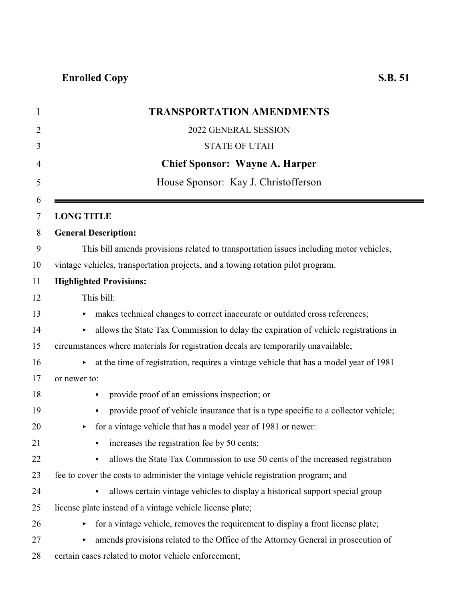|                   | <b>TRANSPORTATION AMENDMENTS</b>                                                                |
|-------------------|-------------------------------------------------------------------------------------------------|
|                   | 2022 GENERAL SESSION                                                                            |
|                   | <b>STATE OF UTAH</b>                                                                            |
|                   | <b>Chief Sponsor: Wayne A. Harper</b>                                                           |
|                   | House Sponsor: Kay J. Christofferson                                                            |
| <b>LONG TITLE</b> |                                                                                                 |
|                   | <b>General Description:</b>                                                                     |
|                   | This bill amends provisions related to transportation issues including motor vehicles,          |
|                   | vintage vehicles, transportation projects, and a towing rotation pilot program.                 |
|                   | <b>Highlighted Provisions:</b>                                                                  |
|                   | This bill:                                                                                      |
|                   | makes technical changes to correct inaccurate or outdated cross references;                     |
| Þ.                | allows the State Tax Commission to delay the expiration of vehicle registrations in             |
|                   | circumstances where materials for registration decals are temporarily unavailable;              |
|                   | at the time of registration, requires a vintage vehicle that has a model year of 1981           |
| or newer to:      |                                                                                                 |
|                   | provide proof of an emissions inspection; or<br>$\bullet$                                       |
|                   | provide proof of vehicle insurance that is a type specific to a collector vehicle;<br>$\bullet$ |
|                   | for a vintage vehicle that has a model year of 1981 or newer:                                   |
|                   | increases the registration fee by 50 cents;<br>$\bullet$                                        |
|                   | allows the State Tax Commission to use 50 cents of the increased registration                   |
|                   | fee to cover the costs to administer the vintage vehicle registration program; and              |
|                   | allows certain vintage vehicles to display a historical support special group<br>$\bullet$      |
|                   | license plate instead of a vintage vehicle license plate;                                       |
|                   | for a vintage vehicle, removes the requirement to display a front license plate;                |
|                   | amends provisions related to the Office of the Attorney General in prosecution of               |
|                   | certain cases related to motor vehicle enforcement;                                             |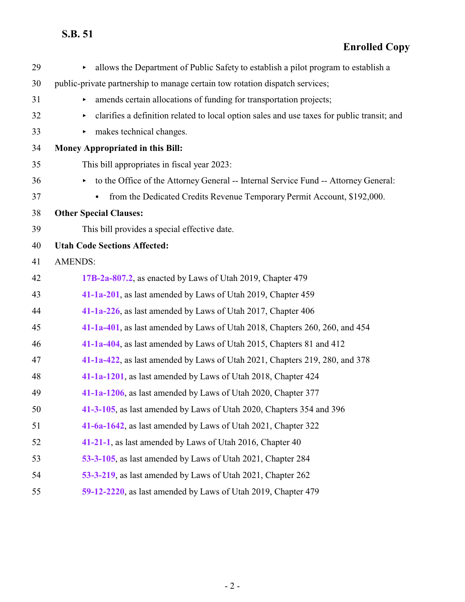| 29 | allows the Department of Public Safety to establish a pilot program to establish a              |
|----|-------------------------------------------------------------------------------------------------|
| 30 | public-private partnership to manage certain tow rotation dispatch services;                    |
| 31 | amends certain allocations of funding for transportation projects;                              |
| 32 | clarifies a definition related to local option sales and use taxes for public transit; and<br>▶ |
| 33 | makes technical changes.<br>▶                                                                   |
| 34 | Money Appropriated in this Bill:                                                                |
| 35 | This bill appropriates in fiscal year 2023:                                                     |
| 36 | to the Office of the Attorney General -- Internal Service Fund -- Attorney General:<br>Þ.       |
| 37 | from the Dedicated Credits Revenue Temporary Permit Account, \$192,000.                         |
| 38 | <b>Other Special Clauses:</b>                                                                   |
| 39 | This bill provides a special effective date.                                                    |
| 40 | <b>Utah Code Sections Affected:</b>                                                             |
| 41 | <b>AMENDS:</b>                                                                                  |
| 42 | 17B-2a-807.2, as enacted by Laws of Utah 2019, Chapter 479                                      |
| 43 | 41-1a-201, as last amended by Laws of Utah 2019, Chapter 459                                    |
| 44 | 41-1a-226, as last amended by Laws of Utah 2017, Chapter 406                                    |
| 45 | 41-1a-401, as last amended by Laws of Utah 2018, Chapters 260, 260, and 454                     |
| 46 | 41-1a-404, as last amended by Laws of Utah 2015, Chapters 81 and 412                            |
| 47 | 41-1a-422, as last amended by Laws of Utah 2021, Chapters 219, 280, and 378                     |
| 48 | 41-1a-1201, as last amended by Laws of Utah 2018, Chapter 424                                   |
| 49 | 41-1a-1206, as last amended by Laws of Utah 2020, Chapter 377                                   |
| 50 | 41-3-105, as last amended by Laws of Utah 2020, Chapters 354 and 396                            |
| 51 | 41-6a-1642, as last amended by Laws of Utah 2021, Chapter 322                                   |
| 52 | 41-21-1, as last amended by Laws of Utah 2016, Chapter 40                                       |
| 53 | 53-3-105, as last amended by Laws of Utah 2021, Chapter 284                                     |
| 54 | 53-3-219, as last amended by Laws of Utah 2021, Chapter 262                                     |
| 55 | 59-12-2220, as last amended by Laws of Utah 2019, Chapter 479                                   |
|    |                                                                                                 |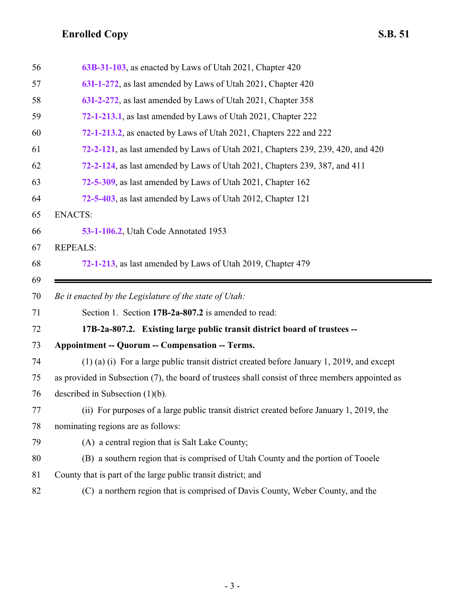<span id="page-2-0"></span>

| 56 | 63B-31-103, as enacted by Laws of Utah 2021, Chapter 420                                         |
|----|--------------------------------------------------------------------------------------------------|
| 57 | 63I-1-272, as last amended by Laws of Utah 2021, Chapter 420                                     |
| 58 | 63I-2-272, as last amended by Laws of Utah 2021, Chapter 358                                     |
| 59 | 72-1-213.1, as last amended by Laws of Utah 2021, Chapter 222                                    |
| 60 | <b>72-1-213.2, as enacted by Laws of Utah 2021, Chapters 222 and 222</b>                         |
| 61 | 72-2-121, as last amended by Laws of Utah 2021, Chapters 239, 239, 420, and 420                  |
| 62 | 72-2-124, as last amended by Laws of Utah 2021, Chapters 239, 387, and 411                       |
| 63 | 72-5-309, as last amended by Laws of Utah 2021, Chapter 162                                      |
| 64 | 72-5-403, as last amended by Laws of Utah 2012, Chapter 121                                      |
| 65 | <b>ENACTS:</b>                                                                                   |
| 66 | 53-1-106.2, Utah Code Annotated 1953                                                             |
| 67 | <b>REPEALS:</b>                                                                                  |
| 68 | 72-1-213, as last amended by Laws of Utah 2019, Chapter 479                                      |
| 69 |                                                                                                  |
|    |                                                                                                  |
| 70 | Be it enacted by the Legislature of the state of Utah:                                           |
| 71 | Section 1. Section 17B-2a-807.2 is amended to read:                                              |
| 72 | 17B-2a-807.2. Existing large public transit district board of trustees --                        |
| 73 | <b>Appointment -- Quorum -- Compensation -- Terms.</b>                                           |
| 74 | $(1)$ (a) (i) For a large public transit district created before January 1, 2019, and except     |
| 75 | as provided in Subsection (7), the board of trustees shall consist of three members appointed as |
| 76 | described in Subsection $(1)(b)$ .                                                               |
| 77 | (ii) For purposes of a large public transit district created before January 1, 2019, the         |
| 78 | nominating regions are as follows:                                                               |
| 79 | (A) a central region that is Salt Lake County;                                                   |
| 80 | (B) a southern region that is comprised of Utah County and the portion of Tooele                 |
| 81 | County that is part of the large public transit district; and                                    |
| 82 | (C) a northern region that is comprised of Davis County, Weber County, and the                   |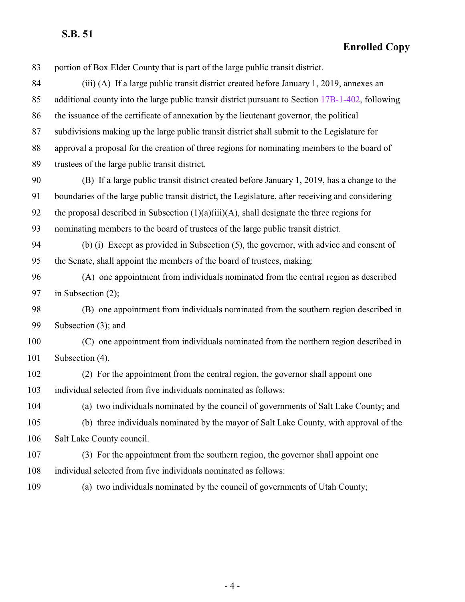| 83  | portion of Box Elder County that is part of the large public transit district.                    |
|-----|---------------------------------------------------------------------------------------------------|
| 84  | (iii) (A) If a large public transit district created before January 1, 2019, annexes an           |
| 85  | additional county into the large public transit district pursuant to Section 17B-1-402, following |
| 86  | the issuance of the certificate of annexation by the lieutenant governor, the political           |
| 87  | subdivisions making up the large public transit district shall submit to the Legislature for      |
| 88  | approval a proposal for the creation of three regions for nominating members to the board of      |
| 89  | trustees of the large public transit district.                                                    |
| 90  | (B) If a large public transit district created before January 1, 2019, has a change to the        |
| 91  | boundaries of the large public transit district, the Legislature, after receiving and considering |
| 92  | the proposal described in Subsection $(1)(a)(iii)(A)$ , shall designate the three regions for     |
| 93  | nominating members to the board of trustees of the large public transit district.                 |
| 94  | (b) (i) Except as provided in Subsection (5), the governor, with advice and consent of            |
| 95  | the Senate, shall appoint the members of the board of trustees, making:                           |
| 96  | (A) one appointment from individuals nominated from the central region as described               |
| 97  | in Subsection $(2)$ ;                                                                             |
| 98  | (B) one appointment from individuals nominated from the southern region described in              |
| 99  | Subsection (3); and                                                                               |
| 100 | (C) one appointment from individuals nominated from the northern region described in              |
| 101 | Subsection (4).                                                                                   |
| 102 | (2) For the appointment from the central region, the governor shall appoint one                   |
| 103 | individual selected from five individuals nominated as follows:                                   |
| 104 | (a) two individuals nominated by the council of governments of Salt Lake County; and              |
| 105 | (b) three individuals nominated by the mayor of Salt Lake County, with approval of the            |
| 106 | Salt Lake County council.                                                                         |
| 107 | (3) For the appointment from the southern region, the governor shall appoint one                  |
| 108 | individual selected from five individuals nominated as follows:                                   |
| 109 | (a) two individuals nominated by the council of governments of Utah County;                       |
|     |                                                                                                   |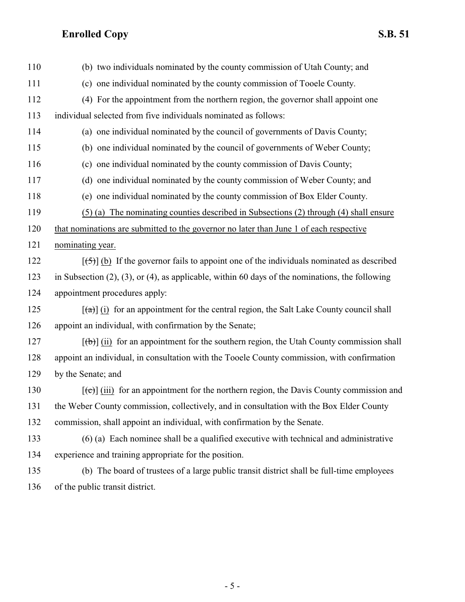| 110 | (b) two individuals nominated by the county commission of Utah County; and                                      |
|-----|-----------------------------------------------------------------------------------------------------------------|
| 111 | (c) one individual nominated by the county commission of Tooele County.                                         |
| 112 | (4) For the appointment from the northern region, the governor shall appoint one                                |
| 113 | individual selected from five individuals nominated as follows:                                                 |
| 114 | (a) one individual nominated by the council of governments of Davis County;                                     |
| 115 | (b) one individual nominated by the council of governments of Weber County;                                     |
| 116 | (c) one individual nominated by the county commission of Davis County;                                          |
| 117 | (d) one individual nominated by the county commission of Weber County; and                                      |
| 118 | (e) one individual nominated by the county commission of Box Elder County.                                      |
| 119 | (5) (a) The nominating counties described in Subsections (2) through (4) shall ensure                           |
| 120 | that nominations are submitted to the governor no later than June 1 of each respective                          |
| 121 | nominating year.                                                                                                |
| 122 | $[\frac{1}{2}, \frac{1}{2}]$ (b) If the governor fails to appoint one of the individuals nominated as described |
| 123 | in Subsection $(2)$ , $(3)$ , or $(4)$ , as applicable, within 60 days of the nominations, the following        |
| 124 | appointment procedures apply:                                                                                   |
| 125 | $\left[\frac{a}{b}\right]$ (i) for an appointment for the central region, the Salt Lake County council shall    |
| 126 | appoint an individual, with confirmation by the Senate;                                                         |
| 127 | $[\theta]$ (ii) for an appointment for the southern region, the Utah County commission shall                    |
| 128 | appoint an individual, in consultation with the Tooele County commission, with confirmation                     |
| 129 | by the Senate; and                                                                                              |
| 130 | $[\text{e}(\text{e})]$ (iii) for an appointment for the northern region, the Davis County commission and        |
| 131 | the Weber County commission, collectively, and in consultation with the Box Elder County                        |
| 132 | commission, shall appoint an individual, with confirmation by the Senate.                                       |
| 133 | $(6)$ (a) Each nominee shall be a qualified executive with technical and administrative                         |
| 134 | experience and training appropriate for the position.                                                           |
| 135 | (b) The board of trustees of a large public transit district shall be full-time employees                       |
| 136 | of the public transit district.                                                                                 |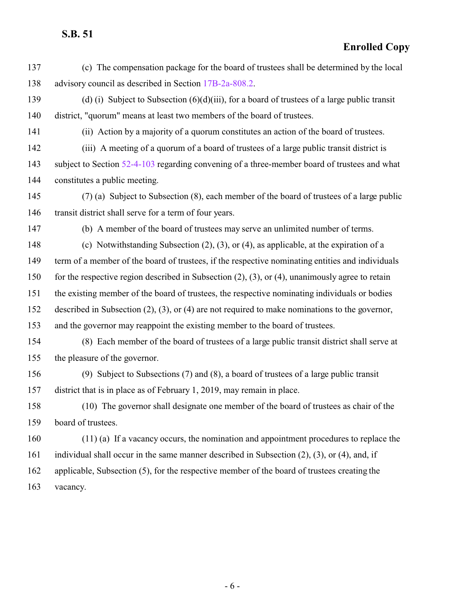#### **Enrolled Copy**

- (c) The compensation package for the board of trustees shall be determined by the local advisory council as described in Section [17B-2a-808.2](http://le.utah.gov/UtahCode/SectionLookup.jsp?section=17b-2a-808.2&session=2022GS).
- (d) (i) Subject to Subsection (6)(d)(iii), for a board of trustees of a large public transit district, "quorum" means at least two members of the board of trustees.
- 

(ii) Action by a majority of a quorum constitutes an action of the board of trustees.

(iii) A meeting of a quorum of a board of trustees of a large public transit district is

 subject to Section [52-4-103](http://le.utah.gov/UtahCode/SectionLookup.jsp?section=52-4-103&session=2022GS) regarding convening of a three-member board of trustees and what constitutes a public meeting.

- (7) (a) Subject to Subsection (8), each member of the board of trustees of a large public 146 transit district shall serve for a term of four years.
- 

(b) A member of the board of trustees may serve an unlimited number of terms.

 (c) Notwithstanding Subsection (2), (3), or (4), as applicable, at the expiration of a term of a member of the board of trustees, if the respective nominating entities and individuals

for the respective region described in Subsection (2), (3), or (4), unanimously agree to retain

the existing member of the board of trustees, the respective nominating individuals or bodies

described in Subsection (2), (3), or (4) are not required to make nominations to the governor,

and the governor may reappoint the existing member to the board of trustees.

- (8) Each member of the board of trustees of a large public transit district shall serve at the pleasure of the governor.
- (9) Subject to Subsections (7) and (8), a board of trustees of a large public transit district that is in place as of February 1, 2019, may remain in place.

 (10) The governor shall designate one member of the board of trustees as chair of the board of trustees.

- (11) (a) If a vacancy occurs, the nomination and appointment procedures to replace the
- individual shall occur in the same manner described in Subsection (2), (3), or (4), and, if
- applicable, Subsection (5), for the respective member of the board of trustees creating the
- vacancy.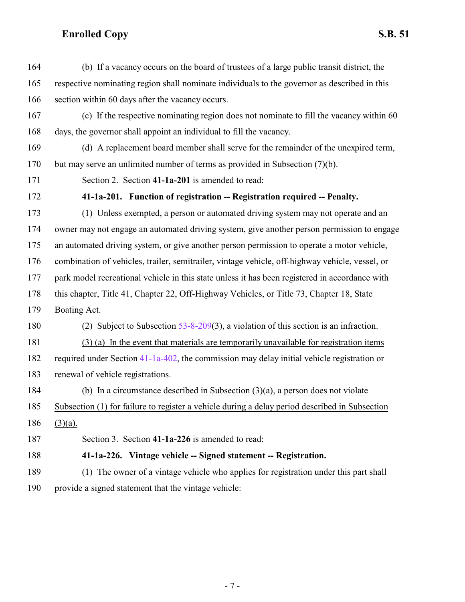<span id="page-6-1"></span><span id="page-6-0"></span>

| 164 | (b) If a vacancy occurs on the board of trustees of a large public transit district, the        |
|-----|-------------------------------------------------------------------------------------------------|
| 165 | respective nominating region shall nominate individuals to the governor as described in this    |
| 166 | section within 60 days after the vacancy occurs.                                                |
| 167 | (c) If the respective nominating region does not nominate to fill the vacancy within 60         |
| 168 | days, the governor shall appoint an individual to fill the vacancy.                             |
| 169 | (d) A replacement board member shall serve for the remainder of the unexpired term,             |
| 170 | but may serve an unlimited number of terms as provided in Subsection (7)(b).                    |
| 171 | Section 2. Section 41-1a-201 is amended to read:                                                |
| 172 | 41-1a-201. Function of registration -- Registration required -- Penalty.                        |
| 173 | (1) Unless exempted, a person or automated driving system may not operate and an                |
| 174 | owner may not engage an automated driving system, give another person permission to engage      |
| 175 | an automated driving system, or give another person permission to operate a motor vehicle,      |
| 176 | combination of vehicles, trailer, semitrailer, vintage vehicle, off-highway vehicle, vessel, or |
| 177 | park model recreational vehicle in this state unless it has been registered in accordance with  |
| 178 | this chapter, Title 41, Chapter 22, Off-Highway Vehicles, or Title 73, Chapter 18, State        |
| 179 | Boating Act.                                                                                    |
| 180 | (2) Subject to Subsection $53-8-209(3)$ , a violation of this section is an infraction.         |
| 181 | (3) (a) In the event that materials are temporarily unavailable for registration items          |
| 182 | required under Section 41-1a-402, the commission may delay initial vehicle registration or      |
| 183 | renewal of vehicle registrations.                                                               |
| 184 | (b) In a circumstance described in Subsection $(3)(a)$ , a person does not violate              |
| 185 | Subsection (1) for failure to register a vehicle during a delay period described in Subsection  |
| 186 | $(3)(a)$ .                                                                                      |
| 187 | Section 3. Section 41-1a-226 is amended to read:                                                |
| 188 | 41-1a-226. Vintage vehicle -- Signed statement -- Registration.                                 |
| 189 | (1) The owner of a vintage vehicle who applies for registration under this part shall           |
| 190 | provide a signed statement that the vintage vehicle:                                            |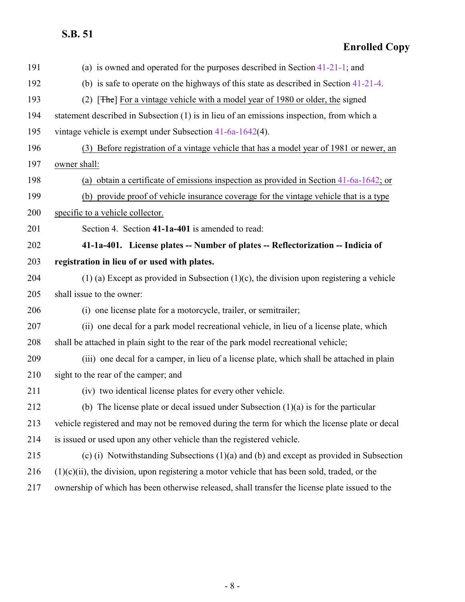<span id="page-7-0"></span>

| 191 | (a) is owned and operated for the purposes described in Section $41-21-1$ ; and                  |
|-----|--------------------------------------------------------------------------------------------------|
| 192 | (b) is safe to operate on the highways of this state as described in Section $41-21-4$ .         |
| 193 | [The] For a vintage vehicle with a model year of 1980 or older, the signed<br>(2)                |
| 194 | statement described in Subsection (1) is in lieu of an emissions inspection, from which a        |
| 195 | vintage vehicle is exempt under Subsection $41-6a-1642(4)$ .                                     |
| 196 | (3) Before registration of a vintage vehicle that has a model year of 1981 or newer, an          |
| 197 | owner shall:                                                                                     |
| 198 | (a) obtain a certificate of emissions inspection as provided in Section $41-6a-1642$ ; or        |
| 199 | (b) provide proof of vehicle insurance coverage for the vintage vehicle that is a type           |
| 200 | specific to a vehicle collector.                                                                 |
| 201 | Section 4. Section 41-1a-401 is amended to read:                                                 |
| 202 | 41-1a-401. License plates -- Number of plates -- Reflectorization -- Indicia of                  |
| 203 | registration in lieu of or used with plates.                                                     |
| 204 | $(1)$ (a) Except as provided in Subsection $(1)(c)$ , the division upon registering a vehicle    |
| 205 | shall issue to the owner:                                                                        |
| 206 | (i) one license plate for a motorcycle, trailer, or semitrailer;                                 |
| 207 | (ii) one decal for a park model recreational vehicle, in lieu of a license plate, which          |
| 208 | shall be attached in plain sight to the rear of the park model recreational vehicle;             |
| 209 | (iii) one decal for a camper, in lieu of a license plate, which shall be attached in plain       |
| 210 | sight to the rear of the camper; and                                                             |
| 211 | (iv) two identical license plates for every other vehicle.                                       |
| 212 | (b) The license plate or decal issued under Subsection $(1)(a)$ is for the particular            |
| 213 | vehicle registered and may not be removed during the term for which the license plate or decal   |
| 214 | is issued or used upon any other vehicle than the registered vehicle.                            |
| 215 | (c) (i) Notwithstanding Subsections (1)(a) and (b) and except as provided in Subsection          |
| 216 | $(1)(c)(ii)$ , the division, upon registering a motor vehicle that has been sold, traded, or the |
| 217 | ownership of which has been otherwise released, shall transfer the license plate issued to the   |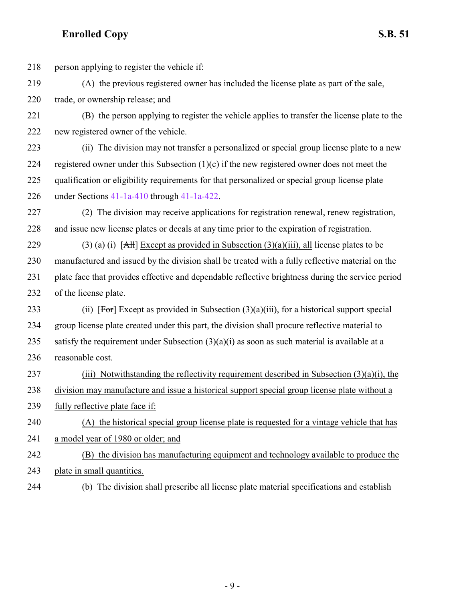- 218 person applying to register the vehicle if: (A) the previous registered owner has included the license plate as part of the sale, trade, or ownership release; and (B) the person applying to register the vehicle applies to transfer the license plate to the new registered owner of the vehicle. (ii) The division may not transfer a personalized or special group license plate to a new 224 registered owner under this Subsection  $(1)(c)$  if the new registered owner does not meet the qualification or eligibility requirements for that personalized or special group license plate under Sections [41-1a-410](http://le.utah.gov/UtahCode/SectionLookup.jsp?section=41-1a-410&session=2022GS) through [41-1a-422](#page-10-0). (2) The division may receive applications for registration renewal, renew registration, and issue new license plates or decals at any time prior to the expiration of registration. 229 (3) (a) (i)  $[AH]$  Except as provided in Subsection (3)(a)(iii), all license plates to be manufactured and issued by the division shall be treated with a fully reflective material on the plate face that provides effective and dependable reflective brightness during the service period of the license plate. 233 (ii)  $[For] Except as provided in Subsection (3)(a)(iii) for a historical support special$  group license plate created under this part, the division shall procure reflective material to 235 satisfy the requirement under Subsection  $(3)(a)(i)$  as soon as such material is available at a reasonable cost. 237 (iii) Notwithstanding the reflectivity requirement described in Subsection  $(3)(a)(i)$ , the division may manufacture and issue a historical support special group license plate without a fully reflective plate face if: (A) the historical special group license plate is requested for a vintage vehicle that has a model year of 1980 or older; and (B) the division has manufacturing equipment and technology available to produce the plate in small quantities.
- 

(b) The division shall prescribe all license plate material specifications and establish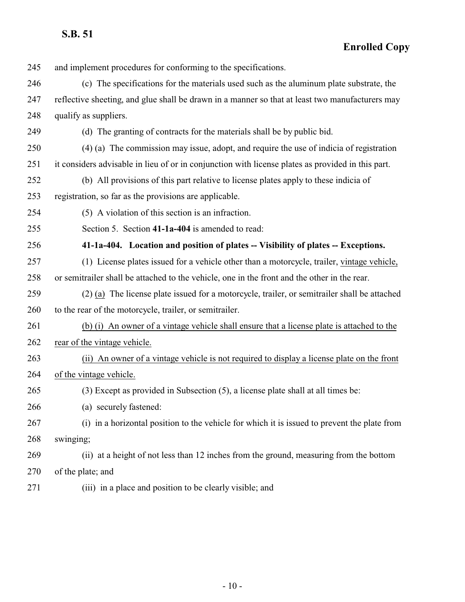<span id="page-9-0"></span>

| 245 | and implement procedures for conforming to the specifications.                                    |
|-----|---------------------------------------------------------------------------------------------------|
| 246 | (c) The specifications for the materials used such as the aluminum plate substrate, the           |
| 247 | reflective sheeting, and glue shall be drawn in a manner so that at least two manufacturers may   |
| 248 | qualify as suppliers.                                                                             |
| 249 | (d) The granting of contracts for the materials shall be by public bid.                           |
| 250 | (4) (a) The commission may issue, adopt, and require the use of indicia of registration           |
| 251 | it considers advisable in lieu of or in conjunction with license plates as provided in this part. |
| 252 | (b) All provisions of this part relative to license plates apply to these indicia of              |
| 253 | registration, so far as the provisions are applicable.                                            |
| 254 | (5) A violation of this section is an infraction.                                                 |
| 255 | Section 5. Section 41-1a-404 is amended to read:                                                  |
| 256 | 41-1a-404. Location and position of plates -- Visibility of plates -- Exceptions.                 |
| 257 | (1) License plates issued for a vehicle other than a motorcycle, trailer, vintage vehicle,        |
| 258 | or semitrailer shall be attached to the vehicle, one in the front and the other in the rear.      |
| 259 | (2) (a) The license plate issued for a motorcycle, trailer, or semitrailer shall be attached      |
| 260 | to the rear of the motorcycle, trailer, or semitrailer.                                           |
| 261 | (b) (i) An owner of a vintage vehicle shall ensure that a license plate is attached to the        |
| 262 | rear of the vintage vehicle.                                                                      |
| 263 | (ii) An owner of a vintage vehicle is not required to display a license plate on the front        |
| 264 | of the vintage vehicle.                                                                           |
| 265 | (3) Except as provided in Subsection (5), a license plate shall at all times be:                  |
| 266 | (a) securely fastened:                                                                            |
| 267 | (i) in a horizontal position to the vehicle for which it is issued to prevent the plate from      |
| 268 | swinging;                                                                                         |
| 269 | (ii) at a height of not less than 12 inches from the ground, measuring from the bottom            |
| 270 | of the plate; and                                                                                 |
| 271 | (iii) in a place and position to be clearly visible; and                                          |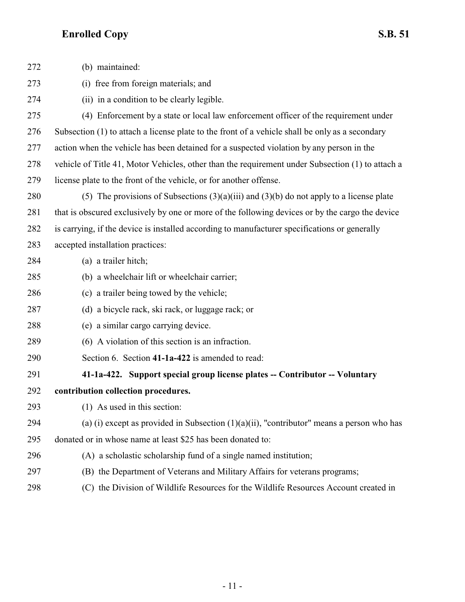<span id="page-10-0"></span>

| 272 | (b) maintained:                                                                                  |
|-----|--------------------------------------------------------------------------------------------------|
| 273 | (i) free from foreign materials; and                                                             |
| 274 | (ii) in a condition to be clearly legible.                                                       |
| 275 | (4) Enforcement by a state or local law enforcement officer of the requirement under             |
| 276 | Subsection (1) to attach a license plate to the front of a vehicle shall be only as a secondary  |
| 277 | action when the vehicle has been detained for a suspected violation by any person in the         |
| 278 | vehicle of Title 41, Motor Vehicles, other than the requirement under Subsection (1) to attach a |
| 279 | license plate to the front of the vehicle, or for another offense.                               |
| 280 | (5) The provisions of Subsections $(3)(a)(iii)$ and $(3)(b)$ do not apply to a license plate     |
| 281 | that is obscured exclusively by one or more of the following devices or by the cargo the device  |
| 282 | is carrying, if the device is installed according to manufacturer specifications or generally    |
| 283 | accepted installation practices:                                                                 |
| 284 | (a) a trailer hitch;                                                                             |
| 285 | (b) a wheelchair lift or wheelchair carrier;                                                     |
| 286 | (c) a trailer being towed by the vehicle;                                                        |
| 287 | (d) a bicycle rack, ski rack, or luggage rack; or                                                |
| 288 | (e) a similar cargo carrying device.                                                             |
| 289 | (6) A violation of this section is an infraction.                                                |
| 290 | Section 6. Section 41-1a-422 is amended to read:                                                 |
| 291 | 41-1a-422. Support special group license plates -- Contributor -- Voluntary                      |
| 292 | contribution collection procedures.                                                              |
| 293 | $(1)$ As used in this section:                                                                   |
| 294 | (a) (i) except as provided in Subsection $(1)(a)(ii)$ , "contributor" means a person who has     |
| 295 | donated or in whose name at least \$25 has been donated to:                                      |
| 296 | (A) a scholastic scholarship fund of a single named institution;                                 |
| 297 | (B) the Department of Veterans and Military Affairs for veterans programs;                       |
| 298 | (C) the Division of Wildlife Resources for the Wildlife Resources Account created in             |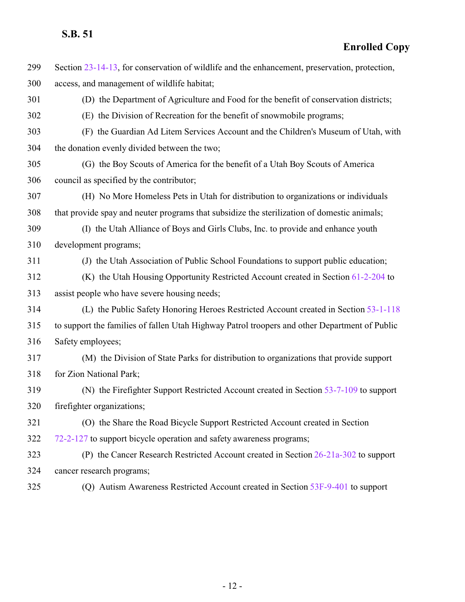Section [23-14-13](http://le.utah.gov/UtahCode/SectionLookup.jsp?section=23-14-13&session=2022GS), for conservation of wildlife and the enhancement, preservation, protection, access, and management of wildlife habitat; (D) the Department of Agriculture and Food for the benefit of conservation districts; (E) the Division of Recreation for the benefit of snowmobile programs; (F) the Guardian Ad Litem Services Account and the Children's Museum of Utah, with the donation evenly divided between the two; (G) the Boy Scouts of America for the benefit of a Utah Boy Scouts of America council as specified by the contributor; (H) No More Homeless Pets in Utah for distribution to organizations or individuals that provide spay and neuter programs that subsidize the sterilization of domestic animals; (I) the Utah Alliance of Boys and Girls Clubs, Inc. to provide and enhance youth development programs; (J) the Utah Association of Public School Foundations to support public education; (K) the Utah Housing Opportunity Restricted Account created in Section [61-2-204](http://le.utah.gov/UtahCode/SectionLookup.jsp?section=61-2-204&session=2022GS) to assist people who have severe housing needs; (L) the Public Safety Honoring Heroes Restricted Account created in Section [53-1-118](http://le.utah.gov/UtahCode/SectionLookup.jsp?section=53-1-118&session=2022GS) to support the families of fallen Utah Highway Patrol troopers and other Department of Public Safety employees; (M) the Division of State Parks for distribution to organizations that provide support for Zion National Park; (N) the Firefighter Support Restricted Account created in Section [53-7-109](http://le.utah.gov/UtahCode/SectionLookup.jsp?section=53-7-109&session=2022GS) to support firefighter organizations; (O) the Share the Road Bicycle Support Restricted Account created in Section [72-2-127](http://le.utah.gov/UtahCode/SectionLookup.jsp?section=72-2-127&session=2022GS) to support bicycle operation and safety awareness programs; (P) the Cancer Research Restricted Account created in Section [26-21a-302](http://le.utah.gov/UtahCode/SectionLookup.jsp?section=26-21a-302&session=2022GS) to support cancer research programs; (Q) Autism Awareness Restricted Account created in Section [53F-9-401](http://le.utah.gov/UtahCode/SectionLookup.jsp?section=53f-9-401&session=2022GS) to support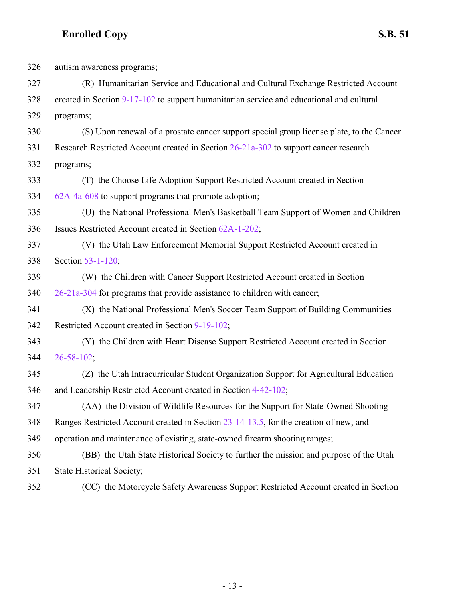| 326 | autism awareness programs;                                                               |
|-----|------------------------------------------------------------------------------------------|
| 327 | (R) Humanitarian Service and Educational and Cultural Exchange Restricted Account        |
| 328 | created in Section 9-17-102 to support humanitarian service and educational and cultural |
| 329 | programs;                                                                                |
| 330 | (S) Upon renewal of a prostate cancer support special group license plate, to the Cancer |
| 331 | Research Restricted Account created in Section 26-21a-302 to support cancer research     |
| 332 | programs;                                                                                |
| 333 | (T) the Choose Life Adoption Support Restricted Account created in Section               |
| 334 | 62A-4a-608 to support programs that promote adoption;                                    |
| 335 | (U) the National Professional Men's Basketball Team Support of Women and Children        |
| 336 | Issues Restricted Account created in Section 62A-1-202;                                  |
| 337 | (V) the Utah Law Enforcement Memorial Support Restricted Account created in              |
| 338 | Section 53-1-120;                                                                        |
| 339 | (W) the Children with Cancer Support Restricted Account created in Section               |
| 340 | 26-21a-304 for programs that provide assistance to children with cancer;                 |
| 341 | (X) the National Professional Men's Soccer Team Support of Building Communities          |
| 342 | Restricted Account created in Section 9-19-102;                                          |
| 343 | (Y) the Children with Heart Disease Support Restricted Account created in Section        |
| 344 | $26 - 58 - 102$ ;                                                                        |
| 345 | (Z) the Utah Intracurricular Student Organization Support for Agricultural Education     |
| 346 | and Leadership Restricted Account created in Section 4-42-102;                           |
| 347 | (AA) the Division of Wildlife Resources for the Support for State-Owned Shooting         |
| 348 | Ranges Restricted Account created in Section 23-14-13.5, for the creation of new, and    |
| 349 | operation and maintenance of existing, state-owned firearm shooting ranges;              |
| 350 | (BB) the Utah State Historical Society to further the mission and purpose of the Utah    |
| 351 | <b>State Historical Society;</b>                                                         |
| 352 | (CC) the Motorcycle Safety Awareness Support Restricted Account created in Section       |

- 13 -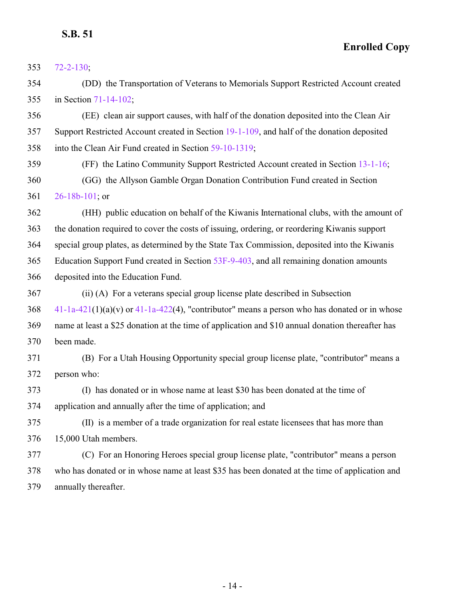**Enrolled Copy**

[72-2-130](http://le.utah.gov/UtahCode/SectionLookup.jsp?section=72-2-130&session=2022GS);

 (DD) the Transportation of Veterans to Memorials Support Restricted Account created in Section [71-14-102](http://le.utah.gov/UtahCode/SectionLookup.jsp?section=71-14-102&session=2022GS);

 (EE) clean air support causes, with half of the donation deposited into the Clean Air Support Restricted Account created in Section [19-1-109](http://le.utah.gov/UtahCode/SectionLookup.jsp?section=19-1-109&session=2022GS), and half of the donation deposited into the Clean Air Fund created in Section [59-10-1319](http://le.utah.gov/UtahCode/SectionLookup.jsp?section=59-10-1319&session=2022GS);

 (FF) the Latino Community Support Restricted Account created in Section [13-1-16](http://le.utah.gov/UtahCode/SectionLookup.jsp?section=13-1-16&session=2022GS); (GG) the Allyson Gamble Organ Donation Contribution Fund created in Section [26-18b-101](http://le.utah.gov/UtahCode/SectionLookup.jsp?section=26-18b-101&session=2022GS); or

 (HH) public education on behalf of the Kiwanis International clubs, with the amount of the donation required to cover the costs of issuing, ordering, or reordering Kiwanis support special group plates, as determined by the State Tax Commission, deposited into the Kiwanis Education Support Fund created in Section [53F-9-403](http://le.utah.gov/UtahCode/SectionLookup.jsp?section=53f-9-403&session=2022GS), and all remaining donation amounts deposited into the Education Fund.

 (ii) (A) For a veterans special group license plate described in Subsection [41-1a-421](http://le.utah.gov/UtahCode/SectionLookup.jsp?section=41-1a-421&session=2022GS)(1)(a)(v) or [41-1a-422](#page-10-0)(4), "contributor" means a person who has donated or in whose name at least a \$25 donation at the time of application and \$10 annual donation thereafter has been made.

 (B) For a Utah Housing Opportunity special group license plate, "contributor" means a person who:

 (I) has donated or in whose name at least \$30 has been donated at the time of application and annually after the time of application; and

 (II) is a member of a trade organization for real estate licensees that has more than 15,000 Utah members.

 (C) For an Honoring Heroes special group license plate, "contributor" means a person who has donated or in whose name at least \$35 has been donated at the time of application and annually thereafter.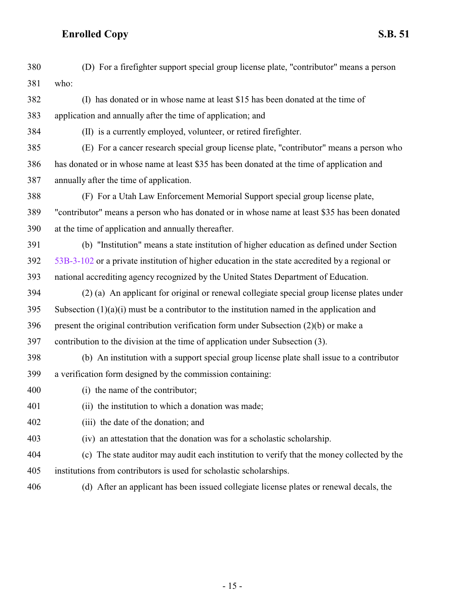| 380 | (D) For a firefighter support special group license plate, "contributor" means a person         |
|-----|-------------------------------------------------------------------------------------------------|
| 381 | who:                                                                                            |
| 382 | (I) has donated or in whose name at least \$15 has been donated at the time of                  |
| 383 | application and annually after the time of application; and                                     |
| 384 | (II) is a currently employed, volunteer, or retired firefighter.                                |
| 385 | (E) For a cancer research special group license plate, "contributor" means a person who         |
| 386 | has donated or in whose name at least \$35 has been donated at the time of application and      |
| 387 | annually after the time of application.                                                         |
| 388 | (F) For a Utah Law Enforcement Memorial Support special group license plate,                    |
| 389 | "contributor" means a person who has donated or in whose name at least \$35 has been donated    |
| 390 | at the time of application and annually thereafter.                                             |
| 391 | (b) "Institution" means a state institution of higher education as defined under Section        |
| 392 | 53B-3-102 or a private institution of higher education in the state accredited by a regional or |
| 393 | national accrediting agency recognized by the United States Department of Education.            |
| 394 | (2) (a) An applicant for original or renewal collegiate special group license plates under      |
| 395 | Subsection $(1)(a)(i)$ must be a contributor to the institution named in the application and    |
| 396 | present the original contribution verification form under Subsection $(2)(b)$ or make a         |
| 397 | contribution to the division at the time of application under Subsection (3).                   |
| 398 | (b) An institution with a support special group license plate shall issue to a contributor      |
| 399 | a verification form designed by the commission containing:                                      |
| 400 | (i) the name of the contributor;                                                                |
| 401 | (ii) the institution to which a donation was made;                                              |
| 402 | (iii) the date of the donation; and                                                             |
| 403 | (iv) an attestation that the donation was for a scholastic scholarship.                         |
| 404 | (c) The state auditor may audit each institution to verify that the money collected by the      |
| 405 | institutions from contributors is used for scholastic scholarships.                             |
|     | (d) After an applicant has been issued collegiate license plates or renewal decals, the         |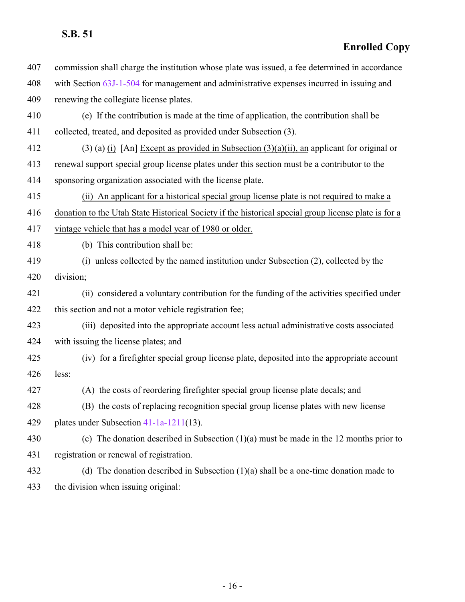**Enrolled Copy**

| commission shall charge the institution whose plate was issued, a fee determined in accordance       |
|------------------------------------------------------------------------------------------------------|
| with Section 63J-1-504 for management and administrative expenses incurred in issuing and            |
| renewing the collegiate license plates.                                                              |
| (e) If the contribution is made at the time of application, the contribution shall be                |
| collected, treated, and deposited as provided under Subsection (3).                                  |
| (3) (a) (i) [An] Except as provided in Subsection $(3)(a)(ii)$ , an applicant for original or        |
| renewal support special group license plates under this section must be a contributor to the         |
| sponsoring organization associated with the license plate.                                           |
| (ii) An applicant for a historical special group license plate is not required to make a             |
| donation to the Utah State Historical Society if the historical special group license plate is for a |
| vintage vehicle that has a model year of 1980 or older.                                              |
| (b) This contribution shall be:                                                                      |
| (i) unless collected by the named institution under Subsection (2), collected by the                 |
| division;                                                                                            |
| (ii) considered a voluntary contribution for the funding of the activities specified under           |
| this section and not a motor vehicle registration fee;                                               |
| (iii) deposited into the appropriate account less actual administrative costs associated             |
| with issuing the license plates; and                                                                 |
| (iv) for a firefighter special group license plate, deposited into the appropriate account           |
| less:                                                                                                |
| (A) the costs of reordering firefighter special group license plate decals; and                      |
| (B) the costs of replacing recognition special group license plates with new license                 |
| plates under Subsection $41-1a-1211(13)$ .                                                           |
| (c) The donation described in Subsection $(1)(a)$ must be made in the 12 months prior to             |
| registration or renewal of registration.                                                             |
| (d) The donation described in Subsection $(1)(a)$ shall be a one-time donation made to               |
|                                                                                                      |

the division when issuing original: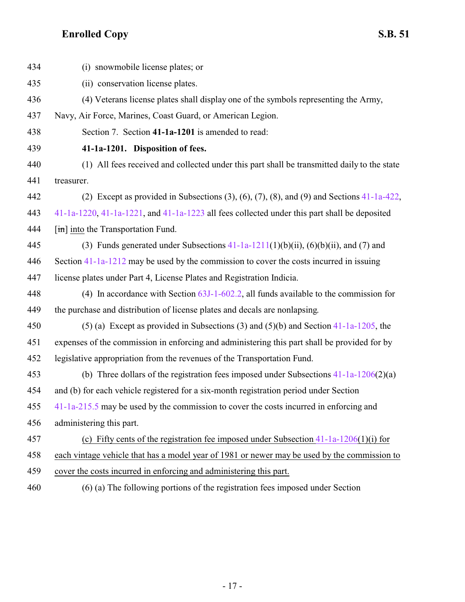<span id="page-16-0"></span>

| 434 | (i) snowmobile license plates; or                                                                       |
|-----|---------------------------------------------------------------------------------------------------------|
| 435 | (ii) conservation license plates.                                                                       |
| 436 | (4) Veterans license plates shall display one of the symbols representing the Army,                     |
| 437 | Navy, Air Force, Marines, Coast Guard, or American Legion.                                              |
| 438 | Section 7. Section 41-1a-1201 is amended to read:                                                       |
| 439 | 41-1a-1201. Disposition of fees.                                                                        |
| 440 | (1) All fees received and collected under this part shall be transmitted daily to the state             |
| 441 | treasurer.                                                                                              |
| 442 | (2) Except as provided in Subsections $(3)$ , $(6)$ , $(7)$ , $(8)$ , and $(9)$ and Sections 41-1a-422, |
| 443 | 41-1a-1220, 41-1a-1221, and 41-1a-1223 all fees collected under this part shall be deposited            |
| 444 | $\left[\frac{\text{im}}{\text{im}}\right]$ into the Transportation Fund.                                |
| 445 | (3) Funds generated under Subsections $41-1a-1211(1)(b)(ii)$ , $(6)(b)(ii)$ , and (7) and               |
| 446 | Section 41-1a-1212 may be used by the commission to cover the costs incurred in issuing                 |
| 447 | license plates under Part 4, License Plates and Registration Indicia.                                   |
| 448 | (4) In accordance with Section $63J-1-602.2$ , all funds available to the commission for                |
| 449 | the purchase and distribution of license plates and decals are nonlapsing.                              |
| 450 | (5) (a) Except as provided in Subsections (3) and (5)(b) and Section $41-1a-1205$ , the                 |
| 451 | expenses of the commission in enforcing and administering this part shall be provided for by            |
| 452 | legislative appropriation from the revenues of the Transportation Fund.                                 |
| 453 | (b) Three dollars of the registration fees imposed under Subsections $41-1a-1206(2)(a)$                 |
| 454 | and (b) for each vehicle registered for a six-month registration period under Section                   |
| 455 | 41-1a-215.5 may be used by the commission to cover the costs incurred in enforcing and                  |
| 456 | administering this part.                                                                                |
| 457 | (c) Fifty cents of the registration fee imposed under Subsection $41-1a-1206(1)(i)$ for                 |
| 458 | each vintage vehicle that has a model year of 1981 or newer may be used by the commission to            |
| 459 | cover the costs incurred in enforcing and administering this part.                                      |
| 460 | (6) (a) The following portions of the registration fees imposed under Section                           |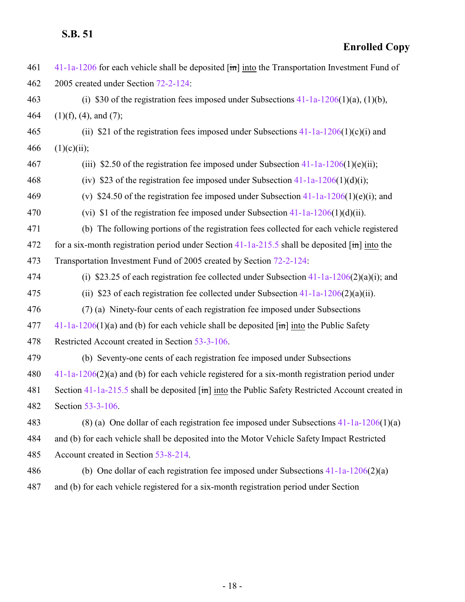| 461 | $41-1a-1206$ for each vehicle shall be deposited $\overline{m}$ into the Transportation Investment Fund of   |
|-----|--------------------------------------------------------------------------------------------------------------|
| 462 | 2005 created under Section 72-2-124:                                                                         |
| 463 | (i) \$30 of the registration fees imposed under Subsections $41-1a-1206(1)(a)$ , (1)(b),                     |
| 464 | $(1)(f)$ , $(4)$ , and $(7)$ ;                                                                               |
| 465 | (ii) \$21 of the registration fees imposed under Subsections $41-1a-1206(1)(c)(i)$ and                       |
| 466 | (1)(c)(ii);                                                                                                  |
| 467 | (iii) \$2.50 of the registration fee imposed under Subsection $41-1a-1206(1)(e)$ (ii);                       |
| 468 | (iv) \$23 of the registration fee imposed under Subsection $41-1a-1206(1)(d)(i)$ ;                           |
| 469 | (v) \$24.50 of the registration fee imposed under Subsection $41-1a-1206(1)(e)(i)$ ; and                     |
| 470 | (vi) \$1 of the registration fee imposed under Subsection $41-1a-1206(1)(d)(ii)$ .                           |
| 471 | (b) The following portions of the registration fees collected for each vehicle registered                    |
| 472 | for a six-month registration period under Section $41$ -1a-215.5 shall be deposited $[\hat{m}]$ into the     |
| 473 | Transportation Investment Fund of 2005 created by Section 72-2-124:                                          |
| 474 | (i) \$23.25 of each registration fee collected under Subsection $41-1a-1206(2)(a)(i)$ ; and                  |
| 475 | (ii) \$23 of each registration fee collected under Subsection $41-1a-1206(2)(a)(ii)$ .                       |
| 476 | (7) (a) Ninety-four cents of each registration fee imposed under Subsections                                 |
| 477 | $41-1a-1206(1)(a)$ and (b) for each vehicle shall be deposited $\overline{[m]}$ into the Public Safety       |
| 478 | Restricted Account created in Section 53-3-106.                                                              |
| 479 | (b) Seventy-one cents of each registration fee imposed under Subsections                                     |
| 480 | $41-1a-1206(2)(a)$ and (b) for each vehicle registered for a six-month registration period under             |
| 481 | Section 41-1a-215.5 shall be deposited $\overline{[m]}$ into the Public Safety Restricted Account created in |
| 482 | Section 53-3-106.                                                                                            |
| 483 | (8) (a) One dollar of each registration fee imposed under Subsections $41-1a-1206(1)(a)$                     |
| 484 | and (b) for each vehicle shall be deposited into the Motor Vehicle Safety Impact Restricted                  |
| 485 | Account created in Section 53-8-214.                                                                         |
| 486 | (b) One dollar of each registration fee imposed under Subsections $41-1a-1206(2)(a)$                         |
| 487 | and (b) for each vehicle registered for a six-month registration period under Section                        |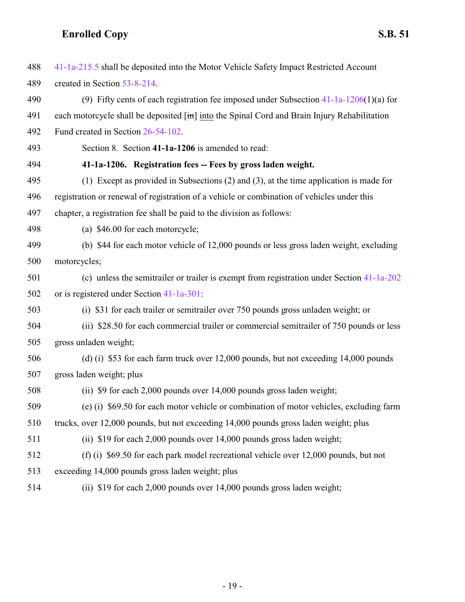<span id="page-18-0"></span>

| 488 | 41-1a-215.5 shall be deposited into the Motor Vehicle Safety Impact Restricted Account       |
|-----|----------------------------------------------------------------------------------------------|
| 489 | created in Section 53-8-214.                                                                 |
| 490 | (9) Fifty cents of each registration fee imposed under Subsection $41-1a-1206(1)(a)$ for     |
| 491 | each motorcycle shall be deposited [in] into the Spinal Cord and Brain Injury Rehabilitation |
| 492 | Fund created in Section 26-54-102.                                                           |
| 493 | Section 8. Section 41-1a-1206 is amended to read:                                            |
| 494 | 41-1a-1206. Registration fees -- Fees by gross laden weight.                                 |
| 495 | (1) Except as provided in Subsections $(2)$ and $(3)$ , at the time application is made for  |
| 496 | registration or renewal of registration of a vehicle or combination of vehicles under this   |
| 497 | chapter, a registration fee shall be paid to the division as follows:                        |
| 498 | (a) \$46.00 for each motorcycle;                                                             |
| 499 | (b) \$44 for each motor vehicle of 12,000 pounds or less gross laden weight, excluding       |
| 500 | motorcycles;                                                                                 |
| 501 | (c) unless the semitrailer or trailer is exempt from registration under Section 41-1a-202    |
| 502 | or is registered under Section 41-1a-301:                                                    |
| 503 | (i) \$31 for each trailer or semitrailer over 750 pounds gross unladen weight; or            |
| 504 | (ii) \$28.50 for each commercial trailer or commercial semitrailer of 750 pounds or less     |
| 505 | gross unladen weight;                                                                        |
| 506 | (d) (i) \$53 for each farm truck over 12,000 pounds, but not exceeding 14,000 pounds         |
| 507 | gross laden weight; plus                                                                     |
| 508 | (ii) \$9 for each 2,000 pounds over 14,000 pounds gross laden weight;                        |
| 509 | (e) (i) \$69.50 for each motor vehicle or combination of motor vehicles, excluding farm      |
| 510 | trucks, over 12,000 pounds, but not exceeding 14,000 pounds gross laden weight; plus         |
| 511 | (ii) \$19 for each 2,000 pounds over 14,000 pounds gross laden weight;                       |
| 512 | (f) (i) $$69.50$ for each park model recreational vehicle over 12,000 pounds, but not        |
| 513 | exceeding 14,000 pounds gross laden weight; plus                                             |
| 514 | \$19 for each 2,000 pounds over 14,000 pounds gross laden weight;<br>(ii)                    |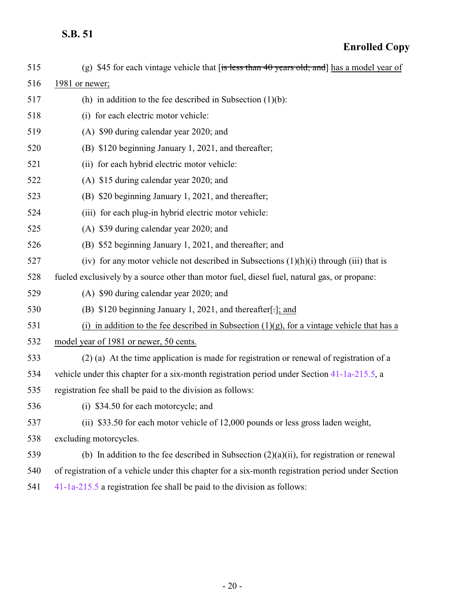| 515 | (g) \$45 for each vintage vehicle that [is less than 40 years old; and] has a model year of       |
|-----|---------------------------------------------------------------------------------------------------|
| 516 | 1981 or newer;                                                                                    |
| 517 | (h) in addition to the fee described in Subsection $(1)(b)$ :                                     |
| 518 | (i) for each electric motor vehicle:                                                              |
| 519 | (A) \$90 during calendar year 2020; and                                                           |
| 520 | (B) \$120 beginning January 1, 2021, and thereafter;                                              |
| 521 | (ii) for each hybrid electric motor vehicle:                                                      |
| 522 | (A) \$15 during calendar year 2020; and                                                           |
| 523 | (B) \$20 beginning January 1, 2021, and thereafter;                                               |
| 524 | (iii) for each plug-in hybrid electric motor vehicle:                                             |
| 525 | (A) \$39 during calendar year 2020; and                                                           |
| 526 | (B) \$52 beginning January 1, 2021, and thereafter; and                                           |
| 527 | (iv) for any motor vehicle not described in Subsections $(1)(h)(i)$ through (iii) that is         |
| 528 | fueled exclusively by a source other than motor fuel, diesel fuel, natural gas, or propane:       |
| 529 | (A) \$90 during calendar year 2020; and                                                           |
| 530 | (B) \$120 beginning January 1, 2021, and thereafter[.]; and                                       |
| 531 | (i) in addition to the fee described in Subsection $(1)(g)$ , for a vintage vehicle that has a    |
| 532 | model year of 1981 or newer, 50 cents.                                                            |
| 533 | (2) (a) At the time application is made for registration or renewal of registration of a          |
| 534 | vehicle under this chapter for a six-month registration period under Section 41-1a-215.5, a       |
| 535 | registration fee shall be paid to the division as follows:                                        |
| 536 | (i) \$34.50 for each motorcycle; and                                                              |
| 537 | (ii) \$33.50 for each motor vehicle of 12,000 pounds or less gross laden weight,                  |
| 538 | excluding motorcycles.                                                                            |
| 539 | (b) In addition to the fee described in Subsection $(2)(a)(ii)$ , for registration or renewal     |
| 540 | of registration of a vehicle under this chapter for a six-month registration period under Section |
| 541 | $41-1a-215.5$ a registration fee shall be paid to the division as follows:                        |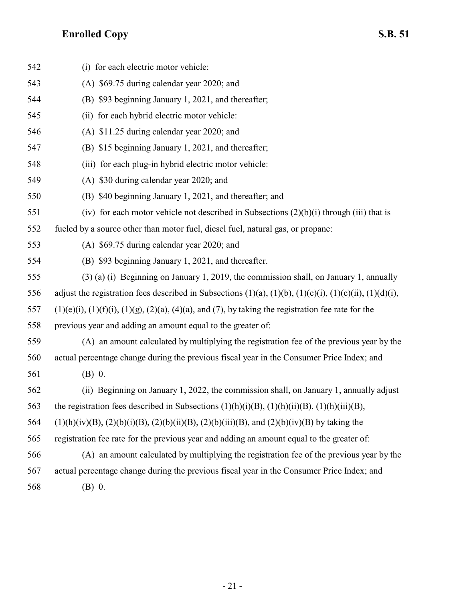| 542 | (i) for each electric motor vehicle:                                                                                   |
|-----|------------------------------------------------------------------------------------------------------------------------|
| 543 | (A) \$69.75 during calendar year 2020; and                                                                             |
| 544 | (B) \$93 beginning January 1, 2021, and thereafter;                                                                    |
| 545 | (ii) for each hybrid electric motor vehicle:                                                                           |
| 546 | $(A)$ \$11.25 during calendar year 2020; and                                                                           |
| 547 | (B) \$15 beginning January 1, 2021, and thereafter;                                                                    |
| 548 | (iii) for each plug-in hybrid electric motor vehicle:                                                                  |
| 549 | (A) \$30 during calendar year 2020; and                                                                                |
| 550 | (B) \$40 beginning January 1, 2021, and thereafter; and                                                                |
| 551 | (iv) for each motor vehicle not described in Subsections $(2)(b)(i)$ through (iii) that is                             |
| 552 | fueled by a source other than motor fuel, diesel fuel, natural gas, or propane:                                        |
| 553 | $(A)$ \$69.75 during calendar year 2020; and                                                                           |
| 554 | (B) \$93 beginning January 1, 2021, and thereafter.                                                                    |
| 555 | (3) (a) (i) Beginning on January 1, 2019, the commission shall, on January 1, annually                                 |
| 556 | adjust the registration fees described in Subsections $(1)(a)$ , $(1)(b)$ , $(1)(c)(i)$ , $(1)(c)(ii)$ , $(1)(d)(i)$ , |
| 557 | $(1)(e)(i)$ , $(1)(f)(i)$ , $(1)(g)$ , $(2)(a)$ , $(4)(a)$ , and $(7)$ , by taking the registration fee rate for the   |
| 558 | previous year and adding an amount equal to the greater of:                                                            |
| 559 | (A) an amount calculated by multiplying the registration fee of the previous year by the                               |
| 560 | actual percentage change during the previous fiscal year in the Consumer Price Index; and                              |
| 561 | $(B)$ 0.                                                                                                               |
| 562 | (ii) Beginning on January 1, 2022, the commission shall, on January 1, annually adjust                                 |
| 563 | the registration fees described in Subsections $(1)(h)(i)(B)$ , $(1)(h)(ii)(B)$ , $(1)(h)(iii)(B)$ ,                   |
| 564 | $(1)(h)(iv)(B), (2)(b)(i)(B), (2)(b)(ii)(B), (2)(b)(iii)(B), and (2)(b)(iv)(B)$ by taking the                          |
| 565 | registration fee rate for the previous year and adding an amount equal to the greater of:                              |
| 566 | (A) an amount calculated by multiplying the registration fee of the previous year by the                               |
| 567 | actual percentage change during the previous fiscal year in the Consumer Price Index; and                              |
| 568 | (B) 0.                                                                                                                 |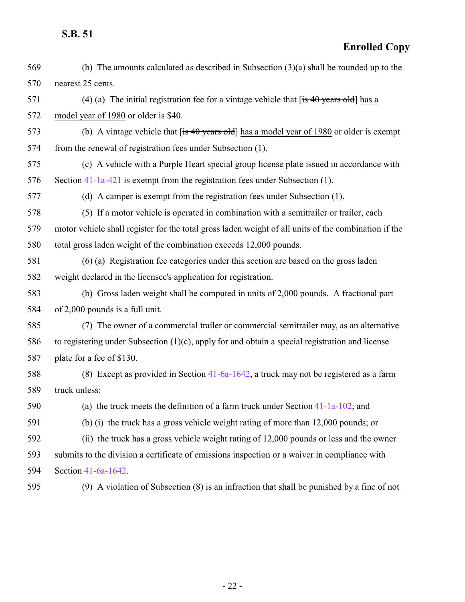| 569 | (b) The amounts calculated as described in Subsection $(3)(a)$ shall be rounded up to the            |
|-----|------------------------------------------------------------------------------------------------------|
| 570 | nearest 25 cents.                                                                                    |
| 571 | (4) (a) The initial registration fee for a vintage vehicle that $\overline{f}$ is 40 years old has a |
| 572 | model year of 1980 or older is \$40.                                                                 |
| 573 | (b) A vintage vehicle that $[$ is 40 years old] has a model year of 1980 or older is exempt          |
| 574 | from the renewal of registration fees under Subsection (1).                                          |
| 575 | (c) A vehicle with a Purple Heart special group license plate issued in accordance with              |
| 576 | Section 41-1a-421 is exempt from the registration fees under Subsection (1).                         |
| 577 | (d) A camper is exempt from the registration fees under Subsection (1).                              |
| 578 | (5) If a motor vehicle is operated in combination with a semitrailer or trailer, each                |
| 579 | motor vehicle shall register for the total gross laden weight of all units of the combination if the |
| 580 | total gross laden weight of the combination exceeds 12,000 pounds.                                   |
| 581 | (6) (a) Registration fee categories under this section are based on the gross laden                  |
| 582 | weight declared in the licensee's application for registration.                                      |
| 583 | (b) Gross laden weight shall be computed in units of 2,000 pounds. A fractional part                 |
| 584 | of 2,000 pounds is a full unit.                                                                      |
| 585 | (7) The owner of a commercial trailer or commercial semitrailer may, as an alternative               |
| 586 | to registering under Subsection $(1)(c)$ , apply for and obtain a special registration and license   |
| 587 | plate for a fee of \$130.                                                                            |
| 588 | (8) Except as provided in Section $41-6a-1642$ , a truck may not be registered as a farm             |
| 589 | truck unless:                                                                                        |
| 590 | (a) the truck meets the definition of a farm truck under Section $41-1a-102$ ; and                   |
| 591 | (b) (i) the truck has a gross vehicle weight rating of more than 12,000 pounds; or                   |
| 592 | (ii) the truck has a gross vehicle weight rating of 12,000 pounds or less and the owner              |
| 593 | submits to the division a certificate of emissions inspection or a waiver in compliance with         |
| 594 | Section 41-6a-1642.                                                                                  |
| 595 | $(9)$ A violation of Subsection $(8)$ is an infraction that shall be punished by a fine of not       |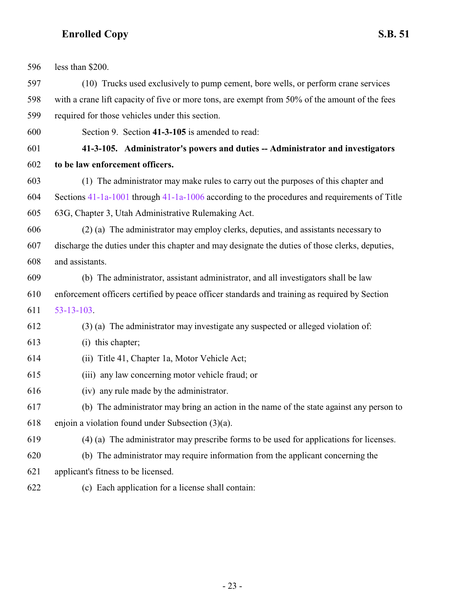<span id="page-22-0"></span>

| 596 | less than \$200.                                                                                 |
|-----|--------------------------------------------------------------------------------------------------|
| 597 | (10) Trucks used exclusively to pump cement, bore wells, or perform crane services               |
| 598 | with a crane lift capacity of five or more tons, are exempt from 50% of the amount of the fees   |
| 599 | required for those vehicles under this section.                                                  |
| 600 | Section 9. Section 41-3-105 is amended to read:                                                  |
| 601 | 41-3-105. Administrator's powers and duties -- Administrator and investigators                   |
| 602 | to be law enforcement officers.                                                                  |
| 603 | (1) The administrator may make rules to carry out the purposes of this chapter and               |
| 604 | Sections $41-1a-1001$ through $41-1a-1006$ according to the procedures and requirements of Title |
| 605 | 63G, Chapter 3, Utah Administrative Rulemaking Act.                                              |
| 606 | (2) (a) The administrator may employ clerks, deputies, and assistants necessary to               |
| 607 | discharge the duties under this chapter and may designate the duties of those clerks, deputies,  |
| 608 | and assistants.                                                                                  |
| 609 | (b) The administrator, assistant administrator, and all investigators shall be law               |
| 610 | enforcement officers certified by peace officer standards and training as required by Section    |
| 611 | $53 - 13 - 103$                                                                                  |
| 612 | (3) (a) The administrator may investigate any suspected or alleged violation of:                 |
| 613 | (i) this chapter;                                                                                |
| 614 | (ii) Title 41, Chapter 1a, Motor Vehicle Act;                                                    |
| 615 | (iii) any law concerning motor vehicle fraud; or                                                 |
| 616 | (iv) any rule made by the administrator.                                                         |
| 617 | (b) The administrator may bring an action in the name of the state against any person to         |
| 618 | enjoin a violation found under Subsection (3)(a).                                                |
| 619 | (4) (a) The administrator may prescribe forms to be used for applications for licenses.          |
| 620 | (b) The administrator may require information from the applicant concerning the                  |
| 621 | applicant's fitness to be licensed.                                                              |
| 622 | (c) Each application for a license shall contain:                                                |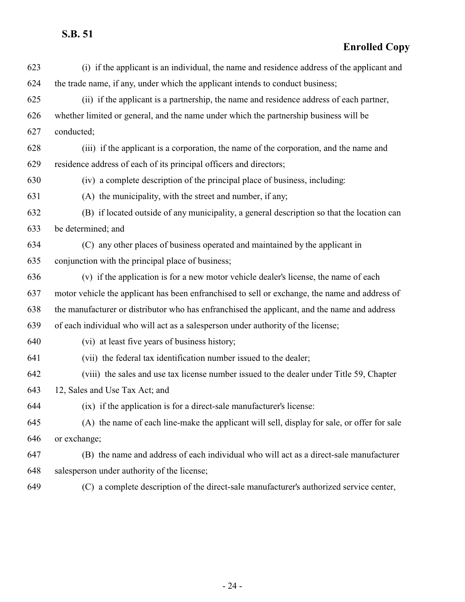**Enrolled Copy**

| 623 | (i) if the applicant is an individual, the name and residence address of the applicant and     |
|-----|------------------------------------------------------------------------------------------------|
| 624 | the trade name, if any, under which the applicant intends to conduct business;                 |
| 625 | (ii) if the applicant is a partnership, the name and residence address of each partner,        |
| 626 | whether limited or general, and the name under which the partnership business will be          |
| 627 | conducted;                                                                                     |
| 628 | (iii) if the applicant is a corporation, the name of the corporation, and the name and         |
| 629 | residence address of each of its principal officers and directors;                             |
| 630 | (iv) a complete description of the principal place of business, including:                     |
| 631 | (A) the municipality, with the street and number, if any;                                      |
| 632 | (B) if located outside of any municipality, a general description so that the location can     |
| 633 | be determined; and                                                                             |
| 634 | (C) any other places of business operated and maintained by the applicant in                   |
| 635 | conjunction with the principal place of business;                                              |
| 636 | (v) if the application is for a new motor vehicle dealer's license, the name of each           |
| 637 | motor vehicle the applicant has been enfranchised to sell or exchange, the name and address of |
| 638 | the manufacturer or distributor who has enfranchised the applicant, and the name and address   |
| 639 | of each individual who will act as a salesperson under authority of the license;               |
| 640 | (vi) at least five years of business history;                                                  |
| 641 | (vii) the federal tax identification number issued to the dealer;                              |
| 642 | (viii) the sales and use tax license number issued to the dealer under Title 59, Chapter       |
| 643 | 12, Sales and Use Tax Act; and                                                                 |
| 644 | (ix) if the application is for a direct-sale manufacturer's license:                           |
| 645 | (A) the name of each line-make the applicant will sell, display for sale, or offer for sale    |
| 646 | or exchange;                                                                                   |
| 647 | (B) the name and address of each individual who will act as a direct-sale manufacturer         |
| 648 | salesperson under authority of the license;                                                    |
| 649 | (C) a complete description of the direct-sale manufacturer's authorized service center,        |

- 24 -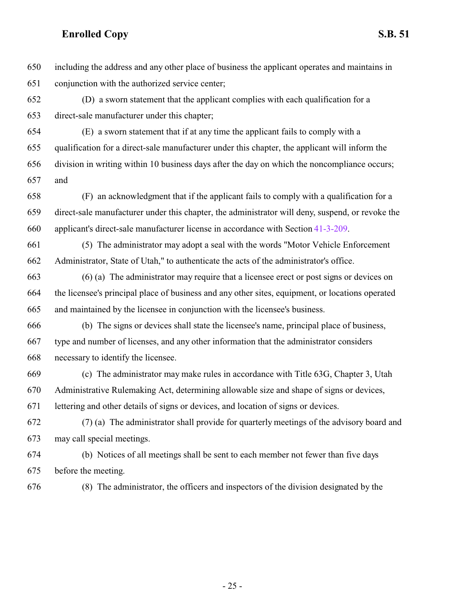including the address and any other place of business the applicant operates and maintains in conjunction with the authorized service center;

 (D) a sworn statement that the applicant complies with each qualification for a direct-sale manufacturer under this chapter;

 (E) a sworn statement that if at any time the applicant fails to comply with a qualification for a direct-sale manufacturer under this chapter, the applicant will inform the division in writing within 10 business days after the day on which the noncompliance occurs; and

 (F) an acknowledgment that if the applicant fails to comply with a qualification for a direct-sale manufacturer under this chapter, the administrator will deny, suspend, or revoke the applicant's direct-sale manufacturer license in accordance with Section [41-3-209](http://le.utah.gov/UtahCode/SectionLookup.jsp?section=41-3-209&session=2022GS).

 (5) The administrator may adopt a seal with the words "Motor Vehicle Enforcement Administrator, State of Utah," to authenticate the acts of the administrator's office.

 (6) (a) The administrator may require that a licensee erect or post signs or devices on the licensee's principal place of business and any other sites, equipment, or locations operated and maintained by the licensee in conjunction with the licensee's business.

 (b) The signs or devices shall state the licensee's name, principal place of business, type and number of licenses, and any other information that the administrator considers necessary to identify the licensee.

 (c) The administrator may make rules in accordance with Title 63G, Chapter 3, Utah Administrative Rulemaking Act, determining allowable size and shape of signs or devices, lettering and other details of signs or devices, and location of signs or devices.

 (7) (a) The administrator shall provide for quarterly meetings of the advisory board and may call special meetings.

 (b) Notices of all meetings shall be sent to each member not fewer than five days before the meeting.

(8) The administrator, the officers and inspectors of the division designated by the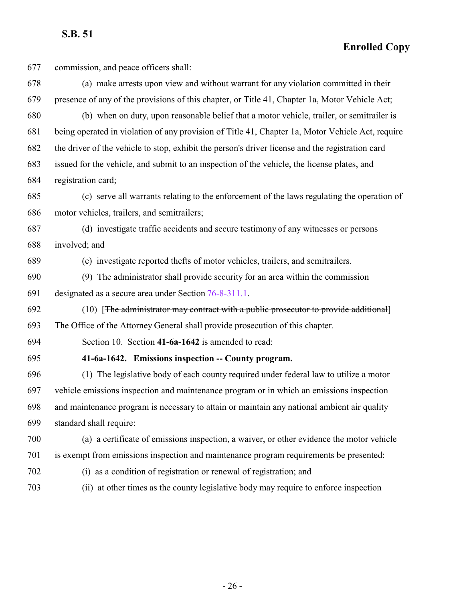**Enrolled Copy**

 commission, and peace officers shall: (a) make arrests upon view and without warrant for any violation committed in their presence of any of the provisions of this chapter, or Title 41, Chapter 1a, Motor Vehicle Act; (b) when on duty, upon reasonable belief that a motor vehicle, trailer, or semitrailer is being operated in violation of any provision of Title 41, Chapter 1a, Motor Vehicle Act, require the driver of the vehicle to stop, exhibit the person's driver license and the registration card issued for the vehicle, and submit to an inspection of the vehicle, the license plates, and registration card; (c) serve all warrants relating to the enforcement of the laws regulating the operation of motor vehicles, trailers, and semitrailers; (d) investigate traffic accidents and secure testimony of any witnesses or persons involved; and (e) investigate reported thefts of motor vehicles, trailers, and semitrailers. (9) The administrator shall provide security for an area within the commission designated as a secure area under Section [76-8-311.1](http://le.utah.gov/UtahCode/SectionLookup.jsp?section=76-8-311.1&session=2022GS). (10) [The administrator may contract with a public prosecutor to provide additional] The Office of the Attorney General shall provide prosecution of this chapter. Section 10. Section **41-6a-1642** is amended to read: **41-6a-1642. Emissions inspection -- County program.** (1) The legislative body of each county required under federal law to utilize a motor vehicle emissions inspection and maintenance program or in which an emissions inspection and maintenance program is necessary to attain or maintain any national ambient air quality standard shall require: (a) a certificate of emissions inspection, a waiver, or other evidence the motor vehicle is exempt from emissions inspection and maintenance program requirements be presented: (i) as a condition of registration or renewal of registration; and (ii) at other times as the county legislative body may require to enforce inspection

<span id="page-25-0"></span>- 26 -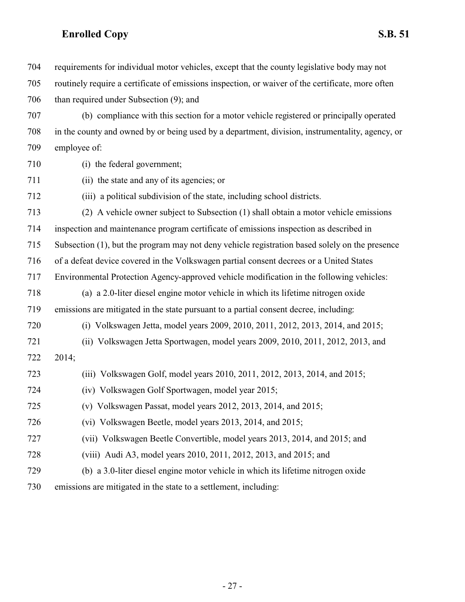| 704 | requirements for individual motor vehicles, except that the county legislative body may not       |
|-----|---------------------------------------------------------------------------------------------------|
| 705 | routinely require a certificate of emissions inspection, or waiver of the certificate, more often |
| 706 | than required under Subsection (9); and                                                           |
| 707 | (b) compliance with this section for a motor vehicle registered or principally operated           |
| 708 | in the county and owned by or being used by a department, division, instrumentality, agency, or   |
| 709 | employee of:                                                                                      |
| 710 | (i) the federal government;                                                                       |
| 711 | (ii) the state and any of its agencies; or                                                        |
| 712 | (iii) a political subdivision of the state, including school districts.                           |
| 713 | (2) A vehicle owner subject to Subsection (1) shall obtain a motor vehicle emissions              |
| 714 | inspection and maintenance program certificate of emissions inspection as described in            |
| 715 | Subsection (1), but the program may not deny vehicle registration based solely on the presence    |
| 716 | of a defeat device covered in the Volkswagen partial consent decrees or a United States           |
| 717 | Environmental Protection Agency-approved vehicle modification in the following vehicles:          |
| 718 | (a) a 2.0-liter diesel engine motor vehicle in which its lifetime nitrogen oxide                  |
| 719 | emissions are mitigated in the state pursuant to a partial consent decree, including:             |
| 720 | (i) Volkswagen Jetta, model years 2009, 2010, 2011, 2012, 2013, 2014, and 2015;                   |
| 721 | (ii) Volkswagen Jetta Sportwagen, model years 2009, 2010, 2011, 2012, 2013, and                   |
| 722 | 2014;                                                                                             |
| 723 | (iii) Volkswagen Golf, model years 2010, 2011, 2012, 2013, 2014, and 2015;                        |
| 724 | (iv) Volkswagen Golf Sportwagen, model year 2015;                                                 |
| 725 | (v) Volkswagen Passat, model years $2012$ , $2013$ , $2014$ , and $2015$ ;                        |
| 726 | (vi) Volkswagen Beetle, model years 2013, 2014, and 2015;                                         |
| 727 | (vii) Volkswagen Beetle Convertible, model years 2013, 2014, and 2015; and                        |
| 728 | (viii) Audi A3, model years 2010, 2011, 2012, 2013, and 2015; and                                 |
| 729 | (b) a 3.0-liter diesel engine motor vehicle in which its lifetime nitrogen oxide                  |
| 730 | emissions are mitigated in the state to a settlement, including:                                  |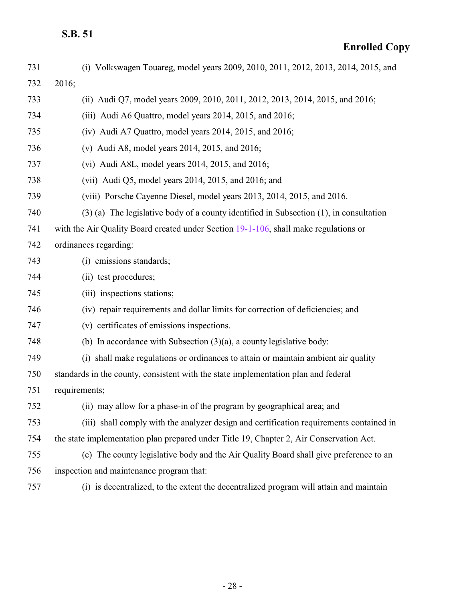| 731 | (i) Volkswagen Touareg, model years 2009, 2010, 2011, 2012, 2013, 2014, 2015, and           |
|-----|---------------------------------------------------------------------------------------------|
| 732 | 2016;                                                                                       |
| 733 | (ii) Audi Q7, model years 2009, 2010, 2011, 2012, 2013, 2014, 2015, and 2016;               |
| 734 | (iii) Audi A6 Quattro, model years 2014, 2015, and 2016;                                    |
| 735 | $(iv)$ Audi A7 Quattro, model years 2014, 2015, and 2016;                                   |
| 736 | (v) Audi A8, model years 2014, 2015, and 2016;                                              |
| 737 | (vi) Audi A8L, model years $2014$ , $2015$ , and $2016$ ;                                   |
| 738 | (vii) Audi Q5, model years $2014$ , $2015$ , and $2016$ ; and                               |
| 739 | (viii) Porsche Cayenne Diesel, model years 2013, 2014, 2015, and 2016.                      |
| 740 | $(3)$ (a) The legislative body of a county identified in Subsection $(1)$ , in consultation |
| 741 | with the Air Quality Board created under Section 19-1-106, shall make regulations or        |
| 742 | ordinances regarding:                                                                       |
| 743 | (i) emissions standards;                                                                    |
| 744 | (ii) test procedures;                                                                       |
| 745 | (iii) inspections stations;                                                                 |
| 746 | (iv) repair requirements and dollar limits for correction of deficiencies; and              |
| 747 | (v) certificates of emissions inspections.                                                  |
| 748 | (b) In accordance with Subsection $(3)(a)$ , a county legislative body:                     |
| 749 | (i) shall make regulations or ordinances to attain or maintain ambient air quality          |
| 750 | standards in the county, consistent with the state implementation plan and federal          |
| 751 | requirements;                                                                               |
| 752 | (ii) may allow for a phase-in of the program by geographical area; and                      |
| 753 | (iii) shall comply with the analyzer design and certification requirements contained in     |
| 754 | the state implementation plan prepared under Title 19, Chapter 2, Air Conservation Act.     |
| 755 | (c) The county legislative body and the Air Quality Board shall give preference to an       |
| 756 | inspection and maintenance program that:                                                    |
| 757 | (i) is decentralized, to the extent the decentralized program will attain and maintain      |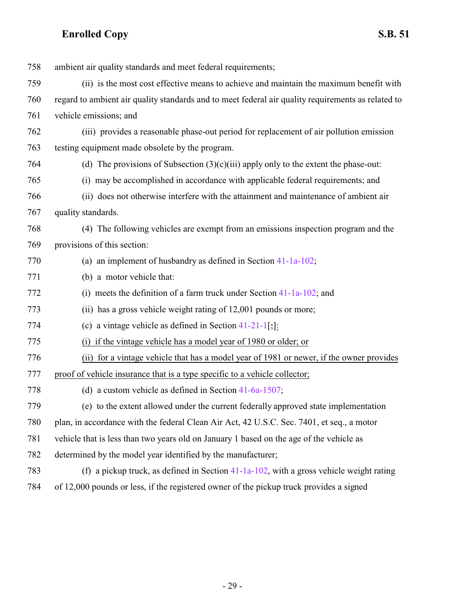| 758 | ambient air quality standards and meet federal requirements;                                       |
|-----|----------------------------------------------------------------------------------------------------|
| 759 | (ii) is the most cost effective means to achieve and maintain the maximum benefit with             |
| 760 | regard to ambient air quality standards and to meet federal air quality requirements as related to |
| 761 | vehicle emissions; and                                                                             |
| 762 | (iii) provides a reasonable phase-out period for replacement of air pollution emission             |
| 763 | testing equipment made obsolete by the program.                                                    |
| 764 | (d) The provisions of Subsection $(3)(c)(iii)$ apply only to the extent the phase-out:             |
| 765 | (i) may be accomplished in accordance with applicable federal requirements; and                    |
| 766 | (ii) does not otherwise interfere with the attainment and maintenance of ambient air               |
| 767 | quality standards.                                                                                 |
| 768 | (4) The following vehicles are exempt from an emissions inspection program and the                 |
| 769 | provisions of this section:                                                                        |
| 770 | (a) an implement of husbandry as defined in Section $41-1a-102$ ;                                  |
| 771 | (b) a motor vehicle that:                                                                          |
| 772 | (i) meets the definition of a farm truck under Section $41-1a-102$ ; and                           |
| 773 | (ii) has a gross vehicle weight rating of 12,001 pounds or more;                                   |
| 774 | (c) a vintage vehicle as defined in Section $41-21-1$ ; [:                                         |
| 775 | (i) if the vintage vehicle has a model year of 1980 or older; or                                   |
| 776 | (ii) for a vintage vehicle that has a model year of 1981 or newer, if the owner provides           |
| 777 | proof of vehicle insurance that is a type specific to a vehicle collector;                         |
| 778 | (d) a custom vehicle as defined in Section $41-6a-1507$ ;                                          |
| 779 | (e) to the extent allowed under the current federally approved state implementation                |
| 780 | plan, in accordance with the federal Clean Air Act, 42 U.S.C. Sec. 7401, et seq., a motor          |
| 781 | vehicle that is less than two years old on January 1 based on the age of the vehicle as            |
| 782 | determined by the model year identified by the manufacturer;                                       |
| 783 | (f) a pickup truck, as defined in Section $41-1a-102$ , with a gross vehicle weight rating         |
| 784 | of 12,000 pounds or less, if the registered owner of the pickup truck provides a signed            |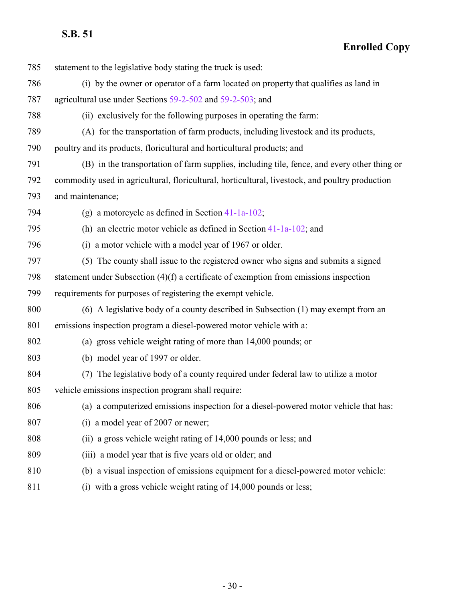| 785 | statement to the legislative body stating the truck is used:                                    |
|-----|-------------------------------------------------------------------------------------------------|
| 786 | (i) by the owner or operator of a farm located on property that qualifies as land in            |
| 787 | agricultural use under Sections 59-2-502 and 59-2-503; and                                      |
| 788 | (ii) exclusively for the following purposes in operating the farm:                              |
| 789 | (A) for the transportation of farm products, including livestock and its products,              |
| 790 | poultry and its products, floricultural and horticultural products; and                         |
| 791 | (B) in the transportation of farm supplies, including tile, fence, and every other thing or     |
| 792 | commodity used in agricultural, floricultural, horticultural, livestock, and poultry production |
| 793 | and maintenance;                                                                                |
| 794 | (g) a motorcycle as defined in Section $41-1a-102$ ;                                            |
| 795 | (h) an electric motor vehicle as defined in Section $41-1a-102$ ; and                           |
| 796 | (i) a motor vehicle with a model year of 1967 or older.                                         |
| 797 | (5) The county shall issue to the registered owner who signs and submits a signed               |
| 798 | statement under Subsection $(4)(f)$ a certificate of exemption from emissions inspection        |
| 799 | requirements for purposes of registering the exempt vehicle.                                    |
| 800 | (6) A legislative body of a county described in Subsection (1) may exempt from an               |
| 801 | emissions inspection program a diesel-powered motor vehicle with a:                             |
| 802 | (a) gross vehicle weight rating of more than 14,000 pounds; or                                  |
| 803 | (b) model year of 1997 or older.                                                                |
| 804 | (7) The legislative body of a county required under federal law to utilize a motor              |
| 805 | vehicle emissions inspection program shall require:                                             |
| 806 | (a) a computerized emissions inspection for a diesel-powered motor vehicle that has:            |
| 807 | (i) a model year of 2007 or newer;                                                              |
| 808 | (ii) a gross vehicle weight rating of 14,000 pounds or less; and                                |
| 809 | (iii) a model year that is five years old or older; and                                         |
| 810 | (b) a visual inspection of emissions equipment for a diesel-powered motor vehicle:              |
| 811 | (i) with a gross vehicle weight rating of 14,000 pounds or less;                                |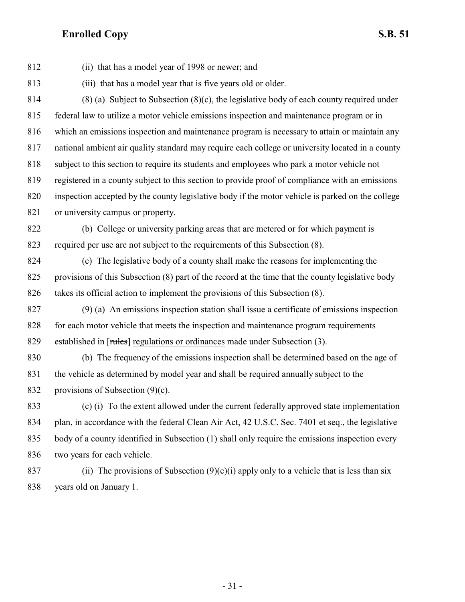(ii) that has a model year of 1998 or newer; and (iii) that has a model year that is five years old or older. 814 (8) (a) Subject to Subsection  $(8)(c)$ , the legislative body of each county required under federal law to utilize a motor vehicle emissions inspection and maintenance program or in which an emissions inspection and maintenance program is necessary to attain or maintain any national ambient air quality standard may require each college or university located in a county subject to this section to require its students and employees who park a motor vehicle not registered in a county subject to this section to provide proof of compliance with an emissions inspection accepted by the county legislative body if the motor vehicle is parked on the college 821 or university campus or property. (b) College or university parking areas that are metered or for which payment is required per use are not subject to the requirements of this Subsection (8). (c) The legislative body of a county shall make the reasons for implementing the provisions of this Subsection (8) part of the record at the time that the county legislative body takes its official action to implement the provisions of this Subsection (8). (9) (a) An emissions inspection station shall issue a certificate of emissions inspection for each motor vehicle that meets the inspection and maintenance program requirements 829 established in [rules] regulations or ordinances made under Subsection (3). (b) The frequency of the emissions inspection shall be determined based on the age of the vehicle as determined by model year and shall be required annually subject to the provisions of Subsection (9)(c). (c) (i) To the extent allowed under the current federally approved state implementation 834 plan, in accordance with the federal Clean Air Act, 42 U.S.C. Sec. 7401 et seq., the legislative body of a county identified in Subsection (1) shall only require the emissions inspection every two years for each vehicle. 837 (ii) The provisions of Subsection  $(9)(c)(i)$  apply only to a vehicle that is less than six

years old on January 1.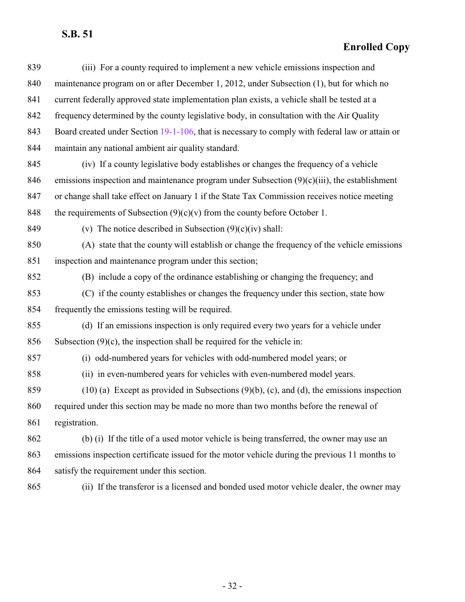#### **Enrolled Copy**

| 839 | (iii) For a county required to implement a new vehicle emissions inspection and                 |
|-----|-------------------------------------------------------------------------------------------------|
| 840 | maintenance program on or after December 1, 2012, under Subsection (1), but for which no        |
| 841 | current federally approved state implementation plan exists, a vehicle shall be tested at a     |
| 842 | frequency determined by the county legislative body, in consultation with the Air Quality       |
| 843 | Board created under Section 19-1-106, that is necessary to comply with federal law or attain or |
| 844 | maintain any national ambient air quality standard.                                             |
| 845 | (iv) If a county legislative body establishes or changes the frequency of a vehicle             |
| 846 | emissions inspection and maintenance program under Subsection $(9)(c)(iii)$ , the establishment |
| 847 | or change shall take effect on January 1 if the State Tax Commission receives notice meeting    |
| 848 | the requirements of Subsection $(9)(c)(v)$ from the county before October 1.                    |
| 849 | (v) The notice described in Subsection $(9)(c)(iv)$ shall:                                      |
| 850 | (A) state that the county will establish or change the frequency of the vehicle emissions       |
| 851 | inspection and maintenance program under this section;                                          |
| 852 | (B) include a copy of the ordinance establishing or changing the frequency; and                 |
| 853 | (C) if the county establishes or changes the frequency under this section, state how            |
| 854 | frequently the emissions testing will be required.                                              |
| 855 | (d) If an emissions inspection is only required every two years for a vehicle under             |
| 856 | Subsection $(9)(c)$ , the inspection shall be required for the vehicle in:                      |
| 857 | (i) odd-numbered years for vehicles with odd-numbered model years; or                           |
| 858 | (ii) in even-numbered years for vehicles with even-numbered model years.                        |
| 859 | $(10)$ (a) Except as provided in Subsections $(9)(b)$ , (c), and (d), the emissions inspection  |
| 860 | required under this section may be made no more than two months before the renewal of           |
| 861 | registration.                                                                                   |
| 862 | (b) (i) If the title of a used motor vehicle is being transferred, the owner may use an         |
| 863 | emissions inspection certificate issued for the motor vehicle during the previous 11 months to  |
| 864 | satisfy the requirement under this section.                                                     |
| 065 | (2) If the turn change in a linear and and handed wead motor vehicle dealer the sympatry        |

(ii) If the transferor is a licensed and bonded used motor vehicle dealer, the owner may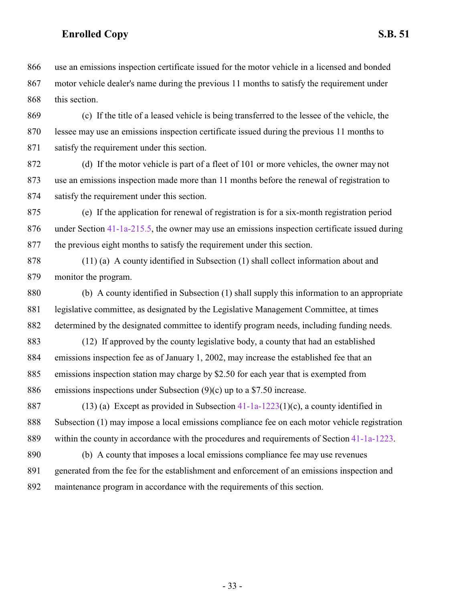use an emissions inspection certificate issued for the motor vehicle in a licensed and bonded motor vehicle dealer's name during the previous 11 months to satisfy the requirement under this section.

 (c) If the title of a leased vehicle is being transferred to the lessee of the vehicle, the lessee may use an emissions inspection certificate issued during the previous 11 months to satisfy the requirement under this section.

 (d) If the motor vehicle is part of a fleet of 101 or more vehicles, the owner may not use an emissions inspection made more than 11 months before the renewal of registration to satisfy the requirement under this section.

 (e) If the application for renewal of registration is for a six-month registration period 876 under Section [41-1a-215.5](http://le.utah.gov/UtahCode/SectionLookup.jsp?section=41-1a-215.5&session=2022GS), the owner may use an emissions inspection certificate issued during the previous eight months to satisfy the requirement under this section.

 (11) (a) A county identified in Subsection (1) shall collect information about and monitor the program.

 (b) A county identified in Subsection (1) shall supply this information to an appropriate legislative committee, as designated by the Legislative Management Committee, at times determined by the designated committee to identify program needs, including funding needs.

 (12) If approved by the county legislative body, a county that had an established emissions inspection fee as of January 1, 2002, may increase the established fee that an emissions inspection station may charge by \$2.50 for each year that is exempted from emissions inspections under Subsection (9)(c) up to a \$7.50 increase.

 (13) (a) Except as provided in Subsection [41-1a-1223](http://le.utah.gov/UtahCode/SectionLookup.jsp?section=41-1a-1223&session=2022GS)(1)(c), a county identified in Subsection (1) may impose a local emissions compliance fee on each motor vehicle registration within the county in accordance with the procedures and requirements of Section [41-1a-1223](http://le.utah.gov/UtahCode/SectionLookup.jsp?section=41-1a-1223&session=2022GS).

 (b) A county that imposes a local emissions compliance fee may use revenues generated from the fee for the establishment and enforcement of an emissions inspection and maintenance program in accordance with the requirements of this section.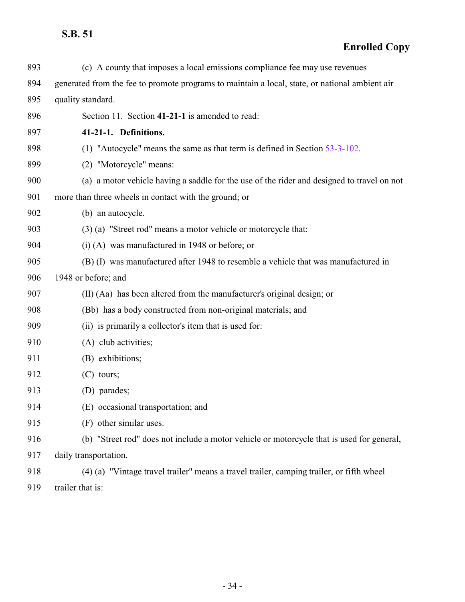<span id="page-33-0"></span>

| 893 | (c) A county that imposes a local emissions compliance fee may use revenues                    |
|-----|------------------------------------------------------------------------------------------------|
| 894 | generated from the fee to promote programs to maintain a local, state, or national ambient air |
| 895 | quality standard.                                                                              |
| 896 | Section 11. Section 41-21-1 is amended to read:                                                |
| 897 | 41-21-1. Definitions.                                                                          |
| 898 | (1) "Autocycle" means the same as that term is defined in Section $53-3-102$ .                 |
| 899 | (2) "Motorcycle" means:                                                                        |
| 900 | (a) a motor vehicle having a saddle for the use of the rider and designed to travel on not     |
| 901 | more than three wheels in contact with the ground; or                                          |
| 902 | (b) an autocycle.                                                                              |
| 903 | (3) (a) "Street rod" means a motor vehicle or motorcycle that:                                 |
| 904 | $(i)$ (A) was manufactured in 1948 or before; or                                               |
| 905 | (B) (I) was manufactured after 1948 to resemble a vehicle that was manufactured in             |
| 906 | 1948 or before; and                                                                            |
| 907 | (II) (Aa) has been altered from the manufacturer's original design; or                         |
| 908 | (Bb) has a body constructed from non-original materials; and                                   |
| 909 | (ii) is primarily a collector's item that is used for:                                         |
| 910 | (A) club activities;                                                                           |
| 911 | (B) exhibitions;                                                                               |
| 912 | $(C)$ tours;                                                                                   |
| 913 | (D) parades;                                                                                   |
| 914 | (E) occasional transportation; and                                                             |
| 915 | (F) other similar uses.                                                                        |
| 916 | (b) "Street rod" does not include a motor vehicle or motorcycle that is used for general,      |
| 917 | daily transportation.                                                                          |
| 918 | (4) (a) "Vintage travel trailer" means a travel trailer, camping trailer, or fifth wheel       |
| 919 | trailer that is:                                                                               |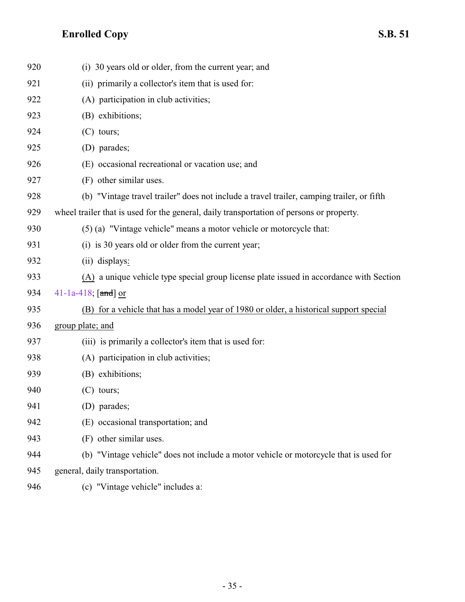| 920 | (i) 30 years old or older, from the current year; and                                     |
|-----|-------------------------------------------------------------------------------------------|
| 921 | (ii) primarily a collector's item that is used for:                                       |
| 922 | (A) participation in club activities;                                                     |
| 923 | (B) exhibitions;                                                                          |
| 924 | $(C)$ tours;                                                                              |
| 925 | (D) parades;                                                                              |
| 926 | (E) occasional recreational or vacation use; and                                          |
| 927 | (F) other similar uses.                                                                   |
| 928 | (b) "Vintage travel trailer" does not include a travel trailer, camping trailer, or fifth |
| 929 | wheel trailer that is used for the general, daily transportation of persons or property.  |
| 930 | (5) (a) "Vintage vehicle" means a motor vehicle or motorcycle that:                       |
| 931 | (i) is 30 years old or older from the current year;                                       |
| 932 | (ii) displays:                                                                            |
| 933 | (A) a unique vehicle type special group license plate issued in accordance with Section   |
| 934 | 41-1a-418; $[and]$ or                                                                     |
| 935 | (B) for a vehicle that has a model year of 1980 or older, a historical support special    |
| 936 | group plate; and                                                                          |
| 937 | (iii) is primarily a collector's item that is used for:                                   |
| 938 | (A) participation in club activities;                                                     |
| 939 | (B) exhibitions;                                                                          |
| 940 | $(C)$ tours;                                                                              |
| 941 | (D) parades;                                                                              |
| 942 | (E) occasional transportation; and                                                        |
| 943 | (F) other similar uses.                                                                   |
| 944 | (b) "Vintage vehicle" does not include a motor vehicle or motorcycle that is used for     |
| 945 | general, daily transportation.                                                            |
| 946 | (c) "Vintage vehicle" includes a:                                                         |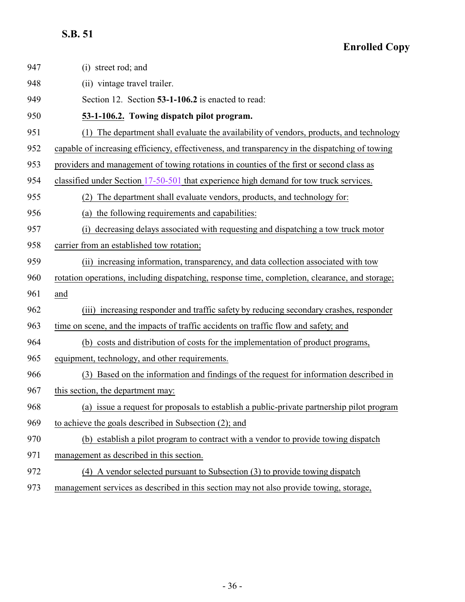<span id="page-35-0"></span>

| 947 | (i) street rod; and                                                                            |
|-----|------------------------------------------------------------------------------------------------|
| 948 | (ii) vintage travel trailer.                                                                   |
| 949 | Section 12. Section 53-1-106.2 is enacted to read:                                             |
| 950 | 53-1-106.2. Towing dispatch pilot program.                                                     |
| 951 | (1) The department shall evaluate the availability of vendors, products, and technology        |
| 952 | capable of increasing efficiency, effectiveness, and transparency in the dispatching of towing |
| 953 | providers and management of towing rotations in counties of the first or second class as       |
| 954 | classified under Section 17-50-501 that experience high demand for tow truck services.         |
| 955 | The department shall evaluate vendors, products, and technology for:<br>(2)                    |
| 956 | the following requirements and capabilities:<br>(a)                                            |
| 957 | decreasing delays associated with requesting and dispatching a tow truck motor<br>(i)          |
| 958 | carrier from an established tow rotation;                                                      |
| 959 | increasing information, transparency, and data collection associated with tow<br>(ii)          |
| 960 | rotation operations, including dispatching, response time, completion, clearance, and storage; |
| 961 | and                                                                                            |
| 962 | (iii) increasing responder and traffic safety by reducing secondary crashes, responder         |
| 963 | time on scene, and the impacts of traffic accidents on traffic flow and safety; and            |
| 964 | (b) costs and distribution of costs for the implementation of product programs,                |
| 965 | equipment, technology, and other requirements.                                                 |
| 966 | (3) Based on the information and findings of the request for information described in          |
| 967 | this section, the department may:                                                              |
| 968 | (a) issue a request for proposals to establish a public-private partnership pilot program      |
| 969 | to achieve the goals described in Subsection (2); and                                          |
| 970 | (b) establish a pilot program to contract with a vendor to provide towing dispatch             |
| 971 | management as described in this section.                                                       |
| 972 | (4) A vendor selected pursuant to Subsection (3) to provide towing dispatch                    |
| 973 | management services as described in this section may not also provide towing, storage,         |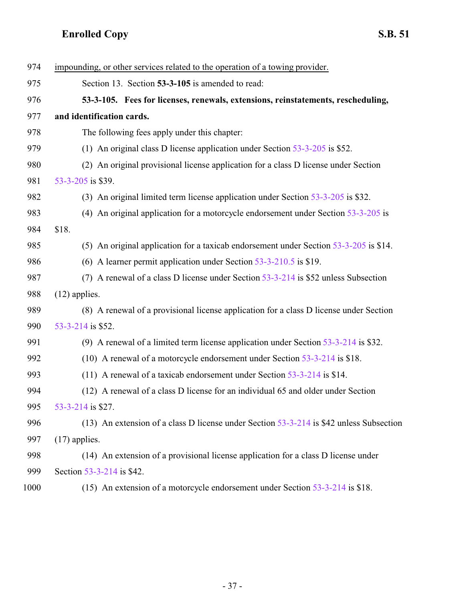<span id="page-36-0"></span>

| 974  | impounding, or other services related to the operation of a towing provider.              |
|------|-------------------------------------------------------------------------------------------|
| 975  | Section 13. Section 53-3-105 is amended to read:                                          |
| 976  | 53-3-105. Fees for licenses, renewals, extensions, reinstatements, rescheduling,          |
| 977  | and identification cards.                                                                 |
| 978  | The following fees apply under this chapter:                                              |
| 979  | (1) An original class D license application under Section $53-3-205$ is \$52.             |
| 980  | (2) An original provisional license application for a class D license under Section       |
| 981  | 53-3-205 is \$39.                                                                         |
| 982  | (3) An original limited term license application under Section 53-3-205 is \$32.          |
| 983  | (4) An original application for a motorcycle endorsement under Section $53-3-205$ is      |
| 984  | \$18.                                                                                     |
| 985  | (5) An original application for a taxicab endorsement under Section 53-3-205 is \$14.     |
| 986  | (6) A learner permit application under Section $53-3-210.5$ is \$19.                      |
| 987  | A renewal of a class D license under Section 53-3-214 is \$52 unless Subsection<br>(7)    |
| 988  | $(12)$ applies.                                                                           |
| 989  | (8) A renewal of a provisional license application for a class D license under Section    |
| 990  | 53-3-214 is \$52.                                                                         |
| 991  | (9) A renewal of a limited term license application under Section $53-3-214$ is \$32.     |
| 992  | (10) A renewal of a motorcycle endorsement under Section 53-3-214 is \$18.                |
| 993  | (11) A renewal of a taxicab endorsement under Section $53-3-214$ is \$14.                 |
| 994  | (12) A renewal of a class D license for an individual 65 and older under Section          |
| 995  | 53-3-214 is \$27.                                                                         |
| 996  | (13) An extension of a class D license under Section $53-3-214$ is \$42 unless Subsection |
| 997  | $(17)$ applies.                                                                           |
| 998  | (14) An extension of a provisional license application for a class D license under        |
| 999  | Section 53-3-214 is \$42.                                                                 |
| 1000 | (15) An extension of a motorcycle endorsement under Section $53-3-214$ is \$18.           |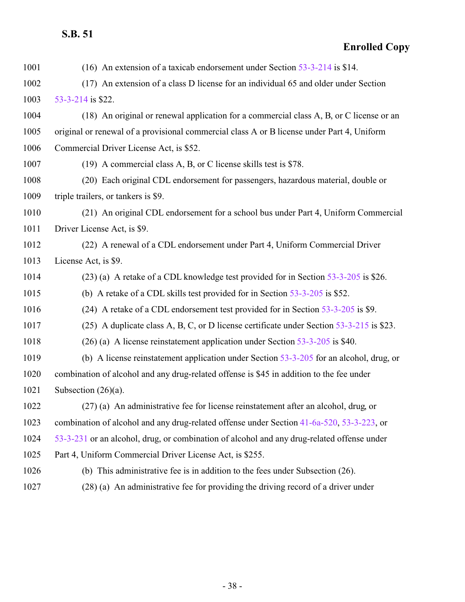| 1001 | (16) An extension of a taxicab endorsement under Section $53-3-214$ is \$14.               |
|------|--------------------------------------------------------------------------------------------|
| 1002 | (17) An extension of a class D license for an individual 65 and older under Section        |
| 1003 | 53-3-214 is \$22.                                                                          |
| 1004 | (18) An original or renewal application for a commercial class A, B, or C license or an    |
| 1005 | original or renewal of a provisional commercial class A or B license under Part 4, Uniform |
| 1006 | Commercial Driver License Act, is \$52.                                                    |
| 1007 | (19) A commercial class A, B, or C license skills test is \$78.                            |
| 1008 | (20) Each original CDL endorsement for passengers, hazardous material, double or           |
| 1009 | triple trailers, or tankers is \$9.                                                        |
| 1010 | (21) An original CDL endorsement for a school bus under Part 4, Uniform Commercial         |
| 1011 | Driver License Act, is \$9.                                                                |
| 1012 | (22) A renewal of a CDL endorsement under Part 4, Uniform Commercial Driver                |
| 1013 | License Act, is \$9.                                                                       |
| 1014 | (23) (a) A retake of a CDL knowledge test provided for in Section 53-3-205 is \$26.        |
| 1015 | (b) A retake of a CDL skills test provided for in Section $53-3-205$ is \$52.              |
| 1016 | (24) A retake of a CDL endorsement test provided for in Section 53-3-205 is \$9.           |
| 1017 | (25) A duplicate class A, B, C, or D license certificate under Section 53-3-215 is \$23.   |
| 1018 | $(26)$ (a) A license reinstatement application under Section 53-3-205 is \$40.             |
| 1019 | (b) A license reinstatement application under Section $53-3-205$ for an alcohol, drug, or  |
| 1020 | combination of alcohol and any drug-related offense is \$45 in addition to the fee under   |
| 1021 | Subsection $(26)(a)$ .                                                                     |
| 1022 | (27) (a) An administrative fee for license reinstatement after an alcohol, drug, or        |
| 1023 | combination of alcohol and any drug-related offense under Section 41-6a-520, 53-3-223, or  |
| 1024 | 53-3-231 or an alcohol, drug, or combination of alcohol and any drug-related offense under |
| 1025 | Part 4, Uniform Commercial Driver License Act, is \$255.                                   |
| 1026 | (b) This administrative fee is in addition to the fees under Subsection $(26)$ .           |
| 1027 | (28) (a) An administrative fee for providing the driving record of a driver under          |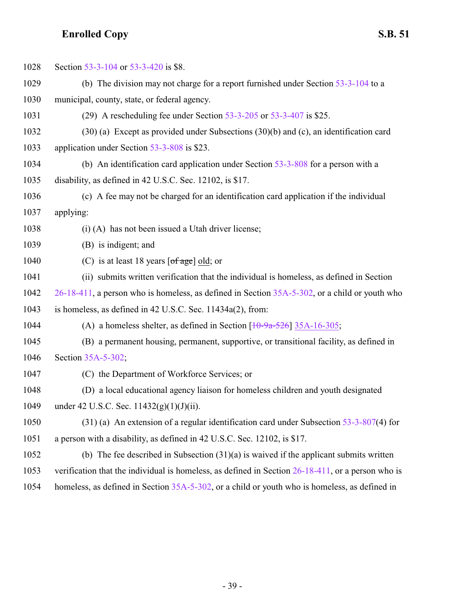| 1028 | Section 53-3-104 or 53-3-420 is \$8.                                                                 |
|------|------------------------------------------------------------------------------------------------------|
| 1029 | (b) The division may not charge for a report furnished under Section $53-3-104$ to a                 |
| 1030 | municipal, county, state, or federal agency.                                                         |
| 1031 | (29) A rescheduling fee under Section $53-3-205$ or $53-3-407$ is \$25.                              |
| 1032 | $(30)$ (a) Except as provided under Subsections $(30)(b)$ and (c), an identification card            |
| 1033 | application under Section 53-3-808 is \$23.                                                          |
| 1034 | (b) An identification card application under Section $53-3-808$ for a person with a                  |
| 1035 | disability, as defined in 42 U.S.C. Sec. 12102, is \$17.                                             |
| 1036 | (c) A fee may not be charged for an identification card application if the individual                |
| 1037 | applying:                                                                                            |
| 1038 | (i) (A) has not been issued a Utah driver license;                                                   |
| 1039 | (B) is indigent; and                                                                                 |
| 1040 | (C) is at least 18 years $\lceil \text{of age} \rceil$ old; or                                       |
| 1041 | (ii) submits written verification that the individual is homeless, as defined in Section             |
| 1042 | 26-18-411, a person who is homeless, as defined in Section 35A-5-302, or a child or youth who        |
| 1043 | is homeless, as defined in 42 U.S.C. Sec. 11434a(2), from:                                           |
| 1044 | (A) a homeless shelter, as defined in Section $\left[1\theta - 9a - 526\right]$ 35A-16-305;          |
| 1045 | (B) a permanent housing, permanent, supportive, or transitional facility, as defined in              |
| 1046 | Section 35A-5-302;                                                                                   |
| 1047 | (C) the Department of Workforce Services; or                                                         |
| 1048 | (D) a local educational agency liaison for homeless children and youth designated                    |
| 1049 | under 42 U.S.C. Sec. $11432(g)(1)(J)(ii)$ .                                                          |
| 1050 | $(31)$ (a) An extension of a regular identification card under Subsection 53-3-807(4) for            |
| 1051 | a person with a disability, as defined in 42 U.S.C. Sec. 12102, is \$17.                             |
| 1052 | (b) The fee described in Subsection $(31)(a)$ is waived if the applicant submits written             |
| 1053 | verification that the individual is homeless, as defined in Section $26-18-411$ , or a person who is |
| 1054 | homeless, as defined in Section 35A-5-302, or a child or youth who is homeless, as defined in        |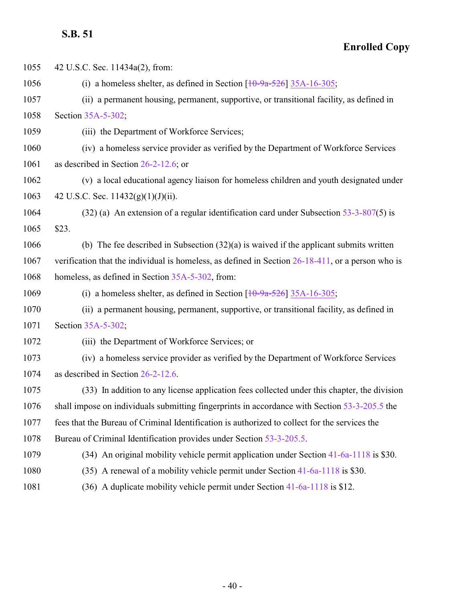**Enrolled Copy**

 42 U.S.C. Sec. 11434a(2), from: 1056 (i) a homeless shelter, as defined in Section  $\left[\frac{10-9a-526}{35A-16-305}\right]$  $\left[\frac{10-9a-526}{35A-16-305}\right]$  $\left[\frac{10-9a-526}{35A-16-305}\right]$  (ii) a permanent housing, permanent, supportive, or transitional facility, as defined in Section [35A-5-302](http://le.utah.gov/UtahCode/SectionLookup.jsp?section=35a-5-302&session=2022GS); (iii) the Department of Workforce Services; (iv) a homeless service provider as verified by the Department of Workforce Services as described in Section [26-2-12.6](http://le.utah.gov/UtahCode/SectionLookup.jsp?section=26-2-12.6&session=2022GS); or (v) a local educational agency liaison for homeless children and youth designated under 1063 42 U.S.C. Sec.  $11432(g)(1)(J)(ii)$ . (32) (a) An extension of a regular identification card under Subsection [53-3-807](http://le.utah.gov/UtahCode/SectionLookup.jsp?section=53-3-807&session=2022GS)(5) is \$23. (b) The fee described in Subsection (32)(a) is waived if the applicant submits written verification that the individual is homeless, as defined in Section [26-18-411](http://le.utah.gov/UtahCode/SectionLookup.jsp?section=26-18-411&session=2022GS), or a person who is homeless, as defined in Section [35A-5-302](http://le.utah.gov/UtahCode/SectionLookup.jsp?section=35a-5-302&session=2022GS), from: 1069 (i) a homeless shelter, as defined in Section  $\left[\frac{10-9a-526}{35A-16-305}\right]$  $\left[\frac{10-9a-526}{35A-16-305}\right]$  $\left[\frac{10-9a-526}{35A-16-305}\right]$  (ii) a permanent housing, permanent, supportive, or transitional facility, as defined in Section [35A-5-302](http://le.utah.gov/UtahCode/SectionLookup.jsp?section=35a-5-302&session=2022GS); (iii) the Department of Workforce Services; or (iv) a homeless service provider as verified by the Department of Workforce Services as described in Section [26-2-12.6](http://le.utah.gov/UtahCode/SectionLookup.jsp?section=26-2-12.6&session=2022GS). (33) In addition to any license application fees collected under this chapter, the division shall impose on individuals submitting fingerprints in accordance with Section [53-3-205.5](http://le.utah.gov/UtahCode/SectionLookup.jsp?section=53-3-205.5&session=2022GS) the fees that the Bureau of Criminal Identification is authorized to collect for the services the Bureau of Criminal Identification provides under Section [53-3-205.5](http://le.utah.gov/UtahCode/SectionLookup.jsp?section=53-3-205.5&session=2022GS). (34) An original mobility vehicle permit application under Section [41-6a-1118](http://le.utah.gov/UtahCode/SectionLookup.jsp?section=41-6a-1118&session=2022GS) is \$30. (35) A renewal of a mobility vehicle permit under Section [41-6a-1118](http://le.utah.gov/UtahCode/SectionLookup.jsp?section=41-6a-1118&session=2022GS) is \$30. (36) A duplicate mobility vehicle permit under Section [41-6a-1118](http://le.utah.gov/UtahCode/SectionLookup.jsp?section=41-6a-1118&session=2022GS) is \$12.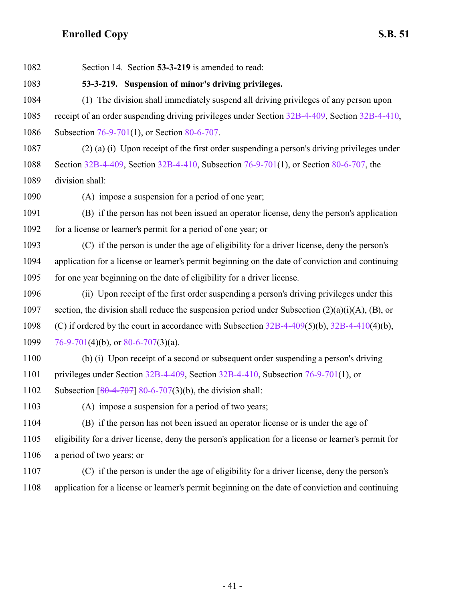<span id="page-40-0"></span>

| 1082 | Section 14. Section 53-3-219 is amended to read:                                                      |
|------|-------------------------------------------------------------------------------------------------------|
| 1083 | 53-3-219. Suspension of minor's driving privileges.                                                   |
| 1084 | (1) The division shall immediately suspend all driving privileges of any person upon                  |
| 1085 | receipt of an order suspending driving privileges under Section 32B-4-409, Section 32B-4-410,         |
| 1086 | Subsection 76-9-701(1), or Section 80-6-707.                                                          |
| 1087 | (2) (a) (i) Upon receipt of the first order suspending a person's driving privileges under            |
| 1088 | Section 32B-4-409, Section 32B-4-410, Subsection 76-9-701(1), or Section 80-6-707, the                |
| 1089 | division shall:                                                                                       |
| 1090 | (A) impose a suspension for a period of one year;                                                     |
| 1091 | (B) if the person has not been issued an operator license, deny the person's application              |
| 1092 | for a license or learner's permit for a period of one year; or                                        |
| 1093 | (C) if the person is under the age of eligibility for a driver license, deny the person's             |
| 1094 | application for a license or learner's permit beginning on the date of conviction and continuing      |
| 1095 | for one year beginning on the date of eligibility for a driver license.                               |
| 1096 | (ii) Upon receipt of the first order suspending a person's driving privileges under this              |
| 1097 | section, the division shall reduce the suspension period under Subsection $(2)(a)(i)(A)$ , $(B)$ , or |
| 1098 | (C) if ordered by the court in accordance with Subsection $32B-4-409(5)(b)$ , $32B-4-410(4)(b)$ ,     |
| 1099 | 76-9-701(4)(b), or 80-6-707(3)(a).                                                                    |
| 1100 | (b) (i) Upon receipt of a second or subsequent order suspending a person's driving                    |
| 1101 | privileges under Section $32B-4-409$ , Section $32B-4-410$ , Subsection 76-9-701(1), or               |
| 1102 | Subsection $\left[ \frac{80-4-707}{80-6-707} \right]$ 80-6-707(3)(b), the division shall:             |
| 1103 | (A) impose a suspension for a period of two years;                                                    |
| 1104 | (B) if the person has not been issued an operator license or is under the age of                      |
| 1105 | eligibility for a driver license, deny the person's application for a license or learner's permit for |
| 1106 | a period of two years; or                                                                             |
| 1107 | (C) if the person is under the age of eligibility for a driver license, deny the person's             |
| 1108 | application for a license or learner's permit beginning on the date of conviction and continuing      |
|      |                                                                                                       |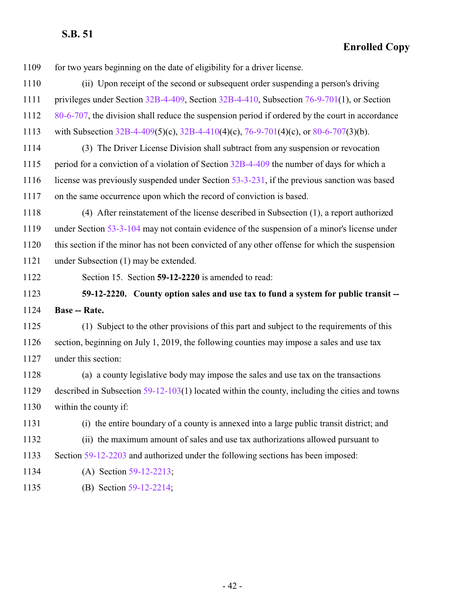for two years beginning on the date of eligibility for a driver license.

- (ii) Upon receipt of the second or subsequent order suspending a person's driving
- privileges under Section [32B-4-409](http://le.utah.gov/UtahCode/SectionLookup.jsp?section=32b-4-409&session=2022GS), Section [32B-4-410](http://le.utah.gov/UtahCode/SectionLookup.jsp?section=32b-4-410&session=2022GS), Subsection [76-9-701](http://le.utah.gov/UtahCode/SectionLookup.jsp?section=76-9-701&session=2022GS)(1), or Section
- [80-6-707](http://le.utah.gov/UtahCode/SectionLookup.jsp?section=80-6-707&session=2022GS), the division shall reduce the suspension period if ordered by the court in accordance
- with Subsection [32B-4-409](http://le.utah.gov/UtahCode/SectionLookup.jsp?section=32b-4-409&session=2022GS)(5)(c), [32B-4-410](http://le.utah.gov/UtahCode/SectionLookup.jsp?section=32b-4-410&session=2022GS)(4)(c), [76-9-701](http://le.utah.gov/UtahCode/SectionLookup.jsp?section=76-9-701&session=2022GS)(4)(c), or [80-6-707](http://le.utah.gov/UtahCode/SectionLookup.jsp?section=80-6-707&session=2022GS)(3)(b).
- (3) The Driver License Division shall subtract from any suspension or revocation 1115 period for a conviction of a violation of Section [32B-4-409](http://le.utah.gov/UtahCode/SectionLookup.jsp?section=32b-4-409&session=2022GS) the number of days for which a license was previously suspended under Section [53-3-231](http://le.utah.gov/UtahCode/SectionLookup.jsp?section=53-3-231&session=2022GS), if the previous sanction was based on the same occurrence upon which the record of conviction is based.
- (4) After reinstatement of the license described in Subsection (1), a report authorized 1119 under Section [53-3-104](http://le.utah.gov/UtahCode/SectionLookup.jsp?section=53-3-104&session=2022GS) may not contain evidence of the suspension of a minor's license under this section if the minor has not been convicted of any other offense for which the suspension under Subsection (1) may be extended.
- 

<span id="page-41-0"></span>Section 15. Section **59-12-2220** is amended to read:

 **59-12-2220. County option sales and use tax to fund a system for public transit -- Base -- Rate.**

 (1) Subject to the other provisions of this part and subject to the requirements of this section, beginning on July 1, 2019, the following counties may impose a sales and use tax under this section:

 (a) a county legislative body may impose the sales and use tax on the transactions described in Subsection [59-12-103](http://le.utah.gov/UtahCode/SectionLookup.jsp?section=59-12-103&session=2022GS)(1) located within the county, including the cities and towns within the county if:

- (i) the entire boundary of a county is annexed into a large public transit district; and
- (ii) the maximum amount of sales and use tax authorizations allowed pursuant to
- Section [59-12-2203](http://le.utah.gov/UtahCode/SectionLookup.jsp?section=59-12-2203&session=2022GS) and authorized under the following sections has been imposed:
- (A) Section [59-12-2213](http://le.utah.gov/UtahCode/SectionLookup.jsp?section=59-12-2213&session=2022GS);
- (B) Section [59-12-2214](http://le.utah.gov/UtahCode/SectionLookup.jsp?section=59-12-2214&session=2022GS);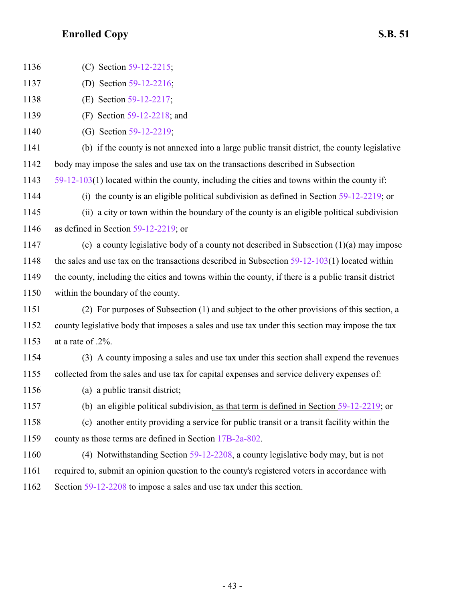| 1136 | (C) Section 59-12-2215;                                                                             |
|------|-----------------------------------------------------------------------------------------------------|
| 1137 | (D) Section 59-12-2216;                                                                             |
| 1138 | (E) Section 59-12-2217;                                                                             |
| 1139 | (F) Section $59-12-2218$ ; and                                                                      |
| 1140 | (G) Section 59-12-2219;                                                                             |
| 1141 | (b) if the county is not annexed into a large public transit district, the county legislative       |
| 1142 | body may impose the sales and use tax on the transactions described in Subsection                   |
| 1143 | $59-12-103(1)$ located within the county, including the cities and towns within the county if:      |
| 1144 | (i) the county is an eligible political subdivision as defined in Section $59-12-2219$ ; or         |
| 1145 | (ii) a city or town within the boundary of the county is an eligible political subdivision          |
| 1146 | as defined in Section $59-12-2219$ ; or                                                             |
| 1147 | (c) a county legislative body of a county not described in Subsection $(1)(a)$ may impose           |
| 1148 | the sales and use tax on the transactions described in Subsection $59-12-103(1)$ located within     |
| 1149 | the county, including the cities and towns within the county, if there is a public transit district |
| 1150 | within the boundary of the county.                                                                  |
| 1151 | (2) For purposes of Subsection (1) and subject to the other provisions of this section, a           |
| 1152 | county legislative body that imposes a sales and use tax under this section may impose the tax      |
| 1153 | at a rate of .2%.                                                                                   |
| 1154 | (3) A county imposing a sales and use tax under this section shall expend the revenues              |
| 1155 | collected from the sales and use tax for capital expenses and service delivery expenses of:         |
| 1156 | (a) a public transit district;                                                                      |
| 1157 | (b) an eligible political subdivision, as that term is defined in Section $59-12-2219$ ; or         |
| 1158 | (c) another entity providing a service for public transit or a transit facility within the          |
| 1159 | county as those terms are defined in Section 17B-2a-802.                                            |
| 1160 | (4) Notwithstanding Section $59-12-2208$ , a county legislative body may, but is not                |
| 1161 | required to, submit an opinion question to the county's registered voters in accordance with        |

1162 Section [59-12-2208](http://le.utah.gov/UtahCode/SectionLookup.jsp?section=59-12-2208&session=2022GS) to impose a sales and use tax under this section.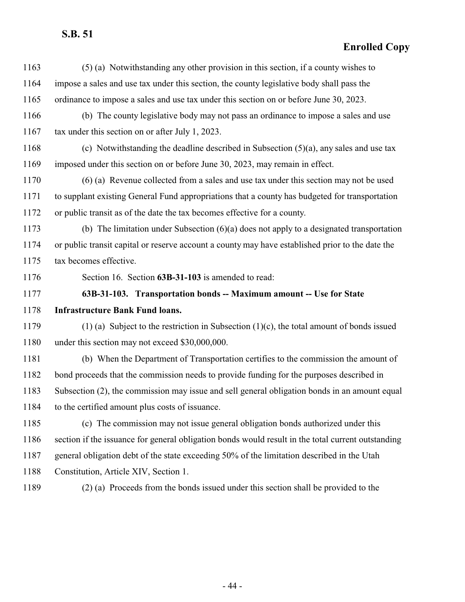<span id="page-43-0"></span>

| 1163 | (5) (a) Notwithstanding any other provision in this section, if a county wishes to                 |
|------|----------------------------------------------------------------------------------------------------|
| 1164 | impose a sales and use tax under this section, the county legislative body shall pass the          |
| 1165 | ordinance to impose a sales and use tax under this section on or before June 30, 2023.             |
| 1166 | (b) The county legislative body may not pass an ordinance to impose a sales and use                |
| 1167 | tax under this section on or after July 1, 2023.                                                   |
| 1168 | (c) Notwithstanding the deadline described in Subsection $(5)(a)$ , any sales and use tax          |
| 1169 | imposed under this section on or before June 30, 2023, may remain in effect.                       |
| 1170 | (6) (a) Revenue collected from a sales and use tax under this section may not be used              |
| 1171 | to supplant existing General Fund appropriations that a county has budgeted for transportation     |
| 1172 | or public transit as of the date the tax becomes effective for a county.                           |
| 1173 | (b) The limitation under Subsection $(6)(a)$ does not apply to a designated transportation         |
| 1174 | or public transit capital or reserve account a county may have established prior to the date the   |
| 1175 | tax becomes effective.                                                                             |
| 1176 | Section 16. Section 63B-31-103 is amended to read:                                                 |
| 1177 | 63B-31-103. Transportation bonds -- Maximum amount -- Use for State                                |
| 1178 | <b>Infrastructure Bank Fund loans.</b>                                                             |
| 1179 | $(1)$ (a) Subject to the restriction in Subsection $(1)(c)$ , the total amount of bonds issued     |
| 1180 | under this section may not exceed \$30,000,000.                                                    |
| 1181 | (b) When the Department of Transportation certifies to the commission the amount of                |
| 1182 | bond proceeds that the commission needs to provide funding for the purposes described in           |
| 1183 | Subsection (2), the commission may issue and sell general obligation bonds in an amount equal      |
| 1184 | to the certified amount plus costs of issuance.                                                    |
| 1185 | (c) The commission may not issue general obligation bonds authorized under this                    |
| 1186 | section if the issuance for general obligation bonds would result in the total current outstanding |
| 1187 | general obligation debt of the state exceeding 50% of the limitation described in the Utah         |
| 1188 | Constitution, Article XIV, Section 1.                                                              |
| 1189 | (2) (a) Proceeds from the bonds issued under this section shall be provided to the                 |
|      |                                                                                                    |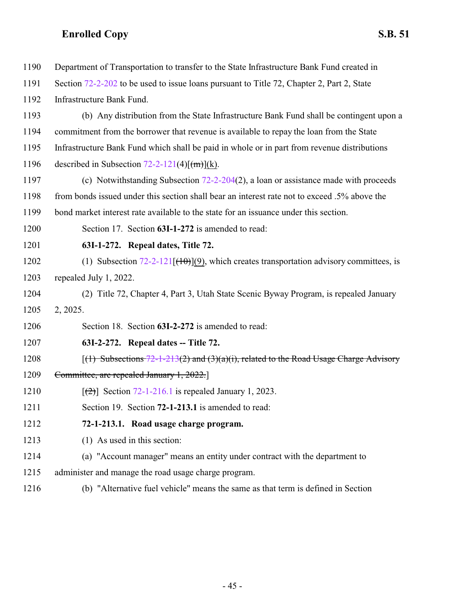<span id="page-44-2"></span><span id="page-44-1"></span><span id="page-44-0"></span>

| 1190 | Department of Transportation to transfer to the State Infrastructure Bank Fund created in    |
|------|----------------------------------------------------------------------------------------------|
| 1191 | Section 72-2-202 to be used to issue loans pursuant to Title 72, Chapter 2, Part 2, State    |
| 1192 | Infrastructure Bank Fund.                                                                    |
| 1193 | (b) Any distribution from the State Infrastructure Bank Fund shall be contingent upon a      |
| 1194 | commitment from the borrower that revenue is available to repay the loan from the State      |
| 1195 | Infrastructure Bank Fund which shall be paid in whole or in part from revenue distributions  |
| 1196 | described in Subsection $72-2-121(4)[(m)](k)$ .                                              |
| 1197 | (c) Notwithstanding Subsection $72-2-204(2)$ , a loan or assistance made with proceeds       |
| 1198 | from bonds issued under this section shall bear an interest rate not to exceed .5% above the |
| 1199 | bond market interest rate available to the state for an issuance under this section.         |
| 1200 | Section 17. Section 63I-1-272 is amended to read:                                            |
| 1201 | 63I-1-272. Repeal dates, Title 72.                                                           |
| 1202 | (1) Subsection $72-2-121$ $(10)(9)$ , which creates transportation advisory committees, is   |
| 1203 | repealed July 1, 2022.                                                                       |
| 1204 | (2) Title 72, Chapter 4, Part 3, Utah State Scenic Byway Program, is repealed January        |
| 1205 | 2, 2025.                                                                                     |
| 1206 | Section 18. Section 63I-2-272 is amended to read:                                            |
| 1207 | 63I-2-272. Repeal dates -- Title 72.                                                         |
| 1208 | $(1)$ Subsections 72-1-213(2) and (3)(a)(i), related to the Road Usage Charge Advisory       |
| 1209 | Committee, are repealed January 1, 2022.                                                     |
| 1210 | $\lceil$ (2) Section 72-1-216.1 is repealed January 1, 2023.                                 |
| 1211 | Section 19. Section 72-1-213.1 is amended to read:                                           |
| 1212 | 72-1-213.1. Road usage charge program.                                                       |
| 1213 | $(1)$ As used in this section:                                                               |
| 1214 | (a) "Account manager" means an entity under contract with the department to                  |
| 1215 | administer and manage the road usage charge program.                                         |
| 1216 | (b) "Alternative fuel vehicle" means the same as that term is defined in Section             |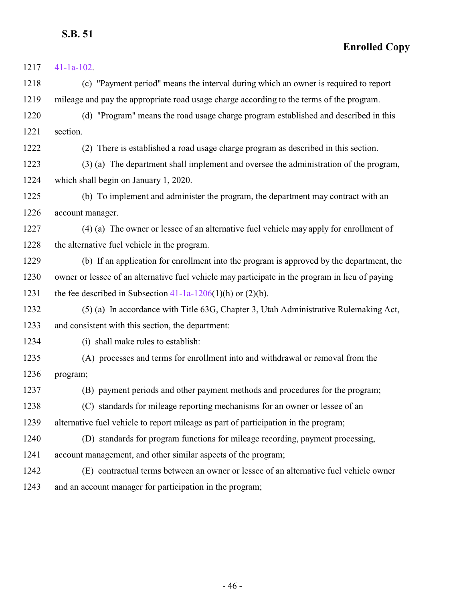| 1217 | $41-1a-102$ .                                                                                   |
|------|-------------------------------------------------------------------------------------------------|
| 1218 | (c) "Payment period" means the interval during which an owner is required to report             |
| 1219 | mileage and pay the appropriate road usage charge according to the terms of the program.        |
| 1220 | (d) "Program" means the road usage charge program established and described in this             |
| 1221 | section.                                                                                        |
| 1222 | (2) There is established a road usage charge program as described in this section.              |
| 1223 | (3) (a) The department shall implement and oversee the administration of the program,           |
| 1224 | which shall begin on January 1, 2020.                                                           |
| 1225 | (b) To implement and administer the program, the department may contract with an                |
| 1226 | account manager.                                                                                |
| 1227 | (4) (a) The owner or lessee of an alternative fuel vehicle may apply for enrollment of          |
| 1228 | the alternative fuel vehicle in the program.                                                    |
| 1229 | (b) If an application for enrollment into the program is approved by the department, the        |
| 1230 | owner or lessee of an alternative fuel vehicle may participate in the program in lieu of paying |
| 1231 | the fee described in Subsection $41-1a-1206(1)(h)$ or $(2)(b)$ .                                |
| 1232 | (5) (a) In accordance with Title 63G, Chapter 3, Utah Administrative Rulemaking Act,            |
| 1233 | and consistent with this section, the department:                                               |
| 1234 | (i) shall make rules to establish:                                                              |
| 1235 | (A) processes and terms for enrollment into and withdrawal or removal from the                  |
| 1236 | program;                                                                                        |
| 1237 | (B) payment periods and other payment methods and procedures for the program;                   |
| 1238 | (C) standards for mileage reporting mechanisms for an owner or lessee of an                     |
| 1239 | alternative fuel vehicle to report mileage as part of participation in the program;             |
| 1240 | (D) standards for program functions for mileage recording, payment processing,                  |
| 1241 | account management, and other similar aspects of the program;                                   |
| 1242 | (E) contractual terms between an owner or lessee of an alternative fuel vehicle owner           |
| 1243 | and an account manager for participation in the program;                                        |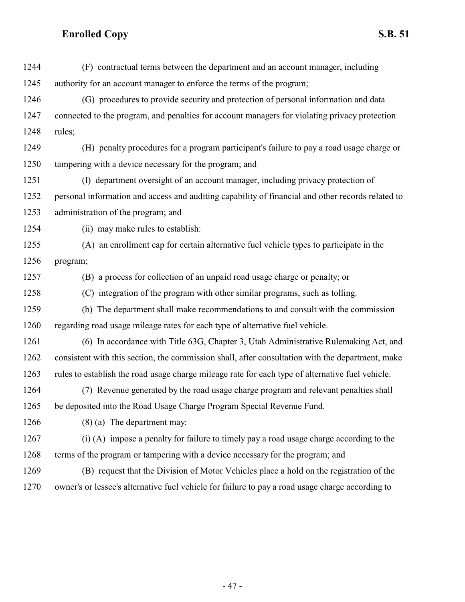| 1244 | (F) contractual terms between the department and an account manager, including                    |
|------|---------------------------------------------------------------------------------------------------|
| 1245 | authority for an account manager to enforce the terms of the program;                             |
| 1246 | (G) procedures to provide security and protection of personal information and data                |
| 1247 | connected to the program, and penalties for account managers for violating privacy protection     |
| 1248 | rules;                                                                                            |
| 1249 | (H) penalty procedures for a program participant's failure to pay a road usage charge or          |
| 1250 | tampering with a device necessary for the program; and                                            |
| 1251 | (I) department oversight of an account manager, including privacy protection of                   |
| 1252 | personal information and access and auditing capability of financial and other records related to |
| 1253 | administration of the program; and                                                                |
| 1254 | (ii) may make rules to establish:                                                                 |
| 1255 | (A) an enrollment cap for certain alternative fuel vehicle types to participate in the            |
| 1256 | program;                                                                                          |
| 1257 | (B) a process for collection of an unpaid road usage charge or penalty; or                        |
| 1258 | (C) integration of the program with other similar programs, such as tolling.                      |
| 1259 | (b) The department shall make recommendations to and consult with the commission                  |
| 1260 | regarding road usage mileage rates for each type of alternative fuel vehicle.                     |
| 1261 | (6) In accordance with Title 63G, Chapter 3, Utah Administrative Rulemaking Act, and              |
| 1262 | consistent with this section, the commission shall, after consultation with the department, make  |
| 1263 | rules to establish the road usage charge mileage rate for each type of alternative fuel vehicle.  |
| 1264 | (7) Revenue generated by the road usage charge program and relevant penalties shall               |
| 1265 | be deposited into the Road Usage Charge Program Special Revenue Fund.                             |
| 1266 | $(8)$ (a) The department may:                                                                     |
| 1267 | (i) (A) impose a penalty for failure to timely pay a road usage charge according to the           |
| 1268 | terms of the program or tampering with a device necessary for the program; and                    |
| 1269 | (B) request that the Division of Motor Vehicles place a hold on the registration of the           |
| 1270 | owner's or lessee's alternative fuel vehicle for failure to pay a road usage charge according to  |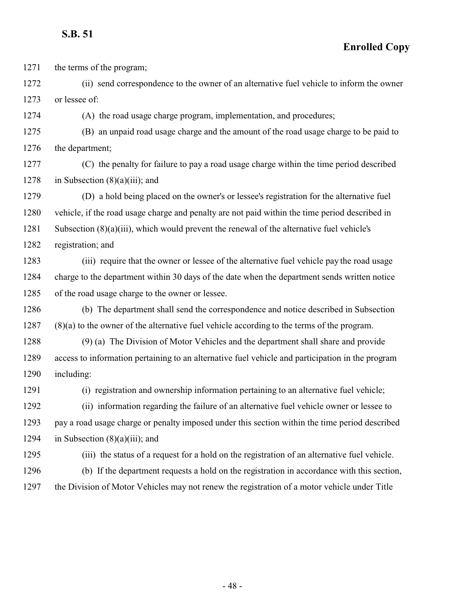**Enrolled Copy**

the terms of the program;

 (ii) send correspondence to the owner of an alternative fuel vehicle to inform the owner or lessee of:

(A) the road usage charge program, implementation, and procedures;

 (B) an unpaid road usage charge and the amount of the road usage charge to be paid to the department;

 (C) the penalty for failure to pay a road usage charge within the time period described 1278 in Subsection  $(8)(a)(iii)$ ; and

 (D) a hold being placed on the owner's or lessee's registration for the alternative fuel vehicle, if the road usage charge and penalty are not paid within the time period described in Subsection (8)(a)(iii), which would prevent the renewal of the alternative fuel vehicle's

registration; and

 (iii) require that the owner or lessee of the alternative fuel vehicle pay the road usage charge to the department within 30 days of the date when the department sends written notice of the road usage charge to the owner or lessee.

 (b) The department shall send the correspondence and notice described in Subsection (8)(a) to the owner of the alternative fuel vehicle according to the terms of the program.

 (9) (a) The Division of Motor Vehicles and the department shall share and provide access to information pertaining to an alternative fuel vehicle and participation in the program including:

(i) registration and ownership information pertaining to an alternative fuel vehicle;

 (ii) information regarding the failure of an alternative fuel vehicle owner or lessee to pay a road usage charge or penalty imposed under this section within the time period described 1294 in Subsection  $(8)(a)(iii)$ ; and

(iii) the status of a request for a hold on the registration of an alternative fuel vehicle.

 (b) If the department requests a hold on the registration in accordance with this section, the Division of Motor Vehicles may not renew the registration of a motor vehicle under Title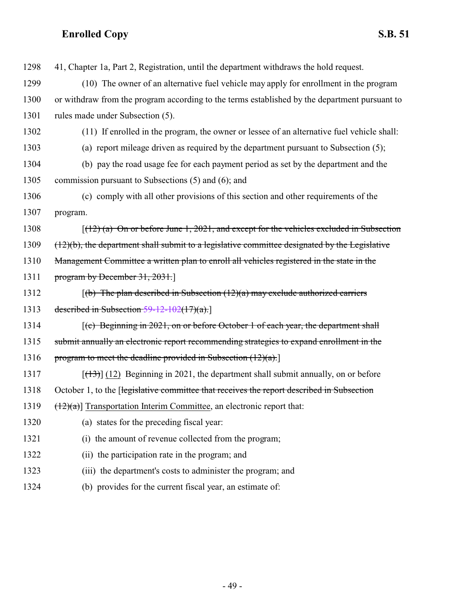| 1298 | 41, Chapter 1a, Part 2, Registration, until the department withdraws the hold request.                 |
|------|--------------------------------------------------------------------------------------------------------|
| 1299 | (10) The owner of an alternative fuel vehicle may apply for enrollment in the program                  |
| 1300 | or withdraw from the program according to the terms established by the department pursuant to          |
| 1301 | rules made under Subsection (5).                                                                       |
| 1302 | (11) If enrolled in the program, the owner or lessee of an alternative fuel vehicle shall:             |
| 1303 | (a) report mileage driven as required by the department pursuant to Subsection (5);                    |
| 1304 | (b) pay the road usage fee for each payment period as set by the department and the                    |
| 1305 | commission pursuant to Subsections (5) and (6); and                                                    |
| 1306 | (c) comply with all other provisions of this section and other requirements of the                     |
| 1307 | program.                                                                                               |
| 1308 | $[(12)(a)$ On or before June 1, 2021, and except for the vehicles excluded in Subsection               |
| 1309 | $(12)(b)$ , the department shall submit to a legislative committee designated by the Legislative       |
| 1310 | Management Committee a written plan to enroll all vehicles registered in the state in the              |
| 1311 | program by December 31, 2031.]                                                                         |
| 1312 | $(6)$ The plan described in Subsection (12)(a) may exclude authorized carriers                         |
| 1313 | described in Subsection $59-12-102(17)(a)$ .                                                           |
| 1314 | $\left[\text{(c)}\right]$ Beginning in 2021, on or before October 1 of each year, the department shall |
| 1315 | submit annually an electronic report recommending strategies to expand enrollment in the               |
| 1316 | program to meet the deadline provided in Subsection $(12)(a)$ .                                        |
| 1317 | $[\frac{(13)}{(12)}]$ Beginning in 2021, the department shall submit annually, on or before            |
| 1318 | October 1, to the [legislative committee that receives the report described in Subsection              |
| 1319 | $(12)(a)$ ] Transportation Interim Committee, an electronic report that:                               |
| 1320 | (a) states for the preceding fiscal year:                                                              |
| 1321 | the amount of revenue collected from the program;<br>(i)                                               |
| 1322 | (ii) the participation rate in the program; and                                                        |
| 1323 | (iii) the department's costs to administer the program; and                                            |
| 1324 | (b) provides for the current fiscal year, an estimate of:                                              |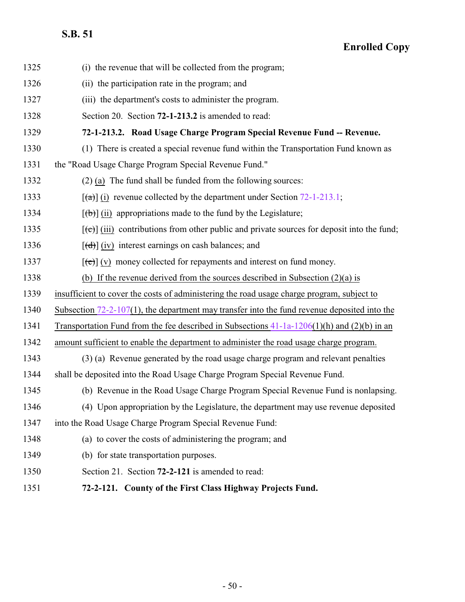<span id="page-49-1"></span><span id="page-49-0"></span>

| 1325 | (i) the revenue that will be collected from the program;                                           |
|------|----------------------------------------------------------------------------------------------------|
| 1326 | (ii) the participation rate in the program; and                                                    |
| 1327 | (iii) the department's costs to administer the program.                                            |
| 1328 | Section 20. Section 72-1-213.2 is amended to read:                                                 |
| 1329 | 72-1-213.2. Road Usage Charge Program Special Revenue Fund -- Revenue.                             |
| 1330 | (1) There is created a special revenue fund within the Transportation Fund known as                |
| 1331 | the "Road Usage Charge Program Special Revenue Fund."                                              |
| 1332 | $(2)$ (a) The fund shall be funded from the following sources:                                     |
| 1333 | $\lceil$ (a) (i) revenue collected by the department under Section 72-1-213.1;                     |
| 1334 | $[\phi]$ (ii) appropriations made to the fund by the Legislature;                                  |
| 1335 | $[\text{et}]$ (iii) contributions from other public and private sources for deposit into the fund; |
| 1336 | $[\text{d} \cdot \text{d} \cdot]$ (iv) interest earnings on cash balances; and                     |
| 1337 | $[\text{e}(\text{e})]$ (v) money collected for repayments and interest on fund money.              |
| 1338 | (b) If the revenue derived from the sources described in Subsection $(2)(a)$ is                    |
| 1339 | insufficient to cover the costs of administering the road usage charge program, subject to         |
| 1340 | Subsection $72-2-107(1)$ , the department may transfer into the fund revenue deposited into the    |
| 1341 | Transportation Fund from the fee described in Subsections $41-1a-1206(1)(h)$ and $(2)(b)$ in an    |
| 1342 | amount sufficient to enable the department to administer the road usage charge program.            |
| 1343 | (3) (a) Revenue generated by the road usage charge program and relevant penalties                  |
| 1344 | shall be deposited into the Road Usage Charge Program Special Revenue Fund.                        |
| 1345 | (b) Revenue in the Road Usage Charge Program Special Revenue Fund is nonlapsing.                   |
| 1346 | (4) Upon appropriation by the Legislature, the department may use revenue deposited                |
| 1347 | into the Road Usage Charge Program Special Revenue Fund:                                           |
| 1348 | (a) to cover the costs of administering the program; and                                           |
| 1349 | (b) for state transportation purposes.                                                             |
| 1350 | Section 21. Section 72-2-121 is amended to read:                                                   |
| 1351 | 72-2-121. County of the First Class Highway Projects Fund.                                         |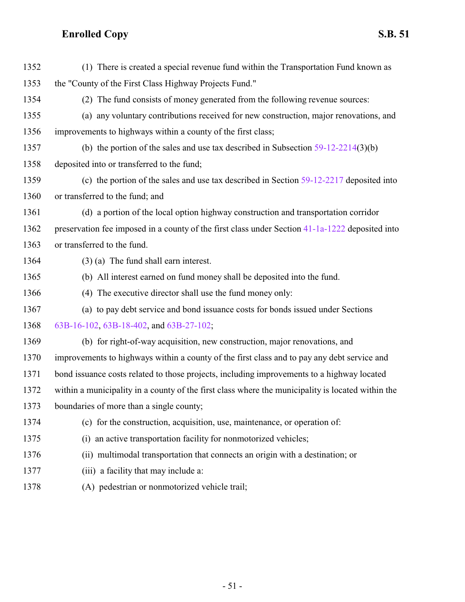| 1352 | (1) There is created a special revenue fund within the Transportation Fund known as               |
|------|---------------------------------------------------------------------------------------------------|
| 1353 | the "County of the First Class Highway Projects Fund."                                            |
| 1354 | (2) The fund consists of money generated from the following revenue sources:                      |
| 1355 | (a) any voluntary contributions received for new construction, major renovations, and             |
| 1356 | improvements to highways within a county of the first class;                                      |
| 1357 | (b) the portion of the sales and use tax described in Subsection $59-12-2214(3)(b)$               |
| 1358 | deposited into or transferred to the fund;                                                        |
| 1359 | (c) the portion of the sales and use tax described in Section $59-12-2217$ deposited into         |
| 1360 | or transferred to the fund; and                                                                   |
| 1361 | (d) a portion of the local option highway construction and transportation corridor                |
| 1362 | preservation fee imposed in a county of the first class under Section 41-1a-1222 deposited into   |
| 1363 | or transferred to the fund.                                                                       |
| 1364 | $(3)$ (a) The fund shall earn interest.                                                           |
| 1365 | (b) All interest earned on fund money shall be deposited into the fund.                           |
| 1366 | (4) The executive director shall use the fund money only:                                         |
| 1367 | (a) to pay debt service and bond issuance costs for bonds issued under Sections                   |
| 1368 | 63B-16-102, 63B-18-402, and 63B-27-102;                                                           |
| 1369 | (b) for right-of-way acquisition, new construction, major renovations, and                        |
| 1370 | improvements to highways within a county of the first class and to pay any debt service and       |
| 1371 | bond issuance costs related to those projects, including improvements to a highway located        |
| 1372 | within a municipality in a county of the first class where the municipality is located within the |
| 1373 | boundaries of more than a single county;                                                          |
| 1374 | (c) for the construction, acquisition, use, maintenance, or operation of:                         |
| 1375 | (i) an active transportation facility for nonmotorized vehicles;                                  |
| 1376 | (ii) multimodal transportation that connects an origin with a destination; or                     |
| 1377 | (iii) a facility that may include a:                                                              |
| 1378 | (A) pedestrian or nonmotorized vehicle trail;                                                     |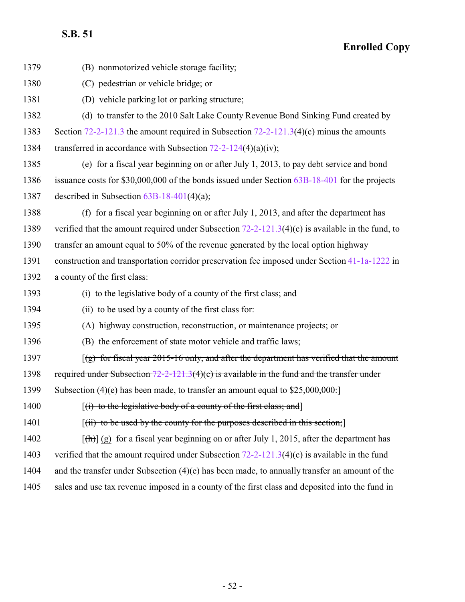| 1379 | (B) nonmotorized vehicle storage facility;                                                          |
|------|-----------------------------------------------------------------------------------------------------|
| 1380 | (C) pedestrian or vehicle bridge; or                                                                |
| 1381 | (D) vehicle parking lot or parking structure;                                                       |
| 1382 | (d) to transfer to the 2010 Salt Lake County Revenue Bond Sinking Fund created by                   |
| 1383 | Section 72-2-121.3 the amount required in Subsection 72-2-121.3(4)(c) minus the amounts             |
| 1384 | transferred in accordance with Subsection $72-2-124(4)(a)(iv)$ ;                                    |
| 1385 | (e) for a fiscal year beginning on or after July 1, 2013, to pay debt service and bond              |
| 1386 | issuance costs for \$30,000,000 of the bonds issued under Section 63B-18-401 for the projects       |
| 1387 | described in Subsection $63B-18-401(4)(a)$ ;                                                        |
| 1388 | (f) for a fiscal year beginning on or after July 1, 2013, and after the department has              |
| 1389 | verified that the amount required under Subsection $72-2-121.3(4)(c)$ is available in the fund, to  |
| 1390 | transfer an amount equal to 50% of the revenue generated by the local option highway                |
| 1391 | construction and transportation corridor preservation fee imposed under Section 41-1a-1222 in       |
| 1392 | a county of the first class:                                                                        |
| 1393 | (i) to the legislative body of a county of the first class; and                                     |
| 1394 | (ii) to be used by a county of the first class for:                                                 |
| 1395 | (A) highway construction, reconstruction, or maintenance projects; or                               |
| 1396 | (B) the enforcement of state motor vehicle and traffic laws;                                        |
| 1397 | $(g)$ for fiscal year 2015-16 only, and after the department has verified that the amount           |
| 1398 | required under Subsection $72-2-121.3(4)(c)$ is available in the fund and the transfer under        |
| 1399 | Subsection $(4)(e)$ has been made, to transfer an amount equal to $$25,000,000$ .                   |
| 1400 | $(i)$ to the legislative body of a county of the first class; and                                   |
| 1401 | $[(ii)$ to be used by the county for the purposes described in this section;                        |
| 1402 | $[\frac{h}{\ln}](g)$ for a fiscal year beginning on or after July 1, 2015, after the department has |
| 1403 | verified that the amount required under Subsection $72-2-121.3(4)(c)$ is available in the fund      |
| 1404 | and the transfer under Subsection $(4)(e)$ has been made, to annually transfer an amount of the     |
| 1405 | sales and use tax revenue imposed in a county of the first class and deposited into the fund in     |
|      |                                                                                                     |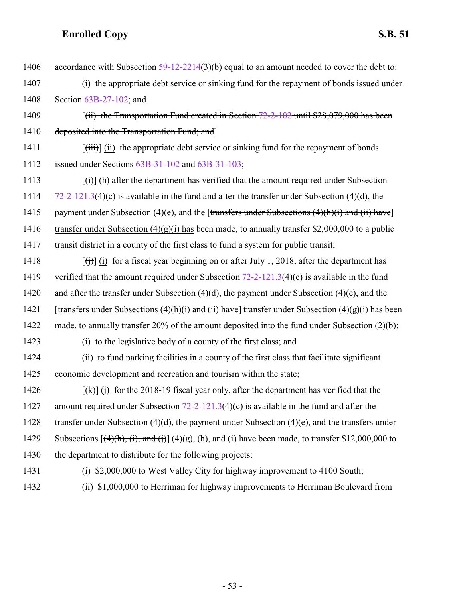| 1406 | accordance with Subsection $59-12-2214(3)(b)$ equal to an amount needed to cover the debt to:                              |
|------|----------------------------------------------------------------------------------------------------------------------------|
| 1407 | (i) the appropriate debt service or sinking fund for the repayment of bonds issued under                                   |
| 1408 | Section $63B-27-102$ ; and                                                                                                 |
| 1409 | $(iii)$ the Transportation Fund created in Section $72-2-102$ until \$28,079,000 has been                                  |
| 1410 | deposited into the Transportation Fund; and]                                                                               |
| 1411 | $[\overrightarrow{tiii}]$ (ii) the appropriate debt service or sinking fund for the repayment of bonds                     |
| 1412 | issued under Sections 63B-31-102 and 63B-31-103;                                                                           |
| 1413 | $\left[\left(\frac{1}{1}\right)\right]$ (h) after the department has verified that the amount required under Subsection    |
| 1414 | $72-2-121.3(4)(c)$ is available in the fund and after the transfer under Subsection (4)(d), the                            |
| 1415 | payment under Subsection (4)(e), and the [transfers under Subsections $(4)(h)(i)$ and (ii) have]                           |
| 1416 | transfer under Subsection $(4)(g)(i)$ has been made, to annually transfer \$2,000,000 to a public                          |
| 1417 | transit district in a county of the first class to fund a system for public transit;                                       |
| 1418 | $\left[\left(\frac{1}{1}\right)\right]$ (i) for a fiscal year beginning on or after July 1, 2018, after the department has |
| 1419 | verified that the amount required under Subsection $72-2-121.3(4)(c)$ is available in the fund                             |
| 1420 | and after the transfer under Subsection $(4)(d)$ , the payment under Subsection $(4)(e)$ , and the                         |
| 1421 | [transfers under Subsections $(4)(h)(i)$ and $(ii)$ have] transfer under Subsection $(4)(g)(i)$ has been                   |
| 1422 | made, to annually transfer 20% of the amount deposited into the fund under Subsection $(2)(b)$ :                           |
| 1423 | (i) to the legislative body of a county of the first class; and                                                            |
| 1424 | (ii) to fund parking facilities in a county of the first class that facilitate significant                                 |
| 1425 | economic development and recreation and tourism within the state;                                                          |
| 1426 | $[\frac{4}{\mathbf{k}}]$ (i) for the 2018-19 fiscal year only, after the department has verified that the                  |
| 1427 | amount required under Subsection $72-2-121.3(4)(c)$ is available in the fund and after the                                 |
| 1428 | transfer under Subsection $(4)(d)$ , the payment under Subsection $(4)(e)$ , and the transfers under                       |
| 1429 | Subsections $[(4)(h), (i),$ and $(j)]$ $(4)(g)$ , $(h)$ , and $(i)$ have been made, to transfer \$12,000,000 to            |
| 1430 | the department to distribute for the following projects:                                                                   |
| 1431 | (i) \$2,000,000 to West Valley City for highway improvement to 4100 South;                                                 |
| 1432 | (ii) \$1,000,000 to Herriman for highway improvements to Herriman Boulevard from                                           |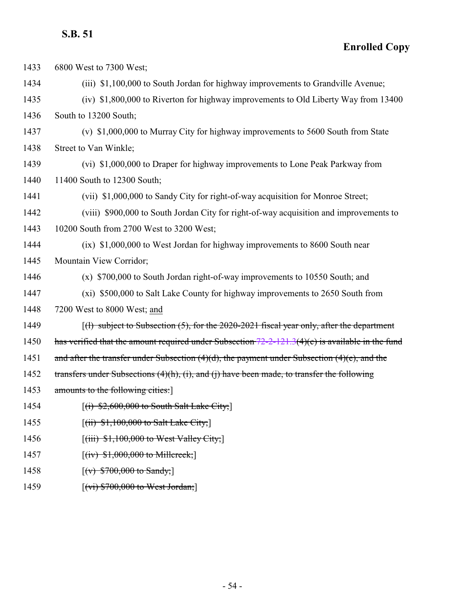| 1433 | 6800 West to 7300 West;                                                                            |
|------|----------------------------------------------------------------------------------------------------|
| 1434 | (iii) \$1,100,000 to South Jordan for highway improvements to Grandville Avenue;                   |
| 1435 | (iv) \$1,800,000 to Riverton for highway improvements to Old Liberty Way from 13400                |
| 1436 | South to 13200 South;                                                                              |
| 1437 | (v) \$1,000,000 to Murray City for highway improvements to 5600 South from State                   |
| 1438 | Street to Van Winkle;                                                                              |
| 1439 | (vi) \$1,000,000 to Draper for highway improvements to Lone Peak Parkway from                      |
| 1440 | 11400 South to 12300 South;                                                                        |
| 1441 | (vii) \$1,000,000 to Sandy City for right-of-way acquisition for Monroe Street;                    |
| 1442 | (viii) \$900,000 to South Jordan City for right-of-way acquisition and improvements to             |
| 1443 | 10200 South from 2700 West to 3200 West;                                                           |
| 1444 | (ix) \$1,000,000 to West Jordan for highway improvements to 8600 South near                        |
| 1445 | Mountain View Corridor;                                                                            |
| 1446 | (x) \$700,000 to South Jordan right-of-way improvements to 10550 South; and                        |
| 1447 | (xi) \$500,000 to Salt Lake County for highway improvements to 2650 South from                     |
| 1448 | 7200 West to 8000 West; and                                                                        |
| 1449 | $\lceil$ (1) subject to Subsection (5), for the 2020-2021 fiscal year only, after the department   |
| 1450 | has verified that the amount required under Subsection $72-2-121.3(4)(c)$ is available in the fund |
| 1451 | and after the transfer under Subsection $(4)(d)$ , the payment under Subsection $(4)(e)$ , and the |
| 1452 | transfers under Subsections $(4)(h)$ , (i), and (j) have been made, to transfer the following      |
| 1453 | amounts to the following cities:                                                                   |
| 1454 | $[(i)$ \$2,600,000 to South Salt Lake City;                                                        |
| 1455 | $[(ii)$ \$1,100,000 to Salt Lake City;                                                             |
| 1456 | $[(iii)$ \$1,100,000 to West Valley City;                                                          |
| 1457 | $[(iv) $1,000,000$ to Millereek;                                                                   |
| 1458 | $[(v)$ \$700,000 to Sandy;                                                                         |
| 1459 | $\left[\frac{v_i}{v_i}\right]$ \$700,000 to West Jordan;                                           |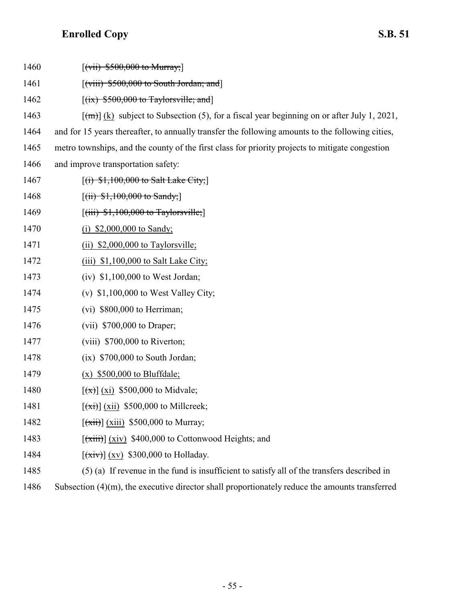| 1460 | $[(vii) \, $500,000 \, to \, Murray;]$                                                             |
|------|----------------------------------------------------------------------------------------------------|
| 1461 | $\left[\left(\text{viii}\right)$ \$500,000 to South Jordan; and                                    |
| 1462 | $[(ix)$ \$500,000 to Taylorsville; and                                                             |
| 1463 | $[\text{m}]}$ (k) subject to Subsection (5), for a fiscal year beginning on or after July 1, 2021, |
| 1464 | and for 15 years thereafter, to annually transfer the following amounts to the following cities,   |
| 1465 | metro townships, and the county of the first class for priority projects to mitigate congestion    |
| 1466 | and improve transportation safety:                                                                 |
| 1467 | $[(i)$ \$1,100,000 to Salt Lake City;                                                              |
| 1468 | $[(ii) $1,100,000$ to Sandy;                                                                       |
| 1469 | $[(iii)$ \$1,100,000 to Taylorsville;                                                              |
| 1470 | \$2,000,000 to Sandy;<br>(1)                                                                       |
| 1471 | (ii) $$2,000,000$ to Taylorsville;                                                                 |
| 1472 | $(iii)$ \$1,100,000 to Salt Lake City;                                                             |
| 1473 | $(iv)$ \$1,100,000 to West Jordan;                                                                 |
| 1474 | (v) $$1,100,000$ to West Valley City;                                                              |
| 1475 | $(vi)$ \$800,000 to Herriman;                                                                      |
| 1476 | $(vii)$ \$700,000 to Draper;                                                                       |
| 1477 | $(viii)$ \$700,000 to Riverton;                                                                    |
| 1478 | $(ix)$ \$700,000 to South Jordan;                                                                  |
| 1479 | $(x)$ \$500,000 to Bluffdale;                                                                      |
| 1480 | $\left[ \frac{(\mathbf{x})}{(\mathbf{x})} \right]$ (xi) \$500,000 to Midvale;                      |
| 1481 | $\left[\frac{(\overrightarrow{x})}{(\overrightarrow{x})}\right]$ (xii) \$500,000 to Millcreek;     |
| 1482 | $\overline{f(xii)}$ (xiii) \$500,000 to Murray;                                                    |
| 1483 | $\overline{f(xiii)}$ (xiv) \$400,000 to Cottonwood Heights; and                                    |
| 1484 | $\left[\frac{(\overrightarrow{xiv})}{(xv)}\right]$ (xv) \$300,000 to Holladay.                     |
| 1485 | (5) (a) If revenue in the fund is insufficient to satisfy all of the transfers described in        |
| 1486 | Subsection $(4)(m)$ , the executive director shall proportionately reduce the amounts transferred  |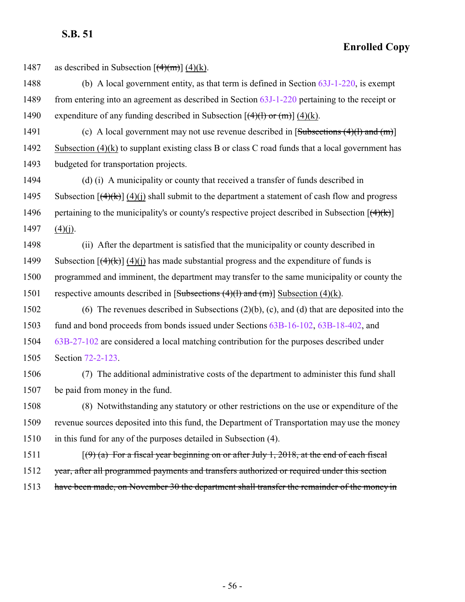**Enrolled Copy**

1487 as described in Subsection  $[(4)(m)] (4)(k)$ .

- 1488 (b) A local government entity, as that term is defined in Section [63J-1-220](http://le.utah.gov/UtahCode/SectionLookup.jsp?section=63j-1-220&session=2022GS), is exempt 1489 from entering into an agreement as described in Section [63J-1-220](http://le.utah.gov/UtahCode/SectionLookup.jsp?section=63j-1-220&session=2022GS) pertaining to the receipt or 1490 expenditure of any funding described in Subsection  $[(4)(1)$  or  $(m)]$  (4)(k).
- 1491 (c) A local government may not use revenue described in  $[Subsections (4)(1) and (m)]$ 1492 Subsection (4)(k) to supplant existing class B or class C road funds that a local government has 1493 budgeted for transportation projects.

1494 (d) (i) A municipality or county that received a transfer of funds described in 1495 Subsection  $[(4)(k)]$  (4)(i) shall submit to the department a statement of cash flow and progress 1496 pertaining to the municipality's or county's respective project described in Subsection  $[$ (4)(k))  $]$  $1497$  (4)(j).

1498 (ii) After the department is satisfied that the municipality or county described in 1499 Subsection  $[(4)(k)]$  (4)(i) has made substantial progress and the expenditure of funds is 1500 programmed and imminent, the department may transfer to the same municipality or county the 1501 respective amounts described in  $[Subsections (4)(1) and (m)]$  Subsection (4)(k).

 (6) The revenues described in Subsections (2)(b), (c), and (d) that are deposited into the fund and bond proceeds from bonds issued under Sections [63B-16-102](http://le.utah.gov/UtahCode/SectionLookup.jsp?section=63b-16-102&session=2022GS), [63B-18-402](http://le.utah.gov/UtahCode/SectionLookup.jsp?section=63b-18-402&session=2022GS), and [63B-27-102](http://le.utah.gov/UtahCode/SectionLookup.jsp?section=63b-27-102&session=2022GS) are considered a local matching contribution for the purposes described under Section [72-2-123](http://le.utah.gov/UtahCode/SectionLookup.jsp?section=72-2-123&session=2022GS).

1506 (7) The additional administrative costs of the department to administer this fund shall 1507 be paid from money in the fund.

1508 (8) Notwithstanding any statutory or other restrictions on the use or expenditure of the 1509 revenue sources deposited into this fund, the Department of Transportation may use the money 1510 in this fund for any of the purposes detailed in Subsection (4).

- 1511  $[(9)$  (a) For a fiscal year beginning on or after July 1, 2018, at the end of each fiscal 1512 year, after all programmed payments and transfers authorized or required under this section
- 1513 have been made, on November 30 the department shall transfer the remainder of the money in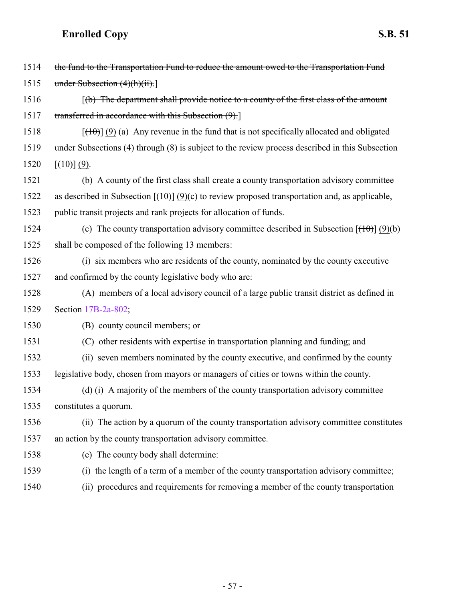| 1514 | the fund to the Transportation Fund to reduce the amount owed to the Transportation Fund            |
|------|-----------------------------------------------------------------------------------------------------|
| 1515 | under Subsection $(4)(h)(ii)$ .                                                                     |
| 1516 | $(6)$ The department shall provide notice to a county of the first class of the amount              |
| 1517 | transferred in accordance with this Subsection (9).]                                                |
| 1518 | $[\frac{100}{10}]$ (9) (a) Any revenue in the fund that is not specifically allocated and obligated |
| 1519 | under Subsections (4) through (8) is subject to the review process described in this Subsection     |
| 1520 | $[\left(\frac{10}{10}\right)](9)$ .                                                                 |
| 1521 | (b) A county of the first class shall create a county transportation advisory committee             |
| 1522 | as described in Subsection $[(10)(c)$ to review proposed transportation and, as applicable,         |
| 1523 | public transit projects and rank projects for allocation of funds.                                  |
| 1524 | (c) The county transportation advisory committee described in Subsection $[(10)(b)]$                |
| 1525 | shall be composed of the following 13 members:                                                      |
| 1526 | (i) six members who are residents of the county, nominated by the county executive                  |
| 1527 | and confirmed by the county legislative body who are:                                               |
| 1528 | (A) members of a local advisory council of a large public transit district as defined in            |
| 1529 | Section 17B-2a-802;                                                                                 |
| 1530 | (B) county council members; or                                                                      |
| 1531 | (C) other residents with expertise in transportation planning and funding; and                      |
| 1532 | (ii) seven members nominated by the county executive, and confirmed by the county                   |
| 1533 | legislative body, chosen from mayors or managers of cities or towns within the county.              |
| 1534 | (d) (i) A majority of the members of the county transportation advisory committee                   |
| 1535 | constitutes a quorum.                                                                               |
| 1536 | (ii) The action by a quorum of the county transportation advisory committee constitutes             |
| 1537 | an action by the county transportation advisory committee.                                          |
| 1538 | (e) The county body shall determine:                                                                |
| 1539 | (i) the length of a term of a member of the county transportation advisory committee;               |
| 1540 | (ii) procedures and requirements for removing a member of the county transportation                 |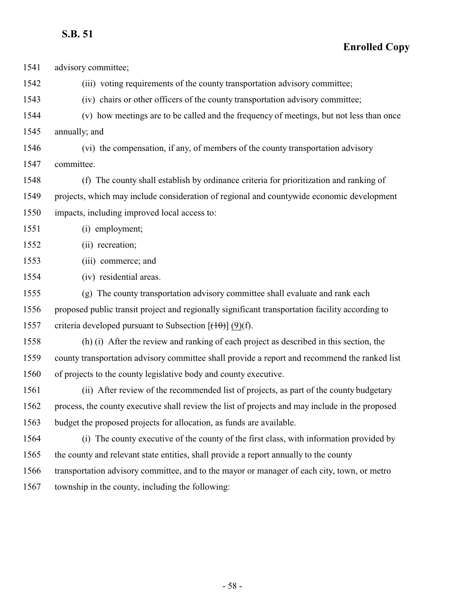| 1541 | advisory committee;                                                                             |
|------|-------------------------------------------------------------------------------------------------|
| 1542 | (iii) voting requirements of the county transportation advisory committee;                      |
| 1543 | (iv) chairs or other officers of the county transportation advisory committee;                  |
| 1544 | (v) how meetings are to be called and the frequency of meetings, but not less than once         |
| 1545 | annually; and                                                                                   |
| 1546 | (vi) the compensation, if any, of members of the county transportation advisory                 |
| 1547 | committee.                                                                                      |
| 1548 | (f) The county shall establish by ordinance criteria for prioritization and ranking of          |
| 1549 | projects, which may include consideration of regional and countywide economic development       |
| 1550 | impacts, including improved local access to:                                                    |
| 1551 | (i) employment;                                                                                 |
| 1552 | (ii) recreation;                                                                                |
| 1553 | (iii) commerce; and                                                                             |
| 1554 | (iv) residential areas.                                                                         |
| 1555 | (g) The county transportation advisory committee shall evaluate and rank each                   |
| 1556 | proposed public transit project and regionally significant transportation facility according to |
| 1557 | criteria developed pursuant to Subsection $[(10)(f)]$ .                                         |
| 1558 | (h) (i) After the review and ranking of each project as described in this section, the          |
| 1559 | county transportation advisory committee shall provide a report and recommend the ranked list   |
| 1560 | of projects to the county legislative body and county executive.                                |
| 1561 | (ii) After review of the recommended list of projects, as part of the county budgetary          |
| 1562 | process, the county executive shall review the list of projects and may include in the proposed |
| 1563 | budget the proposed projects for allocation, as funds are available.                            |
| 1564 | (i) The county executive of the county of the first class, with information provided by         |
| 1565 | the county and relevant state entities, shall provide a report annually to the county           |
| 1566 | transportation advisory committee, and to the mayor or manager of each city, town, or metro     |
| 1567 | township in the county, including the following:                                                |
|      |                                                                                                 |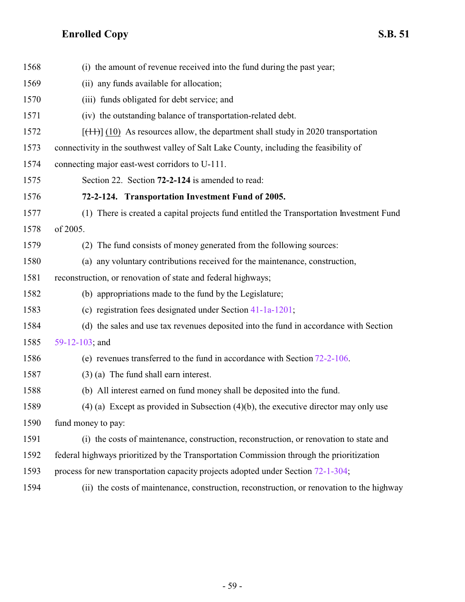<span id="page-58-0"></span>

| 1568 | (i) the amount of revenue received into the fund during the past year;                    |
|------|-------------------------------------------------------------------------------------------|
| 1569 | (ii) any funds available for allocation;                                                  |
| 1570 | (iii) funds obligated for debt service; and                                               |
| 1571 | (iv) the outstanding balance of transportation-related debt.                              |
| 1572 | $[$ (11) $]$ (10) As resources allow, the department shall study in 2020 transportation   |
| 1573 | connectivity in the southwest valley of Salt Lake County, including the feasibility of    |
| 1574 | connecting major east-west corridors to U-111.                                            |
| 1575 | Section 22. Section 72-2-124 is amended to read:                                          |
| 1576 | 72-2-124. Transportation Investment Fund of 2005.                                         |
| 1577 | (1) There is created a capital projects fund entitled the Transportation Investment Fund  |
| 1578 | of 2005.                                                                                  |
| 1579 | The fund consists of money generated from the following sources:<br>(2)                   |
| 1580 | (a) any voluntary contributions received for the maintenance, construction,               |
| 1581 | reconstruction, or renovation of state and federal highways;                              |
| 1582 | (b) appropriations made to the fund by the Legislature;                                   |
| 1583 | (c) registration fees designated under Section $41-1a-1201$ ;                             |
| 1584 | (d) the sales and use tax revenues deposited into the fund in accordance with Section     |
| 1585 | 59-12-103; and                                                                            |
| 1586 | (e) revenues transferred to the fund in accordance with Section $72-2-106$ .              |
| 1587 | $(3)$ (a) The fund shall earn interest.                                                   |
| 1588 | (b) All interest earned on fund money shall be deposited into the fund.                   |
| 1589 | $(4)$ (a) Except as provided in Subsection $(4)(b)$ , the executive director may only use |
| 1590 | fund money to pay:                                                                        |
| 1591 | (i) the costs of maintenance, construction, reconstruction, or renovation to state and    |
| 1592 | federal highways prioritized by the Transportation Commission through the prioritization  |
| 1593 | process for new transportation capacity projects adopted under Section 72-1-304;          |
| 1594 | (ii) the costs of maintenance, construction, reconstruction, or renovation to the highway |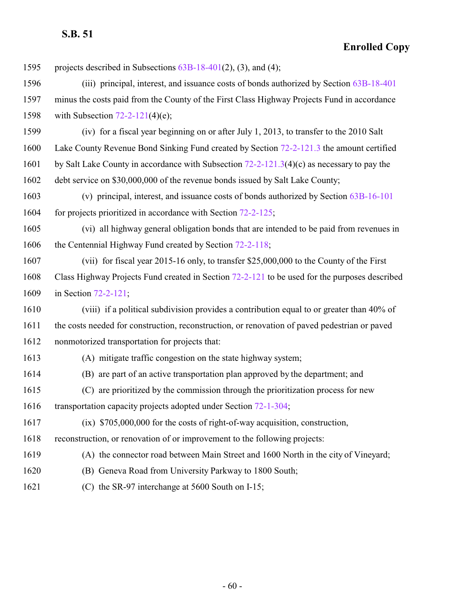| 1595 | projects described in Subsections $63B-18-401(2)$ , (3), and (4);                             |
|------|-----------------------------------------------------------------------------------------------|
| 1596 | (iii) principal, interest, and issuance costs of bonds authorized by Section 63B-18-401       |
| 1597 | minus the costs paid from the County of the First Class Highway Projects Fund in accordance   |
| 1598 | with Subsection $72-2-121(4)(e)$ ;                                                            |
| 1599 | (iv) for a fiscal year beginning on or after July 1, 2013, to transfer to the 2010 Salt       |
| 1600 | Lake County Revenue Bond Sinking Fund created by Section 72-2-121.3 the amount certified      |
| 1601 | by Salt Lake County in accordance with Subsection $72-2-121.3(4)(c)$ as necessary to pay the  |
| 1602 | debt service on \$30,000,000 of the revenue bonds issued by Salt Lake County;                 |
| 1603 | (v) principal, interest, and issuance costs of bonds authorized by Section 63B-16-101         |
| 1604 | for projects prioritized in accordance with Section 72-2-125;                                 |
| 1605 | (vi) all highway general obligation bonds that are intended to be paid from revenues in       |
| 1606 | the Centennial Highway Fund created by Section 72-2-118;                                      |
| 1607 | (vii) for fiscal year 2015-16 only, to transfer \$25,000,000 to the County of the First       |
| 1608 | Class Highway Projects Fund created in Section 72-2-121 to be used for the purposes described |
| 1609 | in Section $72-2-121$ ;                                                                       |
| 1610 | (viii) if a political subdivision provides a contribution equal to or greater than 40% of     |
| 1611 | the costs needed for construction, reconstruction, or renovation of paved pedestrian or paved |
| 1612 | nonmotorized transportation for projects that:                                                |
| 1613 | (A) mitigate traffic congestion on the state highway system;                                  |
| 1614 | (B) are part of an active transportation plan approved by the department; and                 |
| 1615 | (C) are prioritized by the commission through the prioritization process for new              |
| 1616 | transportation capacity projects adopted under Section 72-1-304;                              |
| 1617 | $(ix)$ \$705,000,000 for the costs of right-of-way acquisition, construction,                 |
| 1618 | reconstruction, or renovation of or improvement to the following projects:                    |
| 1619 | (A) the connector road between Main Street and 1600 North in the city of Vineyard;            |
| 1620 | (B) Geneva Road from University Parkway to 1800 South;                                        |
| 1621 | (C) the SR-97 interchange at 5600 South on I-15;                                              |
|      |                                                                                               |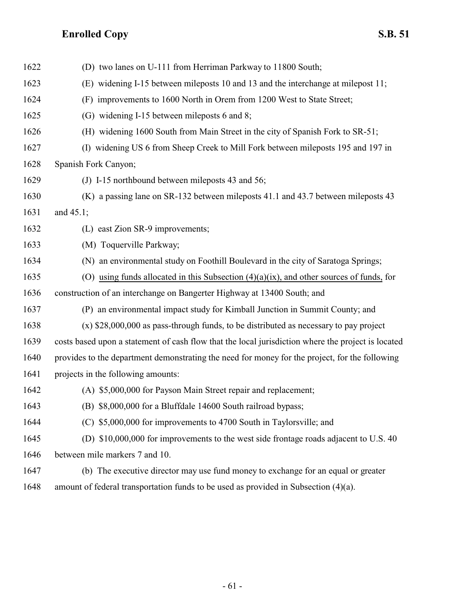| 1622 | (D) two lanes on U-111 from Herriman Parkway to 11800 South;                                       |
|------|----------------------------------------------------------------------------------------------------|
| 1623 | (E) widening I-15 between mileposts 10 and 13 and the interchange at milepost 11;                  |
| 1624 | (F) improvements to 1600 North in Orem from 1200 West to State Street;                             |
| 1625 | (G) widening I-15 between mileposts 6 and 8;                                                       |
| 1626 | (H) widening 1600 South from Main Street in the city of Spanish Fork to SR-51;                     |
| 1627 | (I) widening US 6 from Sheep Creek to Mill Fork between mileposts 195 and 197 in                   |
| 1628 | Spanish Fork Canyon;                                                                               |
| 1629 | (J) I-15 northbound between mileposts 43 and 56;                                                   |
| 1630 | (K) a passing lane on SR-132 between mileposts 41.1 and 43.7 between mileposts 43                  |
| 1631 | and $45.1$ ;                                                                                       |
| 1632 | (L) east Zion SR-9 improvements;                                                                   |
| 1633 | (M) Toquerville Parkway;                                                                           |
| 1634 | (N) an environmental study on Foothill Boulevard in the city of Saratoga Springs;                  |
| 1635 | (O) using funds allocated in this Subsection $(4)(a)(ix)$ , and other sources of funds, for        |
| 1636 | construction of an interchange on Bangerter Highway at 13400 South; and                            |
| 1637 | (P) an environmental impact study for Kimball Junction in Summit County; and                       |
| 1638 | $(x)$ \$28,000,000 as pass-through funds, to be distributed as necessary to pay project            |
| 1639 | costs based upon a statement of cash flow that the local jurisdiction where the project is located |
| 1640 | provides to the department demonstrating the need for money for the project, for the following     |
| 1641 | projects in the following amounts:                                                                 |
| 1642 | (A) \$5,000,000 for Payson Main Street repair and replacement;                                     |
| 1643 | (B) \$8,000,000 for a Bluffdale 14600 South railroad bypass;                                       |
| 1644 | (C) \$5,000,000 for improvements to 4700 South in Taylorsville; and                                |
| 1645 | (D) \$10,000,000 for improvements to the west side frontage roads adjacent to U.S. 40              |
| 1646 | between mile markers 7 and 10.                                                                     |
| 1647 | (b) The executive director may use fund money to exchange for an equal or greater                  |
| 1648 | amount of federal transportation funds to be used as provided in Subsection $(4)(a)$ .             |
|      |                                                                                                    |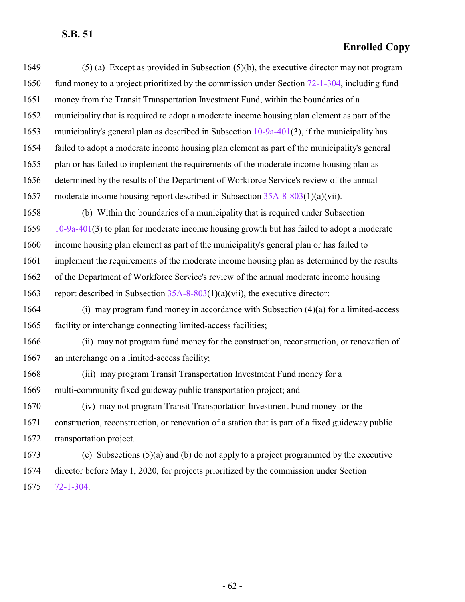| 1649 | $(5)$ (a) Except as provided in Subsection $(5)(b)$ , the executive director may not program     |
|------|--------------------------------------------------------------------------------------------------|
| 1650 | fund money to a project prioritized by the commission under Section 72-1-304, including fund     |
| 1651 | money from the Transit Transportation Investment Fund, within the boundaries of a                |
| 1652 | municipality that is required to adopt a moderate income housing plan element as part of the     |
| 1653 | municipality's general plan as described in Subsection $10-9a-401(3)$ , if the municipality has  |
| 1654 | failed to adopt a moderate income housing plan element as part of the municipality's general     |
| 1655 | plan or has failed to implement the requirements of the moderate income housing plan as          |
| 1656 | determined by the results of the Department of Workforce Service's review of the annual          |
| 1657 | moderate income housing report described in Subsection $35A-8-803(1)(a)(vii)$ .                  |
| 1658 | (b) Within the boundaries of a municipality that is required under Subsection                    |
| 1659 | $10-9a-401(3)$ to plan for moderate income housing growth but has failed to adopt a moderate     |
| 1660 | income housing plan element as part of the municipality's general plan or has failed to          |
| 1661 | implement the requirements of the moderate income housing plan as determined by the results      |
| 1662 | of the Department of Workforce Service's review of the annual moderate income housing            |
| 1663 | report described in Subsection $35A-8-803(1)(a)(vii)$ , the executive director:                  |
| 1664 | (i) may program fund money in accordance with Subsection $(4)(a)$ for a limited-access           |
| 1665 | facility or interchange connecting limited-access facilities;                                    |
| 1666 | (ii) may not program fund money for the construction, reconstruction, or renovation of           |
| 1667 | an interchange on a limited-access facility;                                                     |
| 1668 | (iii) may program Transit Transportation Investment Fund money for a                             |
| 1669 | multi-community fixed guideway public transportation project; and                                |
| 1670 | (iv) may not program Transit Transportation Investment Fund money for the                        |
| 1671 | construction, reconstruction, or renovation of a station that is part of a fixed guideway public |
| 1672 | transportation project.                                                                          |
| 1673 | (c) Subsections $(5)(a)$ and (b) do not apply to a project programmed by the executive           |
| 1674 | director before May 1, 2020, for projects prioritized by the commission under Section            |
| 1675 | $72 - 1 - 304$                                                                                   |
|      |                                                                                                  |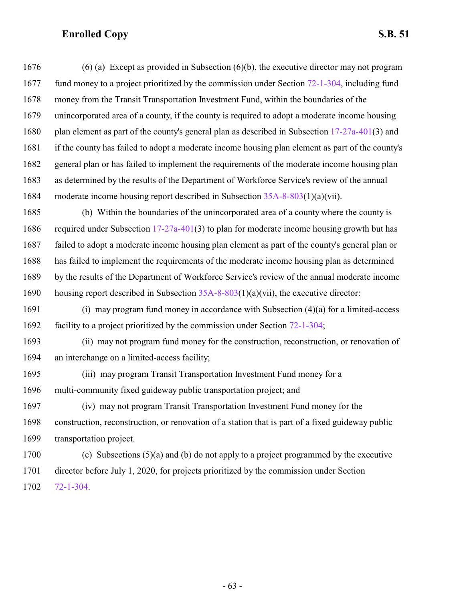(6) (a) Except as provided in Subsection (6)(b), the executive director may not program fund money to a project prioritized by the commission under Section [72-1-304](http://le.utah.gov/UtahCode/SectionLookup.jsp?section=72-1-304&session=2022GS), including fund money from the Transit Transportation Investment Fund, within the boundaries of the unincorporated area of a county, if the county is required to adopt a moderate income housing plan element as part of the county's general plan as described in Subsection [17-27a-401](http://le.utah.gov/UtahCode/SectionLookup.jsp?section=17-27a-401&session=2022GS)(3) and if the county has failed to adopt a moderate income housing plan element as part of the county's general plan or has failed to implement the requirements of the moderate income housing plan as determined by the results of the Department of Workforce Service's review of the annual moderate income housing report described in Subsection [35A-8-803](http://le.utah.gov/UtahCode/SectionLookup.jsp?section=35a-8-803&session=2022GS)(1)(a)(vii).

 (b) Within the boundaries of the unincorporated area of a county where the county is 1686 required under Subsection [17-27a-401](http://le.utah.gov/UtahCode/SectionLookup.jsp?section=17-27a-401&session=2022GS)(3) to plan for moderate income housing growth but has failed to adopt a moderate income housing plan element as part of the county's general plan or has failed to implement the requirements of the moderate income housing plan as determined by the results of the Department of Workforce Service's review of the annual moderate income 1690 housing report described in Subsection  $35A-8-803(1)(a)(vii)$ , the executive director:

 (i) may program fund money in accordance with Subsection (4)(a) for a limited-access facility to a project prioritized by the commission under Section [72-1-304](http://le.utah.gov/UtahCode/SectionLookup.jsp?section=72-1-304&session=2022GS);

 (ii) may not program fund money for the construction, reconstruction, or renovation of an interchange on a limited-access facility;

 (iii) may program Transit Transportation Investment Fund money for a multi-community fixed guideway public transportation project; and

 (iv) may not program Transit Transportation Investment Fund money for the construction, reconstruction, or renovation of a station that is part of a fixed guideway public transportation project.

 (c) Subsections (5)(a) and (b) do not apply to a project programmed by the executive director before July 1, 2020, for projects prioritized by the commission under Section [72-1-304](http://le.utah.gov/UtahCode/SectionLookup.jsp?section=72-1-304&session=2022GS).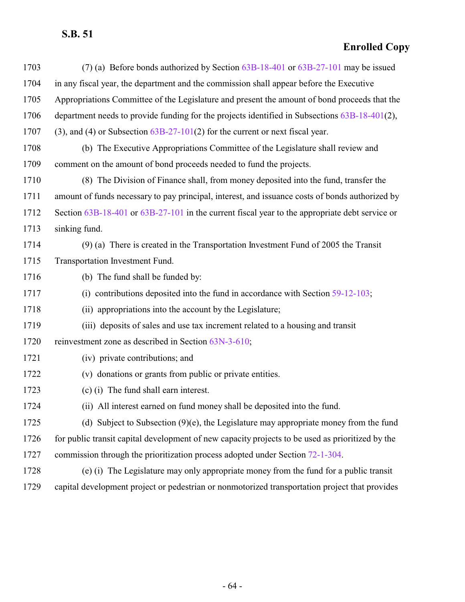| 1703 | (7) (a) Before bonds authorized by Section 63B-18-401 or 63B-27-101 may be issued                |
|------|--------------------------------------------------------------------------------------------------|
| 1704 | in any fiscal year, the department and the commission shall appear before the Executive          |
| 1705 | Appropriations Committee of the Legislature and present the amount of bond proceeds that the     |
| 1706 | department needs to provide funding for the projects identified in Subsections 63B-18-401(2),    |
| 1707 | $(3)$ , and $(4)$ or Subsection $63B-27-101(2)$ for the current or next fiscal year.             |
| 1708 | (b) The Executive Appropriations Committee of the Legislature shall review and                   |
| 1709 | comment on the amount of bond proceeds needed to fund the projects.                              |
| 1710 | (8) The Division of Finance shall, from money deposited into the fund, transfer the              |
| 1711 | amount of funds necessary to pay principal, interest, and issuance costs of bonds authorized by  |
| 1712 | Section 63B-18-401 or 63B-27-101 in the current fiscal year to the appropriate debt service or   |
| 1713 | sinking fund.                                                                                    |
| 1714 | $(9)$ (a) There is created in the Transportation Investment Fund of 2005 the Transit             |
| 1715 | Transportation Investment Fund.                                                                  |
| 1716 | (b) The fund shall be funded by:                                                                 |
| 1717 | contributions deposited into the fund in accordance with Section 59-12-103;<br>(i)               |
| 1718 | (ii) appropriations into the account by the Legislature;                                         |
| 1719 | (iii) deposits of sales and use tax increment related to a housing and transit                   |
| 1720 | reinvestment zone as described in Section 63N-3-610;                                             |
| 1721 | (iv) private contributions; and                                                                  |
| 1722 | (v) donations or grants from public or private entities.                                         |
| 1723 | (c) (i) The fund shall earn interest.                                                            |
| 1724 | (ii) All interest earned on fund money shall be deposited into the fund.                         |
| 1725 | (d) Subject to Subsection $(9)(e)$ , the Legislature may appropriate money from the fund         |
| 1726 | for public transit capital development of new capacity projects to be used as prioritized by the |
| 1727 | commission through the prioritization process adopted under Section 72-1-304.                    |
| 1728 | (e) (i) The Legislature may only appropriate money from the fund for a public transit            |
| 1729 | capital development project or pedestrian or nonmotorized transportation project that provides   |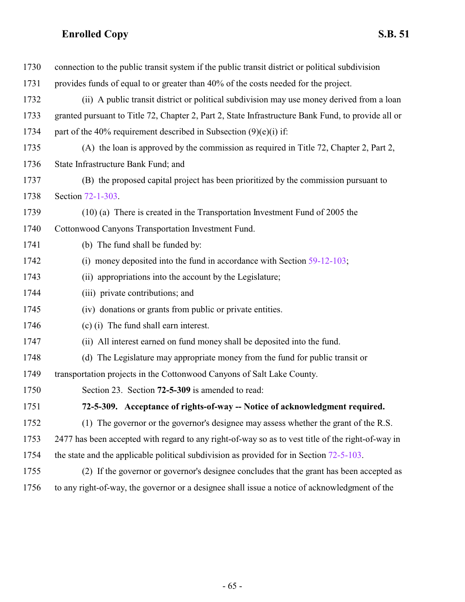<span id="page-64-0"></span>

| 1730 | connection to the public transit system if the public transit district or political subdivision    |
|------|----------------------------------------------------------------------------------------------------|
| 1731 | provides funds of equal to or greater than 40% of the costs needed for the project.                |
| 1732 | (ii) A public transit district or political subdivision may use money derived from a loan          |
| 1733 | granted pursuant to Title 72, Chapter 2, Part 2, State Infrastructure Bank Fund, to provide all or |
| 1734 | part of the 40% requirement described in Subsection $(9)(e)(i)$ if:                                |
| 1735 | (A) the loan is approved by the commission as required in Title 72, Chapter 2, Part 2,             |
| 1736 | State Infrastructure Bank Fund; and                                                                |
| 1737 | (B) the proposed capital project has been prioritized by the commission pursuant to                |
| 1738 | Section 72-1-303.                                                                                  |
| 1739 | (10) (a) There is created in the Transportation Investment Fund of 2005 the                        |
| 1740 | Cottonwood Canyons Transportation Investment Fund.                                                 |
| 1741 | (b) The fund shall be funded by:                                                                   |
| 1742 | (i) money deposited into the fund in accordance with Section $59-12-103$ ;                         |
| 1743 | (ii) appropriations into the account by the Legislature;                                           |
| 1744 | (iii) private contributions; and                                                                   |
| 1745 | (iv) donations or grants from public or private entities.                                          |
| 1746 | (c) (i) The fund shall earn interest.                                                              |
| 1747 | (ii) All interest earned on fund money shall be deposited into the fund.                           |
| 1748 | (d) The Legislature may appropriate money from the fund for public transit or                      |
| 1749 | transportation projects in the Cottonwood Canyons of Salt Lake County.                             |
| 1750 | Section 23. Section 72-5-309 is amended to read:                                                   |
| 1751 | 72-5-309. Acceptance of rights-of-way -- Notice of acknowledgment required.                        |
| 1752 | (1) The governor or the governor's designee may assess whether the grant of the R.S.               |
| 1753 | 2477 has been accepted with regard to any right-of-way so as to vest title of the right-of-way in  |
| 1754 | the state and the applicable political subdivision as provided for in Section 72-5-103.            |
| 1755 | (2) If the governor or governor's designee concludes that the grant has been accepted as           |
| 1756 | to any right-of-way, the governor or a designee shall issue a notice of acknowledgment of the      |
|      |                                                                                                    |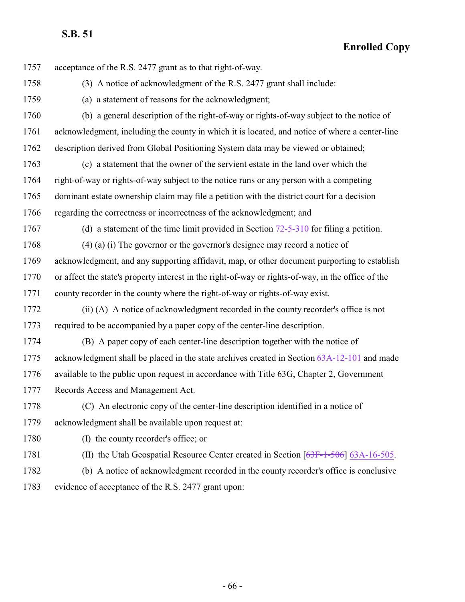**Enrolled Copy**

 acceptance of the R.S. 2477 grant as to that right-of-way. (3) A notice of acknowledgment of the R.S. 2477 grant shall include: (a) a statement of reasons for the acknowledgment; (b) a general description of the right-of-way or rights-of-way subject to the notice of acknowledgment, including the county in which it is located, and notice of where a center-line description derived from Global Positioning System data may be viewed or obtained; (c) a statement that the owner of the servient estate in the land over which the right-of-way or rights-of-way subject to the notice runs or any person with a competing dominant estate ownership claim may file a petition with the district court for a decision regarding the correctness or incorrectness of the acknowledgment; and (d) a statement of the time limit provided in Section [72-5-310](http://le.utah.gov/UtahCode/SectionLookup.jsp?section=72-5-310&session=2022GS) for filing a petition. (4) (a) (i) The governor or the governor's designee may record a notice of acknowledgment, and any supporting affidavit, map, or other document purporting to establish or affect the state's property interest in the right-of-way or rights-of-way, in the office of the county recorder in the county where the right-of-way or rights-of-way exist. (ii) (A) A notice of acknowledgment recorded in the county recorder's office is not required to be accompanied by a paper copy of the center-line description. (B) A paper copy of each center-line description together with the notice of acknowledgment shall be placed in the state archives created in Section [63A-12-101](http://le.utah.gov/UtahCode/SectionLookup.jsp?section=63a-12-101&session=2022GS) and made available to the public upon request in accordance with Title 63G, Chapter 2, Government Records Access and Management Act. (C) An electronic copy of the center-line description identified in a notice of acknowledgment shall be available upon request at: 1780 (I) the county recorder's office; or 1781 (II) the Utah Geospatial Resource Center created in Section [\[63F-1-506](http://le.utah.gov/UtahCode/SectionLookup.jsp?section=63f-1-506&session=2022GS)] [63A-16-505](http://le.utah.gov/UtahCode/SectionLookup.jsp?section=63a-16-505&session=2022GS). (b) A notice of acknowledgment recorded in the county recorder's office is conclusive evidence of acceptance of the R.S. 2477 grant upon: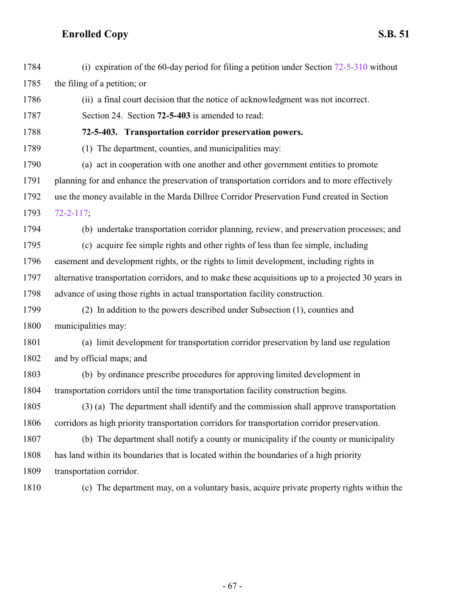<span id="page-66-0"></span> (i) expiration of the 60-day period for filing a petition under Section [72-5-310](http://le.utah.gov/UtahCode/SectionLookup.jsp?section=72-5-310&session=2022GS) without the filing of a petition; or (ii) a final court decision that the notice of acknowledgment was not incorrect. Section 24. Section **72-5-403** is amended to read: **72-5-403. Transportation corridor preservation powers.** (1) The department, counties, and municipalities may: (a) act in cooperation with one another and other government entities to promote planning for and enhance the preservation of transportation corridors and to more effectively use the money available in the Marda Dillree Corridor Preservation Fund created in Section [72-2-117](http://le.utah.gov/UtahCode/SectionLookup.jsp?section=72-2-117&session=2022GS); (b) undertake transportation corridor planning, review, and preservation processes; and (c) acquire fee simple rights and other rights of less than fee simple, including easement and development rights, or the rights to limit development, including rights in alternative transportation corridors, and to make these acquisitions up to a projected 30 years in advance of using those rights in actual transportation facility construction. (2) In addition to the powers described under Subsection (1), counties and municipalities may: (a) limit development for transportation corridor preservation by land use regulation and by official maps; and (b) by ordinance prescribe procedures for approving limited development in transportation corridors until the time transportation facility construction begins. (3) (a) The department shall identify and the commission shall approve transportation corridors as high priority transportation corridors for transportation corridor preservation. (b) The department shall notify a county or municipality if the county or municipality has land within its boundaries that is located within the boundaries of a high priority transportation corridor. (c) The department may, on a voluntary basis, acquire private property rights within the

- 67 -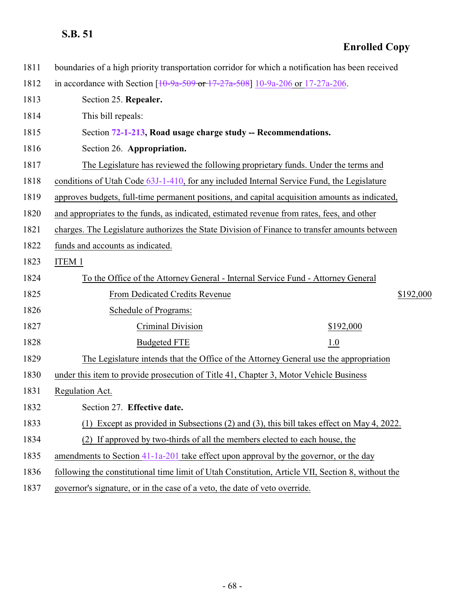| 1811 | boundaries of a high priority transportation corridor for which a notification has been received  |
|------|---------------------------------------------------------------------------------------------------|
| 1812 | in accordance with Section $[10-9a-509$ or $17-27a-508]$ 10-9a-206 or 17-27a-206.                 |
| 1813 | Section 25. Repealer.                                                                             |
| 1814 | This bill repeals:                                                                                |
| 1815 | Section 72-1-213, Road usage charge study -- Recommendations.                                     |
| 1816 | Section 26. Appropriation.                                                                        |
| 1817 | The Legislature has reviewed the following proprietary funds. Under the terms and                 |
| 1818 | conditions of Utah Code 63J-1-410, for any included Internal Service Fund, the Legislature        |
| 1819 | approves budgets, full-time permanent positions, and capital acquisition amounts as indicated,    |
| 1820 | and appropriates to the funds, as indicated, estimated revenue from rates, fees, and other        |
| 1821 | charges. The Legislature authorizes the State Division of Finance to transfer amounts between     |
| 1822 | funds and accounts as indicated.                                                                  |
| 1823 | <b>ITEM 1</b>                                                                                     |
| 1824 | To the Office of the Attorney General - Internal Service Fund - Attorney General                  |
| 1825 | \$192,000<br>From Dedicated Credits Revenue                                                       |
| 1826 | Schedule of Programs:                                                                             |
| 1827 | Criminal Division<br>\$192,000                                                                    |
| 1828 | <b>Budgeted FTE</b><br>1.0                                                                        |
| 1829 | The Legislature intends that the Office of the Attorney General use the appropriation             |
| 1830 | under this item to provide prosecution of Title 41, Chapter 3, Motor Vehicle Business             |
| 1831 | Regulation Act.                                                                                   |
| 1832 | Section 27. Effective date.                                                                       |
| 1833 | Except as provided in Subsections (2) and (3), this bill takes effect on May 4, 2022.             |
| 1834 | (2) If approved by two-thirds of all the members elected to each house, the                       |
| 1835 | amendments to Section 41-1a-201 take effect upon approval by the governor, or the day             |
| 1836 | following the constitutional time limit of Utah Constitution, Article VII, Section 8, without the |
| 1837 | governor's signature, or in the case of a veto, the date of veto override.                        |